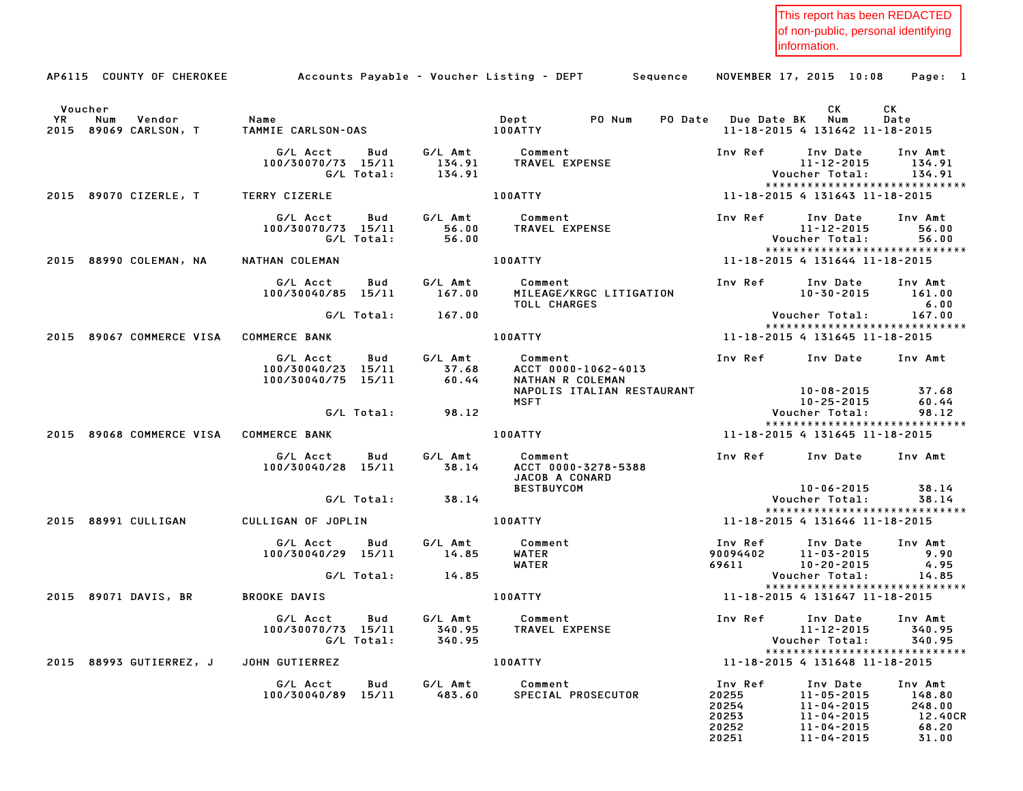This report has been REDACTED of non-public, personal identifying information.

|    |         | AP6115 COUNTY OF CHEROKEE       |                                                     |                             | Accounts Payable – Voucher Listing – DEPT         Sequence |                     | NOVEMBER 17, 2015 10:08                                          | Page: 1                           |
|----|---------|---------------------------------|-----------------------------------------------------|-----------------------------|------------------------------------------------------------|---------------------|------------------------------------------------------------------|-----------------------------------|
|    | Voucher |                                 |                                                     |                             |                                                            |                     | CK.                                                              | CK                                |
| YR | Num     | Vendor<br>2015 89069 CARLSON, T | Name<br>TAMMIE CARLSON-OAS                          |                             | Dept PO Num<br>100ATTY                                     | PO Date Due Date BK | Num<br>11-18-2015 4 131642 11-18-2015                            | Date                              |
|    |         |                                 | G/L Acct<br>Bud<br>100/30070/73 15/11<br>G/L Total: | G/L Amt<br>134.91<br>134.91 | Comment<br>TRAVEL EXPENSE                                  | Inv Ref             | Inv Date<br>$11 - 12 - 2015$<br>Voucher Total:                   | Inv Amt<br>134.91<br>134.91       |
|    |         | 2015 89070 CIZERLE, T           | TERRY CIZERLE                                       |                             | 100ATTY                                                    |                     | ******************************<br>11-18-2015 4 131643 11-18-2015 |                                   |
|    |         |                                 | G/L Acct<br>Bud                                     | G/L Amt                     | Comment                                                    | Inv Ref             | Inv Date                                                         | Inv Amt                           |
|    |         |                                 | 100/30070/73 15/11<br>G/L Total:                    | 56.00<br>56.00              | TRAVEL EXPENSE                                             |                     | 11-12-2015<br>Voucher Total:                                     | 56.00<br>56.00                    |
|    |         |                                 |                                                     |                             |                                                            |                     | *****************************                                    |                                   |
|    |         | 2015 88990 COLEMAN, NA          | NATHAN COLEMAN                                      |                             | <b>100ATTY</b>                                             |                     | 11-18-2015 4 131644 11-18-2015                                   |                                   |
|    |         |                                 | G/L Acct<br>Bud<br>100/30040/85 15/11               | G/L Amt<br>167.00           | Comment<br>MILEAGE/KRGC LITIGATION                         | Inv Ref             | Inv Date<br>10-30-2015                                           | Inv Amt<br>161.00<br>6.00         |
|    |         |                                 | G/L Total:                                          | 167.00                      | TOLL CHARGES                                               |                     | Voucher Total:                                                   | 167.00                            |
|    |         | 2015 89067 COMMERCE VISA        | <b>COMMERCE BANK</b>                                |                             | <b>100ATTY</b>                                             |                     | *****************************<br>11-18-2015 4 131645 11-18-2015  |                                   |
|    |         |                                 | G/L Acct<br>Bud<br>100/30040/23 15/11               | G/L Amt<br>37.68            | Comment<br>ACCT 0000-1062-4013                             | Inv Ref             | Inv Date                                                         | Inv Amt                           |
|    |         |                                 | 100/30040/75 15/11                                  | 60.44                       | NATHAN R COLEMAN<br>NAPOLIS ITALIAN RESTAURANT             |                     | 10-08-2015                                                       | 37.68                             |
|    |         |                                 |                                                     |                             | <b>MSFT</b>                                                |                     | 10-25-2015                                                       | 60.44                             |
|    |         |                                 | G/L Total:                                          | 98.12                       |                                                            |                     | Voucher Total:<br>*****************************                  | 98.12                             |
|    |         | 2015 89068 COMMERCE VISA        | <b>COMMERCE BANK</b>                                |                             | 100ATTY                                                    |                     | 11-18-2015 4 131645 11-18-2015                                   |                                   |
|    |         |                                 | G/L Acct<br>Bud<br>100/30040/28 15/11               | G/L Amt<br>38.14            | Comment<br>ACCT 0000-3278-5388<br>JACOB A CONARD           | Inv Ref             | Inv Date                                                         | Inv Amt                           |
|    |         |                                 | G/L Total:                                          | 38.14                       | <b>BESTBUYCOM</b>                                          |                     | $10 - 06 - 2015$<br>Voucher Total:                               | 38.14<br>38.14                    |
|    |         |                                 |                                                     |                             |                                                            |                     | *****************************                                    |                                   |
|    |         | 2015 88991 CULLIGAN             | CULLIGAN OF JOPLIN                                  |                             | <b>100ATTY</b>                                             |                     | 11-18-2015 4 131646 11-18-2015                                   |                                   |
|    |         |                                 | G/L Acct<br>Bud                                     | G/L Amt                     | Comment                                                    | Inv Ref             | Inv Date                                                         | Inv Amt                           |
|    |         |                                 | 100/30040/29 15/11                                  | 14.85                       | WATER<br><b>WATER</b>                                      | 90094402<br>69611   | 11-03-2015<br>10-20-2015                                         | 9.90<br>4.95                      |
|    |         |                                 | G/L Total:                                          | 14.85                       |                                                            |                     | Voucher Total:                                                   | 14.85                             |
|    |         | 2015 89071 DAVIS, BR            | <b>BROOKE DAVIS</b>                                 |                             | 100ATTY                                                    |                     | *****************************<br>11-18-2015 4 131647 11-18-2015  |                                   |
|    |         |                                 | G/L Acct<br>Bud                                     | G/L Amt                     | Comment                                                    | Inv Ref             | Inv Date                                                         | Inv Amt                           |
|    |         |                                 | G/L Total:                                          | 340.95                      | 100/30070/73 15/11 340.95 TRAVEL EXPENSE                   |                     | Voucher Total:                                                   | $11 - 12 - 2015$ 340.95<br>340.95 |
|    |         |                                 |                                                     |                             |                                                            |                     | *****************************                                    |                                   |
|    |         | 2015 88993 GUTIERREZ, J         | JOHN GUTIERREZ                                      |                             | 100ATTY                                                    |                     | 11-18-2015 4 131648 11-18-2015                                   |                                   |
|    |         |                                 | G/L Acct<br>Bud                                     | G/L Amt                     | Comment                                                    | Inv Ref             | Inv Date                                                         | Inv Amt                           |
|    |         |                                 | 100/30040/89 15/11                                  | 483.60                      | SPECIAL PROSECUTOR                                         | 20255               | $11 - 05 - 2015$                                                 | 148.80                            |
|    |         |                                 |                                                     |                             |                                                            | 20254               | 11-04-2015                                                       | 248.00                            |
|    |         |                                 |                                                     |                             |                                                            | 20253<br>20252      | $11 - 04 - 2015$<br>$11 - 04 - 2015$                             | 12.40CR<br>68.20                  |
|    |         |                                 |                                                     |                             |                                                            | 20251               | 11-04-2015                                                       | 31.00                             |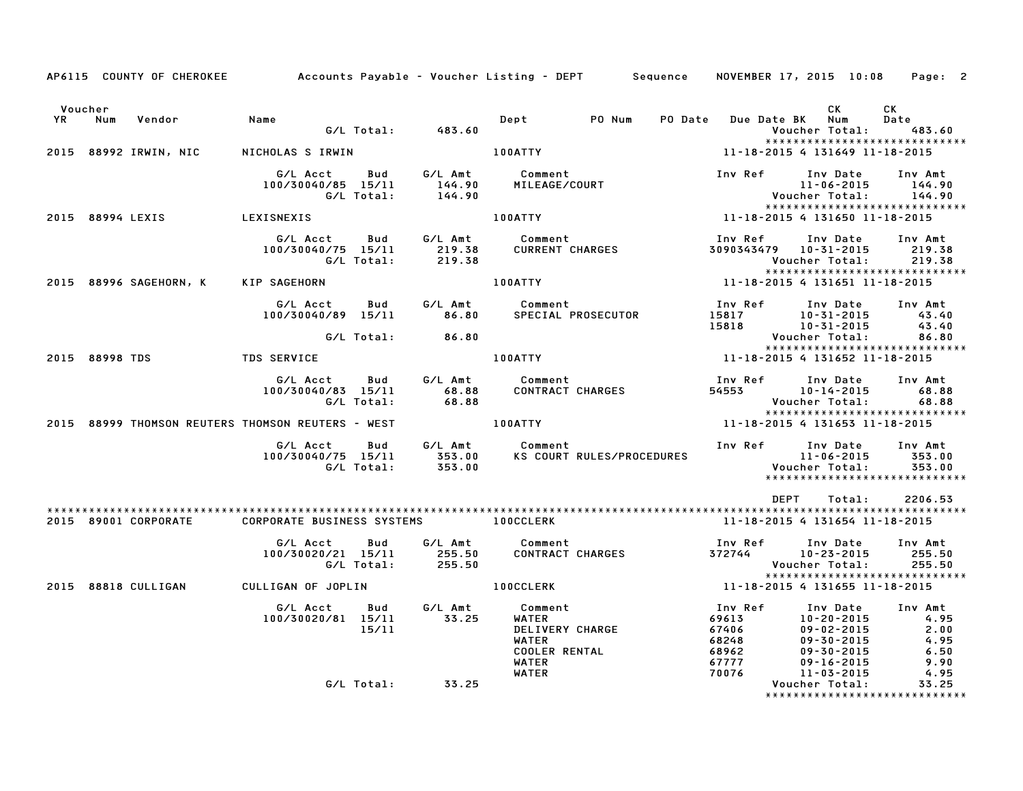| Voucher |                  |                        |                                                   |            |                      |                          |                           |         |                | CK and the set of the set of the set of the set of the set of the set of the set of the set of the set of the set of the set of the set of the set of the set of the set of the set of the set of the set of the set of the se | <b>CK</b>        |
|---------|------------------|------------------------|---------------------------------------------------|------------|----------------------|--------------------------|---------------------------|---------|----------------|--------------------------------------------------------------------------------------------------------------------------------------------------------------------------------------------------------------------------------|------------------|
| YR      | Num              | Vendor                 | Name                                              |            |                      | Depter                   | PO Num                    | PO Date |                | Due Date BK Num                                                                                                                                                                                                                | Date             |
|         |                  |                        |                                                   |            | G/L Total: 483.60    |                          |                           |         |                | Voucher Total:<br>******************************                                                                                                                                                                               | 483.60           |
|         |                  | 2015 88992 IRWIN, NIC  | NICHOLAS S IRWIN                                  |            |                      | 100ATTY                  |                           |         |                | 11-18-2015 4 131649 11-18-2015                                                                                                                                                                                                 |                  |
|         |                  |                        |                                                   |            |                      |                          |                           |         |                |                                                                                                                                                                                                                                |                  |
|         |                  |                        | G/L Acct                                          | Bud        | G/L Amt              | Comment                  |                           |         | Inv Ref        | Inv Date                                                                                                                                                                                                                       | Inv Amt          |
|         |                  |                        | 100/30040/85 15/11                                |            | 144.90               | MILEAGE/COURT            |                           |         |                | $11 - 06 - 2015$                                                                                                                                                                                                               | 144.90<br>144.90 |
|         |                  |                        |                                                   | G/L Total: | 144.90               |                          |                           |         |                | Voucher Total:<br>*****************************                                                                                                                                                                                |                  |
|         | 2015 88994 LEXIS |                        | LEXISNEXIS                                        |            |                      | 100ATTY                  |                           |         |                | 11-18-2015 4 131650 11-18-2015                                                                                                                                                                                                 |                  |
|         |                  |                        |                                                   |            |                      |                          |                           |         |                |                                                                                                                                                                                                                                |                  |
|         |                  |                        | G/L Acct                                          | Bud        | G/L Amt              | Comment                  |                           |         | Inv Ref        | Inv Date Inv Amt                                                                                                                                                                                                               |                  |
|         |                  |                        | 100/30040/75 15/11                                | G/L Total: | 219.38<br>219.38     |                          | <b>CURRENT CHARGES</b>    |         |                | 3090343479  10-31-2015<br>Voucher Total:                                                                                                                                                                                       | 219.38<br>219.38 |
|         |                  |                        |                                                   |            |                      |                          |                           |         |                | *****************************                                                                                                                                                                                                  |                  |
|         |                  | 2015 88996 SAGEHORN, K | KIP SAGEHORN                                      |            |                      | <b>100ATTY</b>           |                           |         |                | 11-18-2015 4 131651 11-18-2015                                                                                                                                                                                                 |                  |
|         |                  |                        |                                                   |            |                      |                          |                           |         |                |                                                                                                                                                                                                                                |                  |
|         |                  |                        | G/L Acct Bud                                      |            | G/L Amt              | Comment                  |                           |         | Inv Ref        | Inv Date                                                                                                                                                                                                                       | Inv Amt          |
|         |                  |                        | 100/30040/89 15/11                                |            |                      | 86.80 SPECIAL PROSECUTOR |                           |         | 15817          | 10-31-2015                                                                                                                                                                                                                     | 43.40            |
|         |                  |                        |                                                   | G/L Total: | 86.80                |                          |                           |         | 15818          | $10 - 31 - 2015$<br>Voucher Total:                                                                                                                                                                                             | 43.40<br>86.80   |
|         |                  |                        |                                                   |            |                      |                          |                           |         |                | *****************************                                                                                                                                                                                                  |                  |
|         | 2015 88998 TDS   |                        | <b>TDS SERVICE</b>                                |            |                      | <b>100ATTY</b>           |                           |         |                | 11-18-2015 4 131652 11-18-2015                                                                                                                                                                                                 |                  |
|         |                  |                        |                                                   |            |                      |                          |                           |         |                |                                                                                                                                                                                                                                |                  |
|         |                  |                        | G/L Acct                                          |            | Bud G/L Amt          | Comment                  |                           |         | Inv Ref        | Inv Date                                                                                                                                                                                                                       | Inv Amt          |
|         |                  |                        | 100/30040/83 15/11                                |            | 68.88                |                          | <b>CONTRACT CHARGES</b>   |         | 54553          | 10-14-2015                                                                                                                                                                                                                     | 68.88            |
|         |                  |                        |                                                   | G/L Total: | 68.88                |                          |                           |         |                | Voucher Total:<br>*****************************                                                                                                                                                                                | 68.88            |
|         |                  |                        | 2015 88999 THOMSON REUTERS THOMSON REUTERS - WEST |            |                      | <b>100ATTY</b>           |                           |         |                | 11-18-2015 4 131653 11-18-2015                                                                                                                                                                                                 |                  |
|         |                  |                        |                                                   |            |                      |                          |                           |         |                |                                                                                                                                                                                                                                |                  |
|         |                  |                        | G/L Acct                                          |            | Bud G/L Amt          | Comment                  |                           |         | Inv Ref        | Inv Date                                                                                                                                                                                                                       | Inv Amt          |
|         |                  |                        | 100/30040/75 15/11                                |            | 353.00               |                          | KS COURT RULES/PROCEDURES |         |                | $11 - 06 - 2015$                                                                                                                                                                                                               | 353.00           |
|         |                  |                        |                                                   | G/L Total: | 353.00               |                          |                           |         |                | Voucher Total:                                                                                                                                                                                                                 | 353.00           |
|         |                  |                        |                                                   |            |                      |                          |                           |         |                | ******************************                                                                                                                                                                                                 |                  |
|         |                  |                        |                                                   |            |                      |                          |                           |         |                | <b>DEPT</b><br>Total:                                                                                                                                                                                                          | 2206.53          |
|         |                  |                        |                                                   |            |                      |                          |                           |         |                |                                                                                                                                                                                                                                |                  |
|         |                  | 2015 89001 CORPORATE   | CORPORATE BUSINESS SYSTEMS                        |            |                      | <b>100CCLERK</b>         |                           |         |                | 11-18-2015 4 131654 11-18-2015                                                                                                                                                                                                 |                  |
|         |                  |                        | G/L Acct                                          | Bud        |                      | G/L Amt Comment          |                           |         |                | Inv Ref      Inv Date                                                                                                                                                                                                          | Inv Amt          |
|         |                  |                        | 100/30020/21 15/11                                |            | 255.50               |                          | CONTRACT CHARGES          |         | 372744         | 10-23-2015                                                                                                                                                                                                                     | 255.50           |
|         |                  |                        |                                                   | G/L Total: | 255.50               |                          |                           |         |                | Voucher Total:                                                                                                                                                                                                                 | 255.50           |
|         |                  |                        |                                                   |            |                      |                          |                           |         |                | *****************************                                                                                                                                                                                                  |                  |
|         |                  | 2015 88818 CULLIGAN    | CULLIGAN OF JOPLIN                                |            |                      | <b>100CCLERK</b>         |                           |         |                | 11-18-2015 4 131655 11-18-2015                                                                                                                                                                                                 |                  |
|         |                  |                        | G/L Acct                                          | <b>Bud</b> | G/L Amt              | Comment                  |                           |         | Inv Ref        | Inv Date                                                                                                                                                                                                                       | Inv Amt          |
|         |                  |                        | 100/30020/81 15/11                                |            | 33.25                | WATER                    |                           |         |                | $10 - 20 - 2015$                                                                                                                                                                                                               | 4.95             |
|         |                  |                        |                                                   | 15/11      |                      | DELIVERY CHARGE          |                           |         | 69613<br>67406 | $09 - 02 - 2015$                                                                                                                                                                                                               | 2.00             |
|         |                  |                        |                                                   |            |                      | WATER                    |                           |         | 68248          | $09 - 30 - 2015$                                                                                                                                                                                                               | 4.95             |
|         |                  |                        |                                                   |            |                      | <b>COOLER RENTAL</b>     |                           |         | 68962          | $09 - 30 - 2015$                                                                                                                                                                                                               | 6.50             |
|         |                  |                        |                                                   |            |                      | WATER<br>WATER           |                           |         | 67777<br>70076 | $09 - 16 - 2015$<br>11-03-2015                                                                                                                                                                                                 | 9.90<br>4.95     |
|         |                  |                        |                                                   |            | $G/L$ Total: $33.25$ |                          |                           |         |                | Voucher Total:                                                                                                                                                                                                                 | 33.25            |
|         |                  |                        |                                                   |            |                      |                          |                           |         |                | *****************************                                                                                                                                                                                                  |                  |

AP6115 COUNTY OF CHEROKEE Accounts Payable - Voucher Listing - DEPT Sequence NOVEMBER 17, 2015 10:08 Page: 2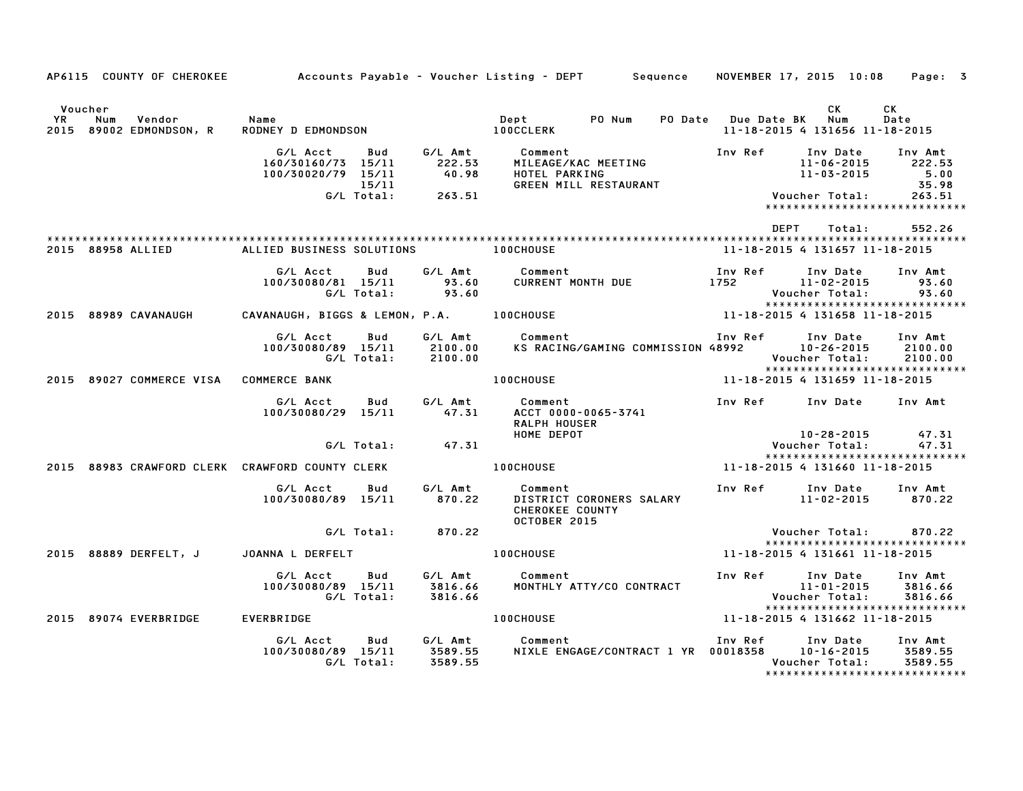|                      | AP6115 COUNTY OF CHEROKEE              |                                                                  |                    | Accounts Payable – Voucher Listing – DEPT         Sequence                                                                                                                                                                              | NOVEMBER 17, 2015 10:08                                | Page: 3                                                                             |
|----------------------|----------------------------------------|------------------------------------------------------------------|--------------------|-----------------------------------------------------------------------------------------------------------------------------------------------------------------------------------------------------------------------------------------|--------------------------------------------------------|-------------------------------------------------------------------------------------|
| Voucher<br><b>YR</b> | Num Vendor<br>2015 89002 EDMONDSON, R  | Name                                                             |                    |                                                                                                                                                                                                                                         | CK<br>11-18-2015 4 131656 11-18-2015                   | CK<br>Date                                                                          |
|                      |                                        | $15/11$<br>G/L Total: 263.51                                     |                    | G/L Acct Bud G/L Amt Comment Inv Ref Inv Date Inv Amt<br>160/30160/73 15/11 222.53 MILEAGE/KAC MEETING 11-06-2015 222.53<br>100/30020/79 15/11 40.98 HOTEL PARKING 11-03-2015 5.00<br>15/11 15/11 GREEN MILL RESTAURANT 11-03-2015 5.98 | Voucher Total:                                         | $11 - 06 - 2015$ 222.53<br>5.00<br>35.98<br>263.51<br>***************************** |
|                      |                                        |                                                                  |                    |                                                                                                                                                                                                                                         | DEPT Total:                                            | 552.26                                                                              |
|                      | 2015 88958 ALLIED                      | ALLIED BUSINESS SOLUTIONS 100CHOUSE                              |                    |                                                                                                                                                                                                                                         | 11-18-2015 4 131657 11-18-2015                         |                                                                                     |
|                      |                                        | G/L Acct<br><b>Bud</b><br>100/30080/81 15/11<br>G/L Total: 93.60 |                    |                                                                                                                                                                                                                                         | Voucher Total:                                         | Inv Amt<br>93.60<br>93.60                                                           |
|                      | 2015 88989 CAVANAUGH                   |                                                                  |                    |                                                                                                                                                                                                                                         |                                                        |                                                                                     |
|                      |                                        | G/L Acct Bud<br>100/30080/89 15/11<br>G/L Total: 2100.00         |                    |                                                                                                                                                                                                                                         | Inv Ref Inv Date Inv Amt<br>Voucher Total:             | 2100.00<br>2100.00<br>*****************************                                 |
|                      | 2015 89027 COMMERCE VISA COMMERCE BANK |                                                                  |                    | 100CHOUSE 11-18-2015 4 131659 11-18-2015                                                                                                                                                                                                |                                                        |                                                                                     |
|                      |                                        | G/L Acct Bud<br>100/30080/29 15/11                               | 47.31              | G/L Amt Comment<br>47.31 ACCT 0000-<br>ACCT 0000-0065-3741<br>RALPH HOUSER                                                                                                                                                              | Inv Ref Inv Date Inv Amt<br>10-28-2015                 | 47.31                                                                               |
|                      |                                        | $G/L$ Total: $47.31$                                             |                    |                                                                                                                                                                                                                                         | Voucher Total:                                         | 47.31                                                                               |
|                      |                                        | 2015 88983 CRAWFORD CLERK CRAWFORD COUNTY CLERK                  |                    | HOME DEPOT<br>DENGINE DEPOT<br>OCHOUSE<br><b>100CHOUSE</b>                                                                                                                                                                              | 11-18-2015 4 131660 11-18-2015                         | ******************************                                                      |
|                      |                                        | G/L Acct<br>Bud<br>100/30080/89 15/11                            | 870.22             | G/L Amt Comment<br>DISTRICT CORONERS SALARY<br><b>CHEROKEE COUNTY</b>                                                                                                                                                                   | Inv Ref Inv Date Inv Amt<br>11-02-2015                 | 870.22                                                                              |
|                      |                                        | G/L Total: 870.22                                                |                    | OCTOBER 2015                                                                                                                                                                                                                            | Voucher Total:                                         | 870.22                                                                              |
|                      |                                        | 2015 88889 DERFELT, J JOANNA L DERFELT                           |                    | <b>100CHOUSE</b>                                                                                                                                                                                                                        | 11-18-2015 4 131661 11-18-2015                         | *****************************                                                       |
|                      |                                        | G/L Acct<br>Bud<br>100/30080/89 15/11<br>G/L Total: 3816.66      |                    | G/L Amt        Comment<br>3816.66      MONTHLY ATTY/CO CONTRACT                                                                                                                                                                         | Inv Ref Inv Date<br>$11 - 01 - 2015$<br>Voucher Total: | Inv Amt<br>3816.66<br>3816.66<br>*****************************                      |
|                      | 2015 89074 EVERBRIDGE                  | <b>EVERBRIDGE</b>                                                |                    | <b>100CHOUSE</b>                                                                                                                                                                                                                        | 11-18-2015 4 131662 11-18-2015                         |                                                                                     |
|                      |                                        | G/L Acct<br>Bud<br>100/30080/89 15/11<br>G/L Total:              | 3589.55<br>3589.55 | G/L Amt Comment<br>NIXLE ENGAGE/CONTRACT 1 YR 00018358 10-16-2015                                                                                                                                                                       | Inv Ref Inv Date Inv Amt<br>Voucher Total:             | 3589.55<br>3589.55<br>*****************************                                 |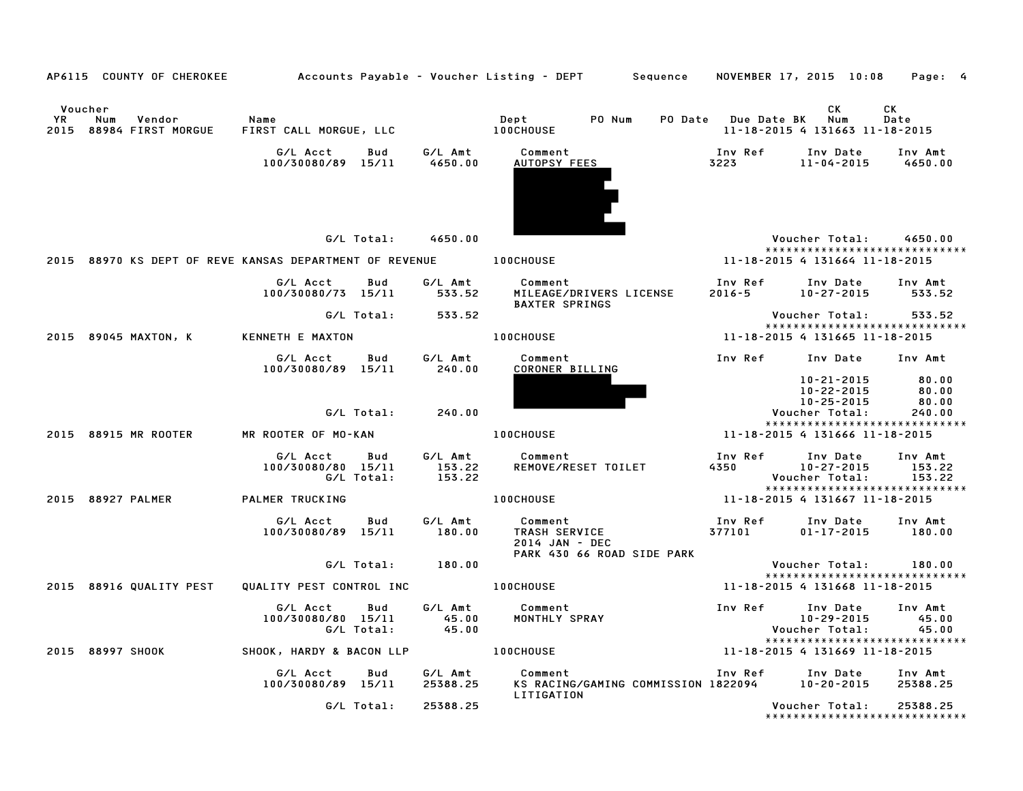|             | AP6115 COUNTY OF CHEROKEE                               |                                              |            |                             | Accounts Payable – Voucher Listing – DEPT         Sequence     NOVEMBER 17, 2015  10:08     Page:  4 |                            |                                                                                 |                                   |
|-------------|---------------------------------------------------------|----------------------------------------------|------------|-----------------------------|------------------------------------------------------------------------------------------------------|----------------------------|---------------------------------------------------------------------------------|-----------------------------------|
| YR.<br>2015 | Voucher<br>Num<br>Vendor<br>88984 FIRST MORGUE          | Name<br>FIRST CALL MORGUE, LLC               |            |                             | Dept<br>PO Num<br><b>100CHOUSE</b>                                                                   | <b>PO Date</b> Due Date BK | CK.<br>Num<br>11-18-2015 4 131663 11-18-2015                                    | CK<br>Date                        |
|             |                                                         | G/L Acct<br>100/30080/89 15/11               | Bud        | G/L Amt<br>4650.00          | Comment<br>AUTOPSY FEES                                                                              | Inv Ref<br>3223 320        | Inv Date<br>$11 - 04 - 2015$                                                    | Inv Amt<br>4650.00                |
|             |                                                         |                                              |            | G/L Total: 4650.00          |                                                                                                      |                            | Voucher Total: 4650.00<br>*****************************                         |                                   |
|             | 2015 88970 KS DEPT OF REVE KANSAS DEPARTMENT OF REVENUE |                                              |            |                             | <b>100CHOUSE</b>                                                                                     |                            | 11-18-2015 4 131664 11-18-2015                                                  |                                   |
|             |                                                         | G/L Acct<br>100/30080/73 15/11               | Bud        | G/L Amt<br>533.52           | Comment<br>MILEAGE/DRIVERS LICENSE<br><b>BAXTER SPRINGS</b>                                          | Inv Ref<br>$2016 - 5$      | Inv Date<br>$10 - 27 - 2015$                                                    | Inv Amt<br>533.52                 |
|             |                                                         | G/L Total:                                   |            | 533.52                      |                                                                                                      |                            | Voucher Total:                                                                  | 533.52                            |
|             | 2015 89045 MAXTON, K                                    | KENNETH E MAXTON                             |            |                             | <b>100CHOUSE</b>                                                                                     |                            | *****************************<br>11-18-2015 4 131665 11-18-2015                 |                                   |
|             |                                                         | G/L Acct<br>100/30080/89 15/11               | Bud        | G/L Amt<br>240.00           | Comment<br>CORONER BILLING                                                                           | Inv Ref                    | Inv Date                                                                        | Inv Amt                           |
|             |                                                         |                                              | G/L Total: | 240.00                      |                                                                                                      |                            | 10-21-2015<br>10-22-2015<br>10-25-2015<br>Voucher Total:                        | 80.00<br>80.00<br>80.00<br>240.00 |
|             |                                                         |                                              |            |                             |                                                                                                      |                            | *****************************                                                   |                                   |
|             | 2015 88915 MR ROOTER                                    | MR ROOTER OF MO-KAN                          |            |                             | <b>100CHOUSE</b>                                                                                     |                            | 11-18-2015 4 131666 11-18-2015                                                  |                                   |
|             |                                                         | G/L Acct<br>100/30080/80 15/11<br>G/L Total: | Bud        | G/L Amt<br>153.22<br>153.22 | Comment<br>REMOVE/RESET TOILET                                                                       | Inv Ref<br>4350            | Inv Date<br>$10 - 27 - 2015$<br>Voucher Total:<br>***************************** | Inv Amt<br>153.22<br>153.22       |
|             | 2015 88927 PALMER                                       | <b>PALMER TRUCKING</b>                       |            |                             | <b>100CHOUSE</b>                                                                                     |                            | 11-18-2015 4 131667 11-18-2015                                                  |                                   |
|             |                                                         | G/L Acct<br>100/30080/89 15/11               | Bud        | G/L Amt<br>180.00           | Comment<br>TRASH SERVICE<br>2014 JAN - DEC<br>PARK 430 66 ROAD SIDE PARK                             | Inv Ref<br>377101          | Inv Date<br>$01 - 17 - 2015$                                                    | Inv Amt<br>180.00                 |
|             |                                                         | G/L Total:                                   |            | 180.00                      |                                                                                                      |                            | Voucher Total:                                                                  | 180.00                            |
|             | 2015 88916 QUALITY PEST                                 | QUALITY PEST CONTROL INC                     |            |                             | <b>100CHOUSE</b>                                                                                     |                            | *****************************<br>11-18-2015 4 131668 11-18-2015                 |                                   |
|             |                                                         | G/L Acct<br>100/30080/80 15/11<br>G/L Total: | Bud        | G/L Amt<br>45.00<br>45.00   | Comment<br>MONTHLY SPRAY                                                                             | Inv Ref                    | Inv Date<br>10-29-2015<br>Voucher Total:                                        | Inv Amt<br>45.00<br>45.00         |
|             | 2015 88997 SHOOK                                        | SHOOK, HARDY & BACON LLP                     |            |                             | <b>100CHOUSE</b>                                                                                     |                            | *****************************<br>11-18-2015 4 131669 11-18-2015                 |                                   |
|             |                                                         | G/L Acct<br>100/30080/89 15/11               | Bud        | G/L Amt<br>25388.25         | Comment<br>KS RACING/GAMING COMMISSION 1822094                                                       | Inv Ref                    | Inv Date<br>10-20-2015                                                          | Inv Amt<br>25388.25               |
|             |                                                         | G/L Total:                                   |            | 25388.25                    | LITIGATION                                                                                           |                            | Voucher Total:<br>*****************************                                 | 25388.25                          |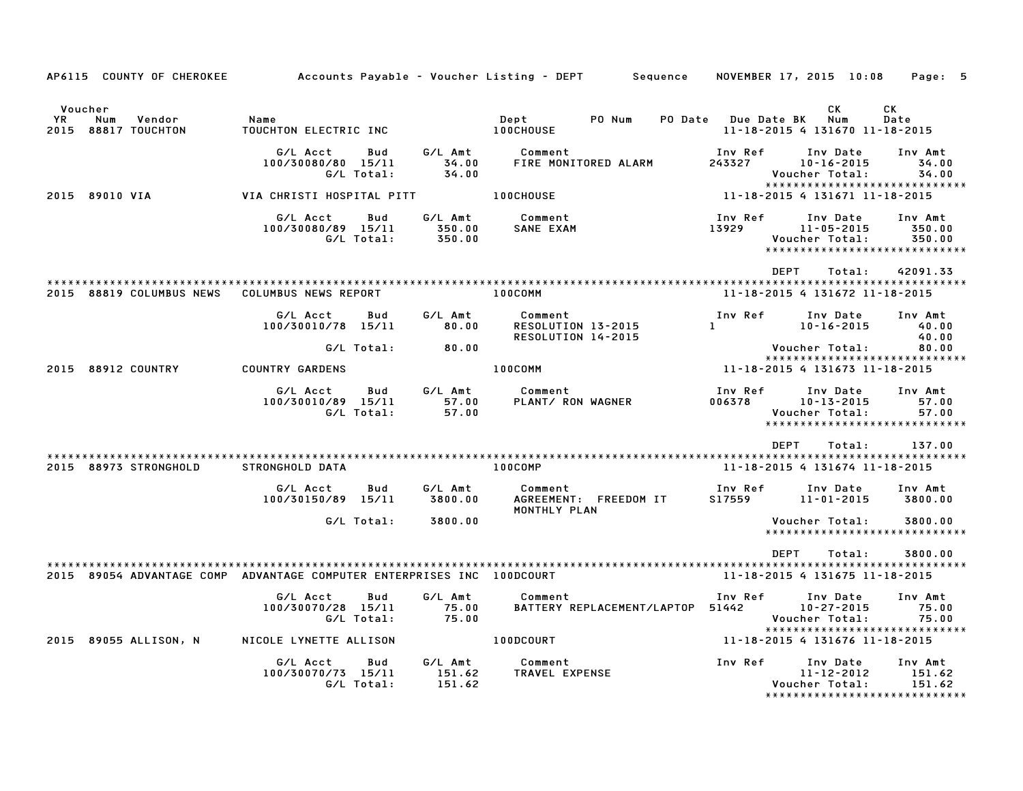| AP6115 COUNTY OF CHEROKEE                                              |                                              |                   |                             | Accounts Payable – Voucher Listing – DEPT         Sequence     NOVEMBER 17, 2015  10:08     Page:   5 |                         |                                                                                  |                                                               |
|------------------------------------------------------------------------|----------------------------------------------|-------------------|-----------------------------|-------------------------------------------------------------------------------------------------------|-------------------------|----------------------------------------------------------------------------------|---------------------------------------------------------------|
| Voucher<br>YR<br>Num<br>Vendor<br>2015 88817 TOUCHTON                  | Name<br>TOUCHTON ELECTRIC INC                |                   |                             | Dept PO Num<br><b>100CHOUSE</b>                                                                       | PO Date Due Date BK     | <b>CK</b><br>Num<br>11-18-2015 4 131670 11-18-2015                               | CK<br>Date                                                    |
|                                                                        | G/L Acct<br>100/30080/80 15/11<br>G/L Total: | Bud               | G/L Amt<br>34.00<br>34.00   | Comment<br>FIRE MONITORED ALARM                                                                       | Inv Ref<br>243327       | Inv Date<br>$10 - 16 - 2015$<br>Voucher Total:                                   | Inv Amt<br>34.00<br>34.00                                     |
| 2015 89010 VIA                                                         | VIA CHRISTI HOSPITAL PITT                    |                   |                             | <b>100CHOUSE</b>                                                                                      |                         | *****************************<br>11-18-2015 4 131671 11-18-2015                  |                                                               |
|                                                                        | G/L Acct<br>100/30080/89 15/11<br>G/L Total: | Bud               | G/L Amt<br>350.00<br>350.00 | Comment<br>SANE EXAM                                                                                  | Inv Ref<br>13929        | Inv Date<br>$11 - 05 - 2015$<br>Voucher Total:<br>****************************** | Inv Amt<br>350.00<br>350.00                                   |
| 2015 88819 COLUMBUS NEWS COLUMBUS NEWS REPORT                          |                                              |                   |                             | 100COMM                                                                                               |                         | <b>DEPT</b><br>Total:<br>11-18-2015 4 131672 11-18-2015                          | 42091.33                                                      |
|                                                                        | G/L Acct<br>100/30010/78 15/11               | Bud               | G/L Amt<br>80.00            | Comment<br>RESOLUTION 13-2015<br>RESOLUTION 14-2015                                                   | Inv Ref<br>$\mathbf{1}$ | Inv Date<br>$10 - 16 - 2015$                                                     | Inv Amt<br>40.00<br>40.00                                     |
|                                                                        |                                              | G/L Total:        | 80.00                       |                                                                                                       |                         | Voucher Total:<br>******************************                                 | 80.00                                                         |
| 2015 88912 COUNTRY                                                     | <b>COUNTRY GARDENS</b>                       |                   |                             | 100COMM                                                                                               |                         | 11-18-2015 4 131673 11-18-2015                                                   |                                                               |
|                                                                        | G/L Acct<br>100/30010/89 15/11<br>G/L Total: | Bud               | G/L Amt<br>57.00<br>57.00   | Comment<br>PLANT/ RON WAGNER                                                                          | Inv Ref<br>006378       | Inv Date<br>$10 - 13 - 2015$<br>Voucher Total:<br>****************************** | Inv Amt<br>57.00<br>57.00                                     |
| 2015 88973 STRONGHOLD                                                  | STRONGHOLD DATA                              |                   |                             | <b>100COMP</b>                                                                                        |                         | DEPT<br>Total:<br>11-18-2015 4 131674 11-18-2015                                 | 137.00                                                        |
|                                                                        | G/L Acct<br>100/30150/89 15/11               | Bud               | G∕L Amt<br>3800.00          | Comment<br>AGREEMENT: FREEDOM IT<br>MONTHLY PLAN                                                      | Inv Ref<br>S17559       | Inv Date<br>11-01-2015                                                           | Inv Amt<br>3800.00                                            |
|                                                                        |                                              | G/L Total:        | 3800.00                     |                                                                                                       |                         | Voucher Total:<br>*****************************                                  | 3800.00                                                       |
| 2015 89054 ADVANTAGE COMP ADVANTAGE COMPUTER ENTERPRISES INC 100DCOURT |                                              |                   |                             |                                                                                                       |                         | DEPT<br>Total:<br>11-18-2015 4 131675 11-18-2015                                 | 3800.00                                                       |
|                                                                        | G/L Acct<br>100/30070/28 15/11<br>G/L Total: | Bud               | G/L Amt<br>75.00<br>75.00   | Comment<br>BATTERY REPLACEMENT/LAPTOP 51442                                                           | Inv Ref                 | Inv Date<br>$10 - 27 - 2015$<br>Voucher Total:<br>****************************** | Inv Amt<br>75.00<br>75.00                                     |
| 2015 89055 ALLISON, N                                                  | NICOLE LYNETTE ALLISON                       |                   |                             | <b>100DCOURT</b>                                                                                      |                         | 11-18-2015 4 131676 11-18-2015                                                   |                                                               |
|                                                                        | G/L Acct<br>100/30070/73 15/11               | Bud<br>G/L Total: | G/L Amt<br>151.62<br>151.62 | Comment<br>TRAVEL EXPENSE                                                                             | Inv Ref                 | Inv Date<br>$11 - 12 - 2012$<br>Voucher Total:                                   | Inv Amt<br>151.62<br>151.62<br>****************************** |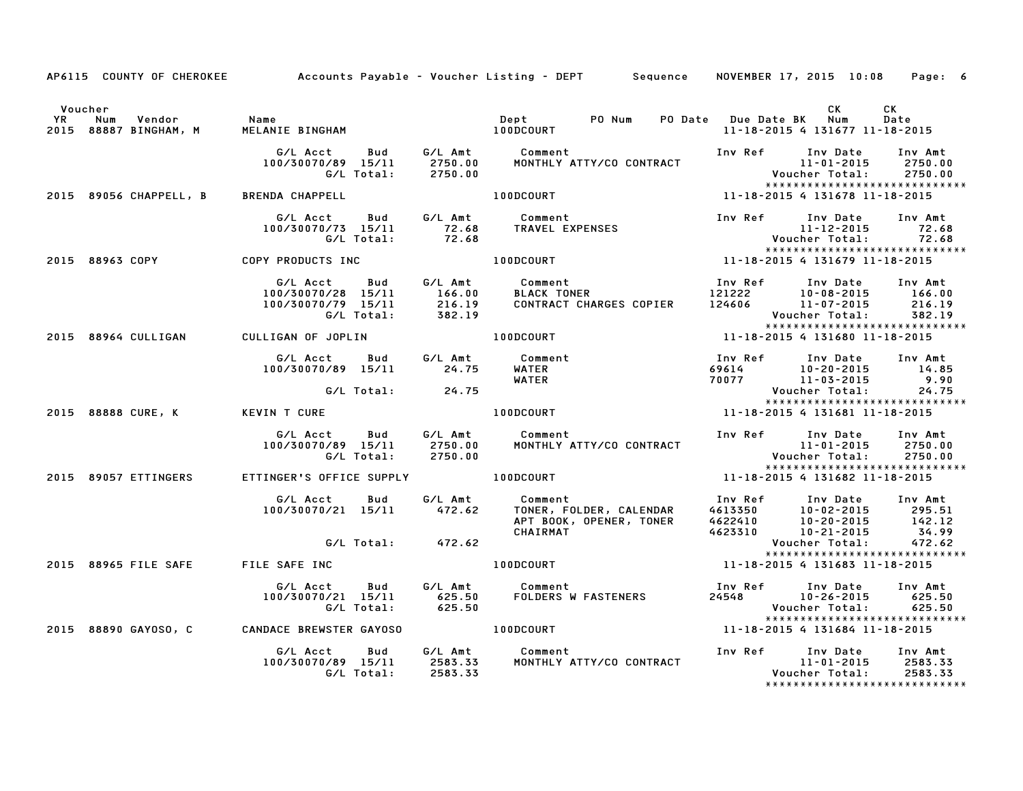|         |                                                        |                                                                      |         | AP6115 COUNTY OF CHEROKEE Accounts Payable - Voucher Listing - DEPT Sequence NOVEMBER 17, 2015 10:08 Page: 6                                                                                                                                                  |                                                                           |                                                                                                            |                               |
|---------|--------------------------------------------------------|----------------------------------------------------------------------|---------|---------------------------------------------------------------------------------------------------------------------------------------------------------------------------------------------------------------------------------------------------------------|---------------------------------------------------------------------------|------------------------------------------------------------------------------------------------------------|-------------------------------|
| Voucher | YR Num Vendor   Name<br>2015 88887 BINGHAM, M   MELANI |                                                                      |         |                                                                                                                                                                                                                                                               | PO Date Due Date BK Num                                                   | CK<br>11-18-2015 4 131677 11-18-2015                                                                       | CK<br>Date                    |
|         |                                                        | G/L Total: 2750.00                                                   |         | MONTHLY ATTY/CO CONTRACT                                                                                                                                                                                                                                      |                                                                           | Inv Ref Inv Date Inv Amt<br>11-01-2015 2750.00<br>Voucher Total: 2750.00<br>****************************** |                               |
|         | 2015 89056 CHAPPELL, B BRENDA CHAPPELL                 |                                                                      |         | 11-18-2015 4 131678 11-18-2015<br><b>100DCOURT</b>                                                                                                                                                                                                            |                                                                           |                                                                                                            |                               |
|         |                                                        | G/L Acct Bud G/L Amt Comment                                         |         | سمر -----<br>100/30070/73 15/11 72.68 TRAVEL EXPENSES<br>G/L Total: 72.68                                                                                                                                                                                     |                                                                           | Inv Ref Inv Date<br>$11 - 12 - 2015$ 72.68<br>Voucher Total: 72.68<br>****************************         | Inv Amt                       |
|         | 2015 88963 COPY COPY PRODUCTS INC                      |                                                                      |         | <b>100DCOURT</b>                                                                                                                                                                                                                                              |                                                                           |                                                                                                            |                               |
|         |                                                        |                                                                      |         | G/L Acct Bud G/L Amt Comment Inv Ref Inv Date Inv Amt<br>100/30070/28 15/11 166.00 BLACK TONER 121222 10–08–2015 166.00<br>100/30070/79 15/11 216.19 CONTRACT CHARGES COPIER 124606 11–07–2015 216.19<br>G/L Total: 382.19                                    |                                                                           |                                                                                                            |                               |
|         | 2015 88964 CULLIGAN                                    | CULLIGAN OF JOPLIN                                                   |         | 11-18-2015 4 131680 11-18-2015<br><b>100DCOURT</b>                                                                                                                                                                                                            |                                                                           | *****************************                                                                              |                               |
|         |                                                        | G/L Acct Bud G/L Amt Comment<br>100/30070/89 15/11 24.75 WATER       |         | WATER                                                                                                                                                                                                                                                         | $\begin{array}{cc} 2.7716 & 10-20-2015 \\ 70077 & 11-03-2015 \end{array}$ | Inv Ref Inv Date Inv Amt                                                                                   | 14.85<br>9.90                 |
|         |                                                        | G/L Total: 24.75                                                     |         |                                                                                                                                                                                                                                                               |                                                                           | Voucher Total:<br>*****************************                                                            | 24.75                         |
|         | 2015 88888 CURE, K KEVIN T CURE                        |                                                                      |         | $11 - 18 - 2015$ 4 $131681$ 11-18-2015<br>100DCOURT                                                                                                                                                                                                           |                                                                           |                                                                                                            |                               |
|         |                                                        |                                                                      |         | G/L Acct Bud G/L Amt Comment<br>100/30070/89 15/11 2750.00 MONTHLY ATTY/CO CONTRACT                                                                                                                                                                           |                                                                           | Inv Ref       Inv Date     Inv Amt<br>11-01-2015      2750.00                                              |                               |
|         | 2015 89057 ETTINGERS                                   | ETTINGER'S OFFICE SUPPLY <b>100DCOURT</b>                            |         |                                                                                                                                                                                                                                                               |                                                                           | 11-18-2015 4 131682 11-18-2015                                                                             |                               |
|         |                                                        | G/L Acct Bud<br>$100/30070/21$ $15/11$ $472.62$                      | G∕L Amt | Comment Inv Ref Inv Date Inv Amt<br>TONER, FOLDER, CALENDAR 4613350 10–02–2015 295.51<br>APT BOOK, OPENER, TONER 4622410 10–20–2015 142.12<br>CHAIRMAT 4623310 10–21–2015 34.99<br>Comment<br>TONER, FOLDER, CALENDAR<br>APT BOOK, OPENER, TONER<br>^''*'PMAT |                                                                           |                                                                                                            |                               |
|         |                                                        | G/L Total: 472.62                                                    |         |                                                                                                                                                                                                                                                               |                                                                           | Voucher Total:                                                                                             | 472.62                        |
|         |                                                        | 2015 88965 FILE SAFE FILE SAFE INC THE RESIDENCE RESIDENCE RELATIONS |         |                                                                                                                                                                                                                                                               |                                                                           | *****************************<br>11-18-2015 4 131683 11-18-2015                                            |                               |
|         |                                                        | G/L Acct Bud<br>100/30070/21 15/11 625.50<br>G/L Total:              | 625.50  | G/L Amt Comment                                                                                                                                                                                                                                               |                                                                           | 24548 10-26-2015 625.50                                                                                    |                               |
|         |                                                        | 2015 88890 GAYOSO, C CANDACE BREWSTER GAYOSO 68890 ACODECOURT        |         |                                                                                                                                                                                                                                                               |                                                                           | *****************************<br>11-18-2015 4 131684 11-18-2015                                            |                               |
|         |                                                        | G/L Acct<br>$100/30070/89$ $15/11$ 2583.33<br>G/L Total:             | 2583.33 | Bud G/L Amt Comment<br>MONTHLY ATTY/CO CONTRACT                                                                                                                                                                                                               |                                                                           | Inv Ref Inv Date<br>11-01-2015<br>Voucher Total:<br>*****************************                          | Inv Amt<br>2583.33<br>2583.33 |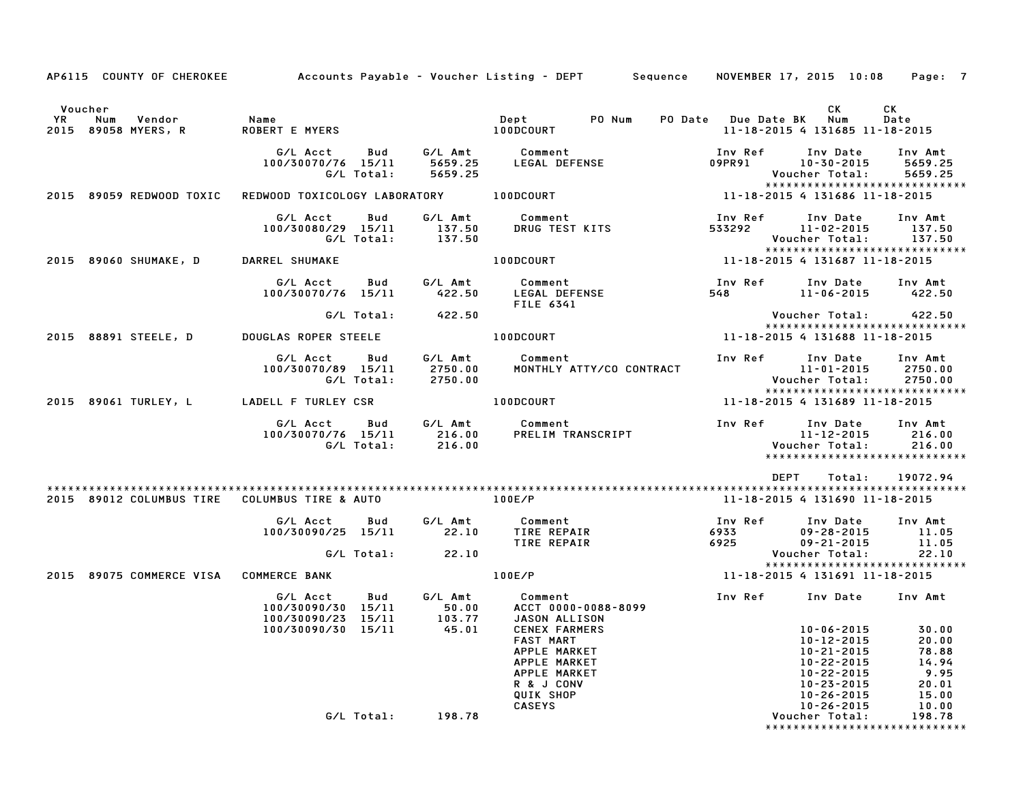| AP6115 COUNTY OF CHEROKEE                             |                                                      |                   |                               | Accounts Payable – Voucher Listing – DEPT         Sequence                                                                    |                         | NOVEMBER 17, 2015 10:08                                                                                                              | Page: 7                                                             |
|-------------------------------------------------------|------------------------------------------------------|-------------------|-------------------------------|-------------------------------------------------------------------------------------------------------------------------------|-------------------------|--------------------------------------------------------------------------------------------------------------------------------------|---------------------------------------------------------------------|
|                                                       |                                                      |                   |                               |                                                                                                                               |                         |                                                                                                                                      |                                                                     |
| Voucher<br>YR<br>Num<br>Vendor<br>2015 89058 MYERS, R | Name<br><b>ROBERT E MYERS</b>                        |                   |                               | Dept<br>PO Num<br><b>100DCOURT</b>                                                                                            | PO Date Due Date BK     | СK<br>Num<br>11-18-2015 4 131685 11-18-2015                                                                                          | CК<br>Date                                                          |
|                                                       | G/L Acct<br>100/30070/76 15/11                       | Bud<br>G/L Total: | G/L Amt<br>5659.25<br>5659.25 | Comment<br>LEGAL DEFENSE                                                                                                      | Inv Ref<br>09PR91       | Inv Date<br>$10 - 30 - 2015$<br>Voucher Total:<br>*****************************                                                      | Inv Amt<br>5659.25<br>5659.25                                       |
| 2015 89059 REDWOOD TOXIC                              | REDWOOD TOXICOLOGY LABORATORY                        |                   |                               | 100DCOURT                                                                                                                     |                         | 11-18-2015 4 131686 11-18-2015                                                                                                       |                                                                     |
|                                                       | G/L Acct<br>100/30080/29 15/11                       | Bud<br>G/L Total: | G/L Amt<br>137.50<br>137.50   | Comment<br>DRUG TEST KITS                                                                                                     | Inv Ref<br>533292       | Inv Date<br>11-02-2015<br>Voucher Total:                                                                                             | Inv Amt<br>137.50<br>137.50                                         |
| 2015 89060 SHUMAKE, D                                 | DARREL SHUMAKE                                       |                   |                               | 100DCOURT                                                                                                                     |                         | *****************************<br>11-18-2015 4 131687 11-18-2015                                                                      |                                                                     |
|                                                       | G/L Acct<br>100/30070/76 15/11                       | Bud               | G/L Amt<br>422.50             | Comment<br>LEGAL DEFENSE<br>FILE 6341                                                                                         | Inv Ref<br>548          | Inv Date<br>11-06-2015                                                                                                               | Inv Amt<br>422.50                                                   |
|                                                       |                                                      | G/L Total:        | 422.50                        |                                                                                                                               |                         | Voucher Total:<br>*****************************                                                                                      | 422.50                                                              |
| 2015 88891 STEELE, D                                  | DOUGLAS ROPER STEELE                                 |                   |                               | 100DCOURT                                                                                                                     |                         | 11-18-2015 4 131688 11-18-2015                                                                                                       |                                                                     |
|                                                       | G/L Acct<br>100/30070/89 15/11                       | Bud<br>G/L Total: | G/L Amt<br>2750.00<br>2750.00 | Comment<br>MONTHLY ATTY/CO CONTRACT                                                                                           | Inv Ref                 | Inv Date<br>11-01-2015<br>Voucher Total:                                                                                             | Inv Amt<br>2750.00<br>2750.00                                       |
| 2015 89061 TURLEY, L                                  | LADELL F TURLEY CSR                                  |                   |                               | 100DCOURT                                                                                                                     |                         | ******************************<br>11-18-2015 4 131689 11-18-2015                                                                     |                                                                     |
|                                                       | G/L Acct<br>100/30070/76 15/11                       | Bud<br>G/L Total: | G/L Amt<br>216.00<br>216.00   | Comment<br>PRELIM TRANSCRIPT                                                                                                  | Inv Ref                 | Inv Date<br>11-12-2015<br>Voucher Total:<br>******************************                                                           | Inv Amt<br>216.00<br>216.00                                         |
|                                                       |                                                      |                   |                               |                                                                                                                               |                         | <b>DEPT</b><br>Total:                                                                                                                | 19072.94                                                            |
| 2015 89012 COLUMBUS TIRE COLUMBUS TIRE & AUTO         |                                                      |                   |                               | 100E/P                                                                                                                        |                         | 11-18-2015 4 131690 11-18-2015                                                                                                       |                                                                     |
|                                                       | G/L Acct<br>100/30090/25 15/11                       | Bud               | G/L Amt<br>22.10              | Comment<br>TIRE REPAIR<br>TIRE REPAIR                                                                                         | Inv Ref<br>6933<br>6925 | Inv Date<br>$09 - 28 - 2015$<br>$09 - 21 - 2015$                                                                                     | Inv Amt<br>11.05<br>11.05                                           |
|                                                       |                                                      | G/L Total:        | 22.10                         |                                                                                                                               |                         | Voucher Total:<br>*****************************                                                                                      | 22.10                                                               |
| 2015 89075 COMMERCE VISA                              | <b>COMMERCE BANK</b>                                 |                   |                               | 100E/P                                                                                                                        |                         | 11-18-2015 4 131691 11-18-2015                                                                                                       |                                                                     |
|                                                       | G/L Acct<br>100/30090/30 15/11<br>100/30090/23 15/11 | Bud               | G/L Amt<br>50.00<br>103.77    | Comment<br>ACCT 0000-0088-8099<br>JASON ALLISON                                                                               | Inv Ref                 | Inv Date                                                                                                                             | Inv Amt                                                             |
|                                                       | 100/30090/30 15/11                                   |                   | 45.01                         | <b>CENEX FARMERS</b><br>FAST MART<br>APPLE MARKET<br>APPLE MARKET<br>APPLE MARKET<br>R & J CONV<br>QUIK SHOP<br><b>CASEYS</b> |                         | 10-06-2015<br>10-12-2015<br>$10 - 21 - 2015$<br>$10 - 22 - 2015$<br>10-22-2015<br>10-23-2015<br>$10 - 26 - 2015$<br>$10 - 26 - 2015$ | 30.00<br>20.00<br>78.88<br>14.94<br>9.95<br>20.01<br>15.00<br>10.00 |
|                                                       |                                                      | G/L Total:        | 198.78                        |                                                                                                                               |                         | Voucher Total:<br>*****************************                                                                                      | 198.78                                                              |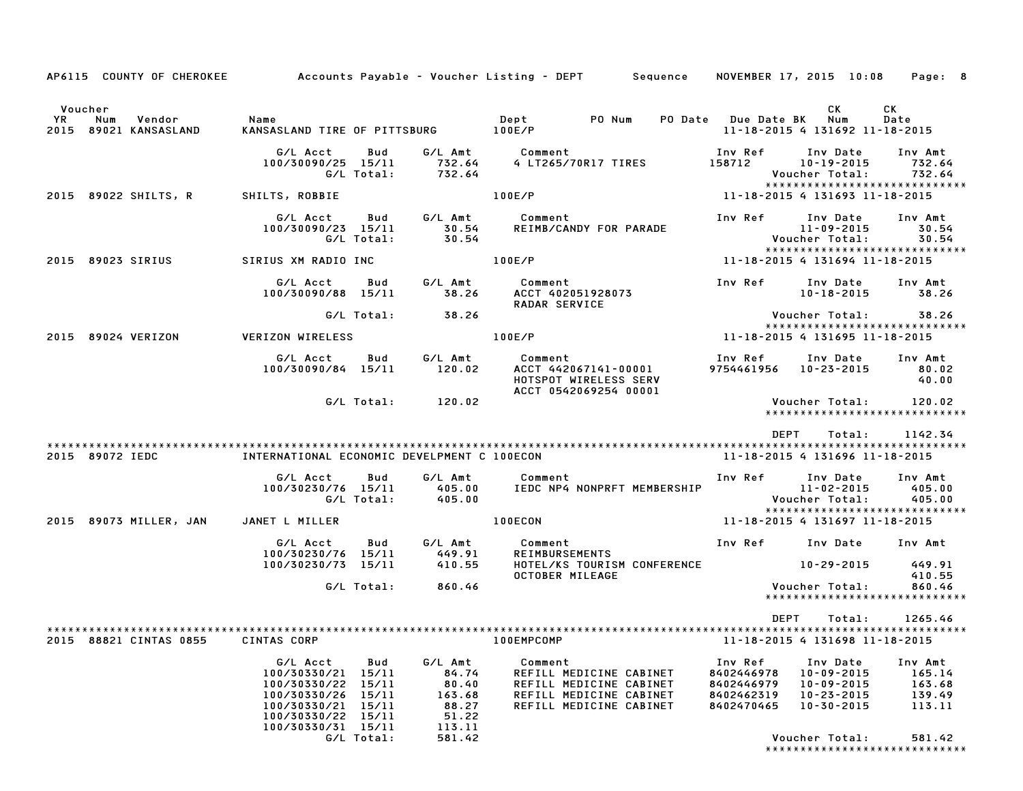| AP6115 COUNTY OF CHEROKEE                     |                                                                                                                                                                      |                                                                           | Accounts Pavable – Voucher Listing – DEPT         Sequence                                                          |                                                                 | NOVEMBER 17, 2015 10:08                                                                        | Page: 8                                                   |
|-----------------------------------------------|----------------------------------------------------------------------------------------------------------------------------------------------------------------------|---------------------------------------------------------------------------|---------------------------------------------------------------------------------------------------------------------|-----------------------------------------------------------------|------------------------------------------------------------------------------------------------|-----------------------------------------------------------|
| Voucher                                       |                                                                                                                                                                      |                                                                           |                                                                                                                     |                                                                 | СK                                                                                             | СK                                                        |
| YR.<br>Num<br>Vendor<br>2015 89021 KANSASLAND | Name<br>KANSASLAND TIRE OF PITTSBURG                                                                                                                                 |                                                                           | Dept<br>PO Num<br>PO Date<br>100E/P                                                                                 | <b>Due Date BK</b>                                              | Num<br>11-18-2015 4 131692 11-18-2015                                                          | Date                                                      |
|                                               | G/L Acct<br>Bud<br>100/30090/25 15/11<br>G/L Total:                                                                                                                  | G/L Amt<br>732.64<br>732.64                                               | Comment<br>4 LT265/70R17 TIRES                                                                                      | Inv Ref<br>158712                                               | Inv Date<br>$10 - 19 - 2015$<br>Voucher Total:<br>*****************************                | Inv Amt<br>732.64<br>732.64                               |
| 89022 SHILTS, R<br>2015                       | SHILTS, ROBBIE                                                                                                                                                       |                                                                           | 100E/P                                                                                                              |                                                                 | 11-18-2015 4 131693 11-18-2015                                                                 |                                                           |
|                                               | G/L Acct<br>Bud<br>100/30090/23 15/11<br>G/L Total:                                                                                                                  | G/L Amt<br>30.54<br>30.54                                                 | Comment<br>REIMB/CANDY FOR PARADE                                                                                   | Inv Ref                                                         | Inv Date<br>11-09-2015<br>Voucher Total:<br>*****************************                      | Inv Amt<br>30.54<br>30.54                                 |
| 2015 89023 SIRIUS                             | SIRIUS XM RADIO INC                                                                                                                                                  |                                                                           | 100E/P                                                                                                              |                                                                 | 11-18-2015 4 131694 11-18-2015                                                                 |                                                           |
|                                               | G/L Acct<br>Bud<br>100/30090/88 15/11                                                                                                                                | G/L Amt<br>38.26                                                          | Comment<br>ACCT 402051928073<br><b>RADAR SERVICE</b>                                                                | Inv Ref                                                         | Inv Date<br>10-18-2015                                                                         | Inv Amt<br>38.26                                          |
|                                               | G/L Total:                                                                                                                                                           | 38.26                                                                     |                                                                                                                     |                                                                 | Voucher Total:<br>*****************************                                                | 38.26                                                     |
| 89024 VERIZON<br>2015                         | <b>VERIZON WIRELESS</b>                                                                                                                                              |                                                                           | 100E/P                                                                                                              | 11-18-2015 4 131695 11-18-2015                                  |                                                                                                |                                                           |
|                                               | G/L Acct<br>Bud<br>100/30090/84 15/11                                                                                                                                | G/L Amt<br>120.02                                                         | Comment<br>ACCT 442067141-00001<br>HOTSPOT WIRELESS SERV<br>ACCT 0542069254 00001                                   | Inv Ref<br>9754461956                                           | Inv Date<br>$10 - 23 - 2015$                                                                   | Inv Amt<br>80.02<br>40.00                                 |
|                                               | G/L Total:                                                                                                                                                           | 120.02                                                                    |                                                                                                                     |                                                                 | Voucher Total:<br>******************************                                               | 120.02                                                    |
| 2015 89072 IEDC                               | INTERNATIONAL ECONOMIC DEVELPMENT C 100ECON                                                                                                                          |                                                                           |                                                                                                                     | <b>DEPT</b>                                                     | Total:<br>11-18-2015 4 131696 11-18-2015                                                       | 1142.34                                                   |
|                                               | G/L Acct<br>Bud<br>100/30230/76 15/11                                                                                                                                | G/L Amt<br>405.00                                                         | Comment<br>IEDC NP4 NONPRFT MEMBERSHIP                                                                              | Inv Ref                                                         | Inv Date<br>11-02-2015                                                                         | Inv Amt<br>405.00                                         |
|                                               | G/L Total:                                                                                                                                                           | 405.00                                                                    |                                                                                                                     |                                                                 | Voucher Total:<br>*****************************                                                | 405.00                                                    |
| 2015 89073 MILLER, JAN                        | JANET L MILLER                                                                                                                                                       |                                                                           | 100ECON                                                                                                             |                                                                 | 11-18-2015 4 131697 11-18-2015                                                                 |                                                           |
|                                               | G/L Acct<br>Bud<br>100/30230/76 15/11                                                                                                                                | G/L Amt<br>449.91                                                         | Comment<br><b>REIMBURSEMENTS</b>                                                                                    | Inv Ref                                                         | Inv Date                                                                                       | Inv Amt                                                   |
|                                               | 100/30230/73 15/11                                                                                                                                                   | 410.55                                                                    | HOTEL/KS TOURISM CONFERENCE<br><b>OCTOBER MILEAGE</b>                                                               |                                                                 | 10-29-2015                                                                                     | 449.91<br>410.55                                          |
|                                               | G/L Total:                                                                                                                                                           | 860.46                                                                    |                                                                                                                     |                                                                 | Voucher Total:<br>*****************************                                                | 860.46                                                    |
|                                               |                                                                                                                                                                      |                                                                           |                                                                                                                     | DEPT                                                            | Total:                                                                                         | 1265.46                                                   |
| 2015 88821 CINTAS 0855                        | CINTAS CORP                                                                                                                                                          |                                                                           | 100EMPCOMP                                                                                                          |                                                                 | 11-18-2015 4 131698 11-18-2015                                                                 |                                                           |
|                                               | G/L Acct<br>Bud<br>100/30330/21<br>15/11<br>100/30330/22 15/11<br>100/30330/26 15/11<br>100/30330/21 15/11<br>100/30330/22 15/11<br>100/30330/31 15/11<br>G/L Total: | G/L Amt<br>84.74<br>80.40<br>163.68<br>88.27<br>51.22<br>113.11<br>581.42 | Comment<br>REFILL MEDICINE CABINET<br>REFILL MEDICINE CABINET<br>REFILL MEDICINE CABINET<br>REFILL MEDICINE CABINET | Inv Ref<br>8402446978<br>8402446979<br>8402462319<br>8402470465 | Inv Date<br>10-09-2015<br>$10 - 09 - 2015$<br>10-23-2015<br>$10 - 30 - 2015$<br>Voucher Total: | Inv Amt<br>165.14<br>163.68<br>139.49<br>113.11<br>581.42 |
|                                               |                                                                                                                                                                      |                                                                           |                                                                                                                     |                                                                 | * * * * * * * * * * * * * * * * *                                                              | * * * * * * * * *                                         |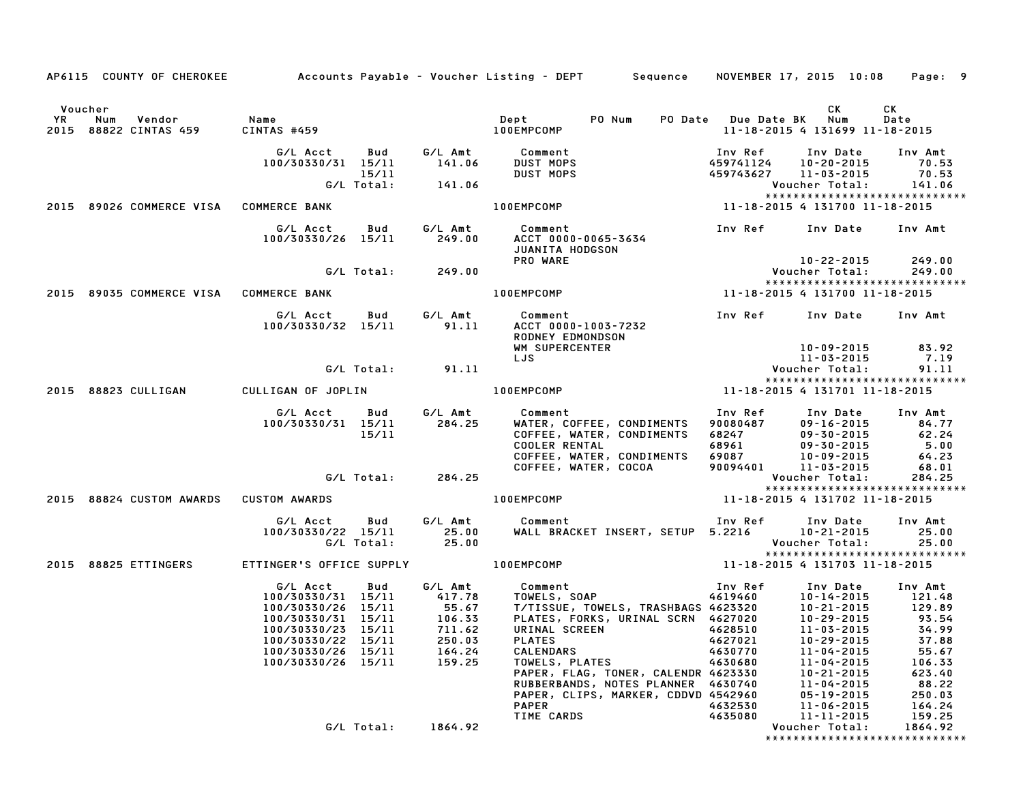|    |                                                        |                                                                                                                                                                    |       |                                                                                                 | AP6115 COUNTY OF CHEROKEE Accounts Payable - Voucher Listing - DEPT Sequence NOVEMBER 17, 2015 10:08                                                                                                                                                           |                                              |                                                                 | Page: 9                                                                                                          |
|----|--------------------------------------------------------|--------------------------------------------------------------------------------------------------------------------------------------------------------------------|-------|-------------------------------------------------------------------------------------------------|----------------------------------------------------------------------------------------------------------------------------------------------------------------------------------------------------------------------------------------------------------------|----------------------------------------------|-----------------------------------------------------------------|------------------------------------------------------------------------------------------------------------------|
| YR | Voucher<br>Vendor Name<br>Num<br>2015 88822 CINTAS 459 | CINTAS #459                                                                                                                                                        |       |                                                                                                 | Dept PO Num PO Date Due Date BK Num<br>100EMPCOMP                                                                                                                                                                                                              |                                              | CK<br>11-18-2015 4 131699 11-18-2015                            | CK<br>Date                                                                                                       |
|    |                                                        |                                                                                                                                                                    |       | 15/11<br>G/L Total: 141.06                                                                      | G/L Acct Bud G/L Amt Comment<br>100/30330/31 15/11 141.06 DUST MOPS<br><b>DUST MOPS<br/>DUST MOPS</b>                                                                                                                                                          | Inv Ref<br>459741124<br>459743627 11-03-2015 | Inv Date<br>10-20-2015<br>Voucher Total:                        | Inv Amt<br>70.53<br>70.53<br>141.06                                                                              |
|    | 2015 89026 COMMERCE VISA COMMERCE BANK                 |                                                                                                                                                                    |       |                                                                                                 |                                                                                                                                                                                                                                                                |                                              | *****************************                                   |                                                                                                                  |
|    |                                                        | G/L Acct<br>100/30330/26 15/11 249.00                                                                                                                              |       | Bud G/L Amt                                                                                     | Comment<br>ACCT 0000-0065-3634<br>JUANITA HODGSON                                                                                                                                                                                                              |                                              | Inv Ref      Inv Date     Inv Amt                               |                                                                                                                  |
|    |                                                        |                                                                                                                                                                    |       | G/L Total: 249.00                                                                               | PRO WARE                                                                                                                                                                                                                                                       |                                              | 10-22-2015                                                      | 249.00<br>249.00                                                                                                 |
|    | 2015 89035 COMMERCE VISA COMMERCE BANK                 |                                                                                                                                                                    |       |                                                                                                 |                                                                                                                                                                                                                                                                |                                              |                                                                 |                                                                                                                  |
|    |                                                        |                                                                                                                                                                    |       |                                                                                                 | G/L Acct  Bud  G/L Amt  Comment<br>100/30330/32 15/11  91.11  ACCT  0000-1003-7232<br><b>RODNEY EDMONDSON</b><br>WM SUPERCENTER                                                                                                                                |                                              | Inv Ref Inv Date Inv Amt<br>$10 - 09 - 2015$ 83.92              |                                                                                                                  |
|    |                                                        |                                                                                                                                                                    |       | G/L Total: 91.11                                                                                | LJS                                                                                                                                                                                                                                                            |                                              |                                                                 | 7.19<br>91.11                                                                                                    |
|    |                                                        |                                                                                                                                                                    |       |                                                                                                 |                                                                                                                                                                                                                                                                |                                              | *****************************                                   |                                                                                                                  |
|    | 2015 88823 CULLIGAN CULLIGAN OF JOPLIN                 |                                                                                                                                                                    |       |                                                                                                 | 100EMPCOMP                                                                                                                                                                                                                                                     |                                              |                                                                 |                                                                                                                  |
|    |                                                        | G/L Acct Bud<br>100/30330/31 15/11                                                                                                                                 | 15/11 | G/L Amt<br>284.25                                                                               | Comment<br>WATER, COFFEE, CONDIMENTS 90080487<br>COFFEE, WATER, CONDIMENTS 68247 09-30-2015<br>COOLER RENTAL 68961 09-30-2015<br>COFFEE, WATER, CONDIMENTS 69087 10-09-2015<br>COFFEE, WATER, COCOA 90094401 11-03-2015<br>COFFEE, WATER, COCOA                | Inv Ref                                      | Inv Date<br>09-16-2015                                          | Inv Amt<br>84.77<br>62.24<br>5.00<br>64.23<br>68.01                                                              |
|    |                                                        |                                                                                                                                                                    |       | G/L Total: 284.25                                                                               |                                                                                                                                                                                                                                                                |                                              | Voucher Total:                                                  | 284.25                                                                                                           |
|    | 2015 88824 CUSTOM AWARDS CUSTOM AWARDS                 |                                                                                                                                                                    |       |                                                                                                 | <b>100EMPCOMP</b>                                                                                                                                                                                                                                              |                                              | *****************************<br>11-18-2015 4 131702 11-18-2015 |                                                                                                                  |
|    |                                                        | G/L Acct Bud<br>100/30330/22 15/11 25.00<br>G/L Total: 25.00                                                                                                       |       |                                                                                                 | G/L Amt Comment                                                                                                                                                                                                                                                |                                              | *****************************                                   | Inv Amt<br>25.00<br>25.00                                                                                        |
|    |                                                        |                                                                                                                                                                    |       |                                                                                                 | 2015 88825 ETTINGERS ETTINGER'S OFFICE SUPPLY 100EMPCOMP 100 2015 11-18-2015 4 131703 11-18-2015                                                                                                                                                               |                                              |                                                                 |                                                                                                                  |
|    |                                                        | G/L Acct<br>100/30330/31 15/11<br>100/30330/26 15/11<br>100/30330/31 15/11<br>100/30330/23 15/11<br>100/30330/22 15/11<br>100/30330/26 15/11<br>100/30330/26 15/11 | Bud   | G/L Amt<br>417.78<br>417.78<br>55.67<br>55.67<br>106.33<br>711.62<br>250.03<br>164.24<br>159.25 | dentify the comment<br>COMP<br>COMP<br>11-16<br>COMP<br>11-16<br>COMP<br>TOWELS, SOAP<br>TOWELS, TOWELS, TRASHBAGS 4623320<br>10-21-2015<br>PLATES, FORKS, URINAL SCRN 4627020<br>11-03-2015<br>"BINAL SCREEN<br>"BINAL SCREEN<br>"BINAL SCREEN<br>4620701<br> |                                              |                                                                 | Inv Amt<br>121.48<br>129.89<br>93.54<br>34.99<br>37.88<br>55.67<br>106.33<br>623.40<br>88.22<br>250.03<br>164.24 |
|    |                                                        |                                                                                                                                                                    |       | G/L Total: 1864.92                                                                              |                                                                                                                                                                                                                                                                |                                              | *******************************                                 | 159.25<br>1864.92                                                                                                |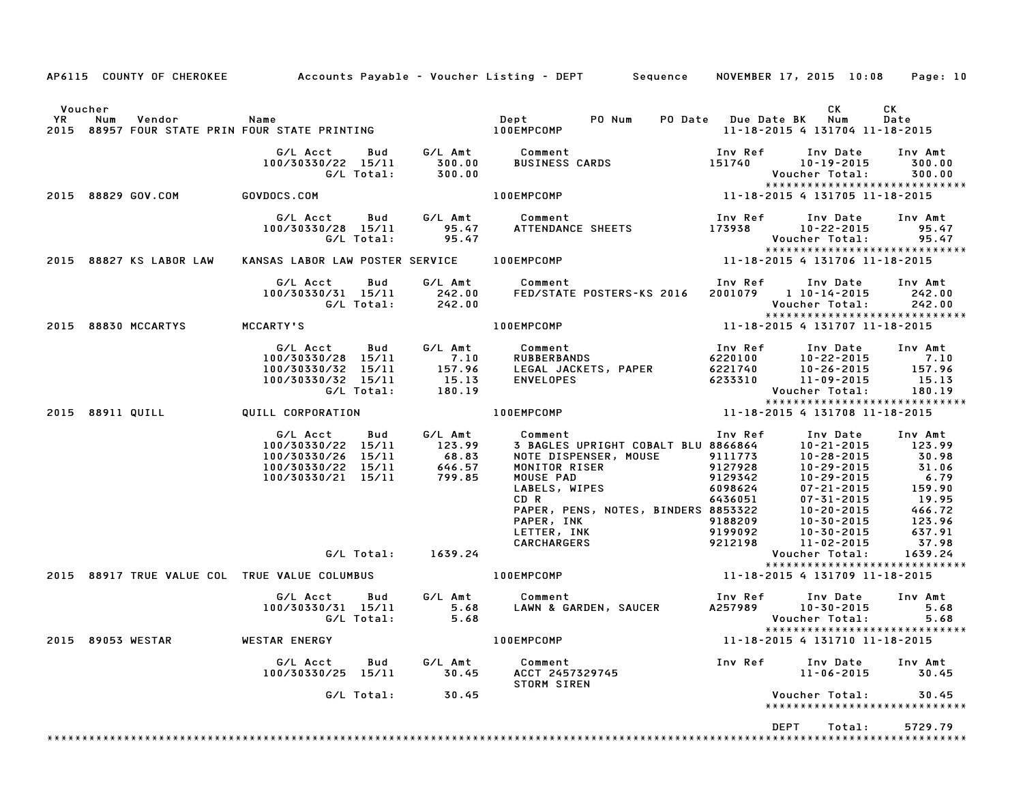|         |                                                                                             |                                                                                                  |                   |                                                              | AP6115 COUNTY OF CHEROKEE Accounts Payable - Voucher Listing - DEPT Sequence NOVEMBER 17, 2015 10:08                                                                                                                     |                                                                                                 |                                                                                                                                                                        | Page: 10                                                                                              |
|---------|---------------------------------------------------------------------------------------------|--------------------------------------------------------------------------------------------------|-------------------|--------------------------------------------------------------|--------------------------------------------------------------------------------------------------------------------------------------------------------------------------------------------------------------------------|-------------------------------------------------------------------------------------------------|------------------------------------------------------------------------------------------------------------------------------------------------------------------------|-------------------------------------------------------------------------------------------------------|
| Voucher | YR Num Vendor – Name<br>2015 88957 FOUR STATE PRIN FOUR STATE PRINTING – – – – – 100EMPCOMP |                                                                                                  |                   |                                                              | PO Num                                                                                                                                                                                                                   | PO Date Due Date BK                                                                             | CK<br>Num<br>11-18-2015 4 131704 11-18-2015                                                                                                                            | CK<br>Date                                                                                            |
|         |                                                                                             | G/L Acct   Bud<br>100/30330/22 15/11                                                             | G/L Total:        | 300.00<br>300.00                                             | G/L Amt Comment<br><b>BUSINESS CARDS</b>                                                                                                                                                                                 | Inv Ref<br>151740                                                                               | Inv Date<br>10-19-2015<br>Voucher Total:<br>*****************************                                                                                              | Inv Amt<br>300.00<br>300.00                                                                           |
|         | 2015 88829 GOV.COM                                                                          | <b>GOVDOCS.COM</b>                                                                               |                   |                                                              | 100EMPCOMP                                                                                                                                                                                                               |                                                                                                 | 11-18-2015 4 131705 11-18-2015                                                                                                                                         |                                                                                                       |
|         |                                                                                             | G/L Acct<br>100/30330/28 15/11                                                                   | Bud<br>G/L Total: | 95.47<br>95.47                                               | G/L Amt Comment<br>ATTENDANCE SHEETS                                                                                                                                                                                     | Inv Ref<br>173938                                                                               | Inv Date<br>10-22-2015<br>Voucher Total:<br>*****************************                                                                                              | Inv Amt<br>95.47<br>95.47                                                                             |
|         | 2015 88827 KS LABOR LAW                                                                     | KANSAS LABOR LAW POSTER SERVICE                                                                  |                   |                                                              | <b>100EMPCOMP</b>                                                                                                                                                                                                        |                                                                                                 | 11-18-2015 4 131706 11-18-2015                                                                                                                                         |                                                                                                       |
|         |                                                                                             | G/L Acct<br>100/30330/31 15/11                                                                   | Bud<br>G/L Total: | G/L Amt<br>242.00<br>242.00                                  | Comment<br>FED/STATE POSTERS-KS 2016                                                                                                                                                                                     | Inv Ref                                                                                         | Inv Date<br>2001079 1 10-14-2015<br>Voucher Total:<br>*****************************                                                                                    | Inv Amt<br>242.00<br>242.00                                                                           |
|         | 2015 88830 MCCARTYS                                                                         | MCCARTY'S                                                                                        |                   |                                                              | 100EMPCOMP                                                                                                                                                                                                               |                                                                                                 | 11-18-2015 4 131707 11-18-2015                                                                                                                                         |                                                                                                       |
|         |                                                                                             | G/L Acct<br>100/30330/28 15/11<br>100/30330/32 15/11<br>100/30330/32 15/11                       | Bud<br>G/L Total: | G/L Amt<br>7.10<br>157.96<br>15.13<br>180.19                 | Comment<br><b>RUBBERBANDS</b><br>LEGAL JACKETS, PAPER<br><b>ENVELOPES</b>                                                                                                                                                | Inv Ref<br>6220100<br>6221740<br>6233310                                                        | Inv Date<br>10-22-2015<br>$10 - 26 - 2015$<br>11-09-2015<br>Voucher Total:<br>******************************                                                           | Inv Amt<br>7.10<br>157.96<br>15.13<br>180.19                                                          |
|         | 2015 88911 QUILL                                                                            | QUILL CORPORATION                                                                                |                   |                                                              | 100EMPCOMP                                                                                                                                                                                                               |                                                                                                 | 11-18-2015 4 131708 11-18-2015                                                                                                                                         |                                                                                                       |
|         |                                                                                             | G/L Acct<br>100/30330/22 15/11<br>100/30330/26 15/11<br>100/30330/22 15/11<br>100/30330/21 15/11 | Bud               | G/L Amt<br>123.99<br>$68.83$<br>$646$ 57<br>646.57<br>799.85 | Comment<br>3 BAGLES UPRIGHT COBALT BLU 8866864<br>NOTE DISPENSER, MOUSE<br>MONITOR RISER<br>MOUSE PAD<br>LABELS, WIPES<br>CD R<br>PAPER, PENS, NOTES, BINDERS 8853322<br>PAPER, INK<br>LETTER, INK<br><b>CARCHARGERS</b> | Inv Ref<br>9111773<br>9127928<br>9129342<br>6098624<br>6436051<br>9188209<br>9199092<br>9212198 | Inv Date<br>$10 - 21 - 2015$<br>10-28-2015<br>10-29-2015<br>10-29-2015<br>$07 - 21 - 2015$<br>$07 - 31 - 2015$<br>10-20-2015<br>10-30-2015<br>10-30-2015<br>11-02-2015 | Inv Amt<br>123.99<br>30.98<br>31.06<br>6.79<br>159.90<br>19.95<br>466.72<br>123.96<br>637.91<br>37.98 |
|         |                                                                                             |                                                                                                  |                   | G/L Total: 1639.24                                           |                                                                                                                                                                                                                          |                                                                                                 | Voucher Total:<br>*****************************                                                                                                                        | 1639.24                                                                                               |
|         | 2015 88917 TRUE VALUE COL TRUE VALUE COLUMBUS                                               |                                                                                                  |                   |                                                              | 100EMPCOMP                                                                                                                                                                                                               |                                                                                                 | 11-18-2015 4 131709 11-18-2015                                                                                                                                         |                                                                                                       |
|         |                                                                                             | G/L Acct<br>100/30330/31 15/11                                                                   | Bud<br>G/L Total: | 5.68<br>5.68                                                 | G/L Amt Comment<br>LAWN & GARDEN, SAUCER                                                                                                                                                                                 | Inv Ref                                                                                         | Inv Date<br>A257989 10-30-2015<br>Voucher Total:<br>******************************                                                                                     | Inv Amt<br>5.68<br>5.68                                                                               |
|         | 2015 89053 WESTAR                                                                           | <b>WESTAR ENERGY</b>                                                                             |                   |                                                              | <b>100EMPCOMP</b>                                                                                                                                                                                                        |                                                                                                 | 11-18-2015 4 131710 11-18-2015                                                                                                                                         |                                                                                                       |
|         |                                                                                             | G/L Acct<br>100/30330/25 15/11                                                                   | Bud               | G/L Amt<br>30.45                                             | Comment<br>ACCT 2457329745<br>STORM SIREN                                                                                                                                                                                | Inv Ref                                                                                         | Inv Date<br>11-06-2015                                                                                                                                                 | Inv Amt<br>30.45                                                                                      |
|         |                                                                                             |                                                                                                  | G/L Total:        | 30.45                                                        |                                                                                                                                                                                                                          |                                                                                                 | Voucher Total:<br>*****************************                                                                                                                        | 30.45                                                                                                 |
|         |                                                                                             |                                                                                                  |                   |                                                              |                                                                                                                                                                                                                          |                                                                                                 | <b>DEPT</b><br>Total:                                                                                                                                                  | 5729.79                                                                                               |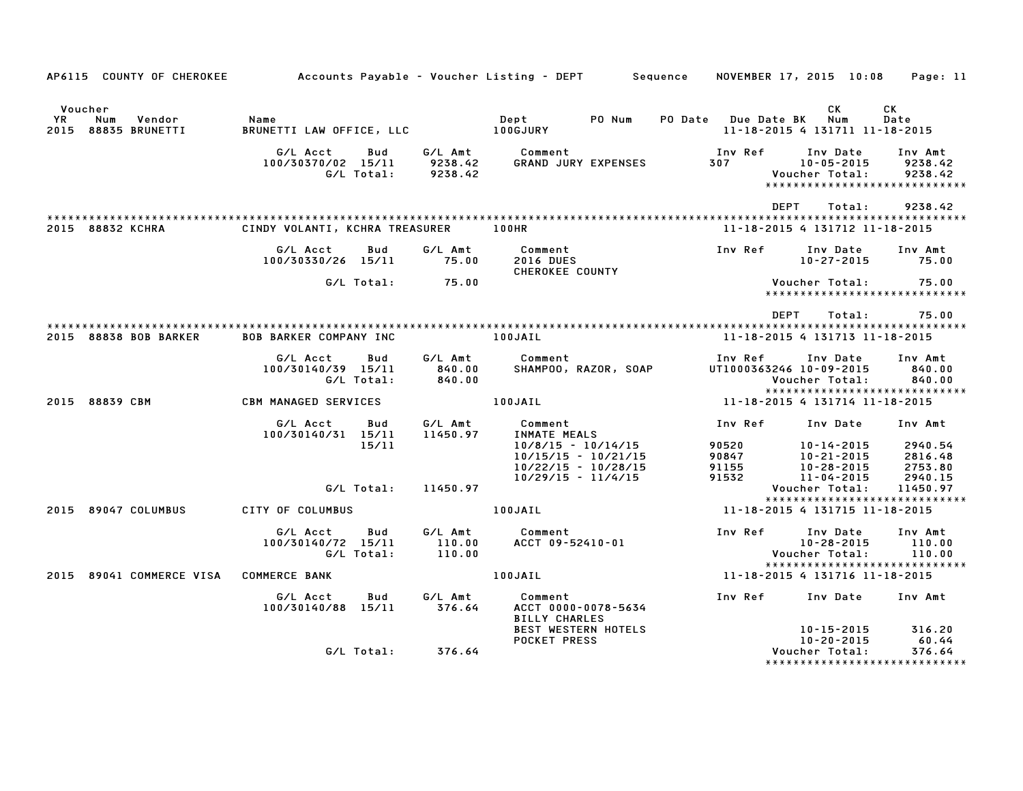| AP6115 COUNTY OF CHEROKEE Accounts Payable – Voucher Listing – DEPT Sequence |                                      |                   |                               |                                                                                                |                                    |                                                  | NOVEMBER 17, 2015 10:08 Page: 11                               |
|------------------------------------------------------------------------------|--------------------------------------|-------------------|-------------------------------|------------------------------------------------------------------------------------------------|------------------------------------|--------------------------------------------------|----------------------------------------------------------------|
| Voucher<br>YR<br>Num<br>Vendor<br>2015 88835 BRUNETTI                        | Name<br>BRUNETTI LAW OFFICE, LLC     |                   |                               | PO Num<br>Dept<br>100GJURY                                                                     | PO Date Due Date BK                | CK<br>Num<br>11-18-2015 4 131711 11-18-2015      | CK<br>Date                                                     |
|                                                                              | G/L Acct<br>100/30370/02 15/11       | Bud<br>G/L Total: | G/L Amt<br>9238.42<br>9238.42 | Comment<br><b>GRAND JURY EXPENSES</b>                                                          | Inv Ref<br>307 300                 | Inv Date<br>10-05-2015<br>Voucher Total:         | Inv Amt<br>9238.42<br>9238.42<br>***************************** |
| 2015 88832 KCHRA                                                             | CINDY VOLANTI, KCHRA TREASURER 100HR |                   |                               |                                                                                                | DEPT                               | Total:<br>11-18-2015 4 131712 11-18-2015         | 9238.42                                                        |
|                                                                              | G/L Acct<br>100/30330/26 15/11       | Bud               | G/L Amt<br>75.00              | Comment<br><b>2016 DUES</b>                                                                    | Inv Ref                            | Inv Date<br>$10 - 27 - 2015$                     | Inv Amt<br>75.00                                               |
|                                                                              |                                      | G/L Total:        | 75.00                         | <b>CHEROKEE COUNTY</b>                                                                         |                                    | Voucher Total:                                   | 75.00<br>*****************************                         |
|                                                                              |                                      |                   |                               |                                                                                                | DEPT                               | Total:                                           | 75.00                                                          |
| 2015 88838 BOB BARKER                                                        | <b>BOB BARKER COMPANY INC</b>        |                   |                               | 100JAIL                                                                                        | 11-18-2015 4 131713 11-18-2015     |                                                  |                                                                |
|                                                                              | G/L Acct<br>100/30140/39 15/11       | Bud<br>G/L Total: | G/L Amt<br>840.00<br>840.00   | Comment<br>SHAMPOO, RAZOR, SOAP                                                                | Inv Ref<br>UT1000363246 10-09-2015 | Inv Date<br>Voucher Total:                       | Inv Amt<br>840.00<br>840.00                                    |
| 2015 88839 CBM                                                               | <b>CBM MANAGED SERVICES</b>          |                   |                               | 100JAIL                                                                                        | 11-18-2015 4 131714 11-18-2015     |                                                  | *****************************                                  |
|                                                                              | G/L Acct<br>100/30140/31 15/11       | Bud<br>15/11      | G/L Amt<br>11450.97           | Comment<br>_________<br>INMATE_MEALS<br>10/9/1-<br>10/8/15 - 10/14/15<br>$10/15/15 - 10/21/15$ | Inv Ref<br>90520<br>90847          | Inv Date<br>10-14-2015<br>10-21-2015             | Inv Amt<br>2940.54<br>2816.48                                  |
|                                                                              |                                      | G/L Total:        | 11450.97                      | $10/22/15 - 10/28/15$<br>$10/29/15 - 11/4/15$                                                  | 91155<br>91532                     | 10-28-2015<br>11-04-2015<br>Voucher Total:       | 2753.80<br>2940.15<br>11450.97                                 |
| 2015 89047 COLUMBUS                                                          | CITY OF COLUMBUS                     |                   |                               | 100JAIL                                                                                        | 11-18-2015 4 131715 11-18-2015     |                                                  | *****************************                                  |
|                                                                              | G/L Acct<br>100/30140/72 15/11       | Bud<br>G/L Total: | G/L Amt<br>110.00<br>110.00   | Comment<br>ACCT 09-52410-01                                                                    | Inv Ref                            | Inv Date<br>10-28-2015<br>Voucher Total:         | Inv Amt<br>110.00<br>110.00                                    |
| 2015 89041 COMMERCE VISA COMMERCE BANK                                       |                                      |                   |                               | 100JAIL                                                                                        | 11-18-2015 4 131716 11-18-2015     |                                                  | *****************************                                  |
|                                                                              | G/L Acct<br>100/30140/88 15/11       | Bud               | G/L Amt<br>376.64             | Comment<br>ACCT 0000-0078-5634<br><b>BILLY CHARLES</b>                                         | Inv Ref                            | Inv Date                                         | Inv Amt                                                        |
|                                                                              |                                      | G/L Total:        | 376.64                        | <b>BEST WESTERN HOTELS</b><br><b>POCKET PRESS</b>                                              |                                    | 10-15-2015<br>$10 - 20 - 2015$<br>Voucher Total: | 316.20<br>60.44<br>376.64<br>*****************************     |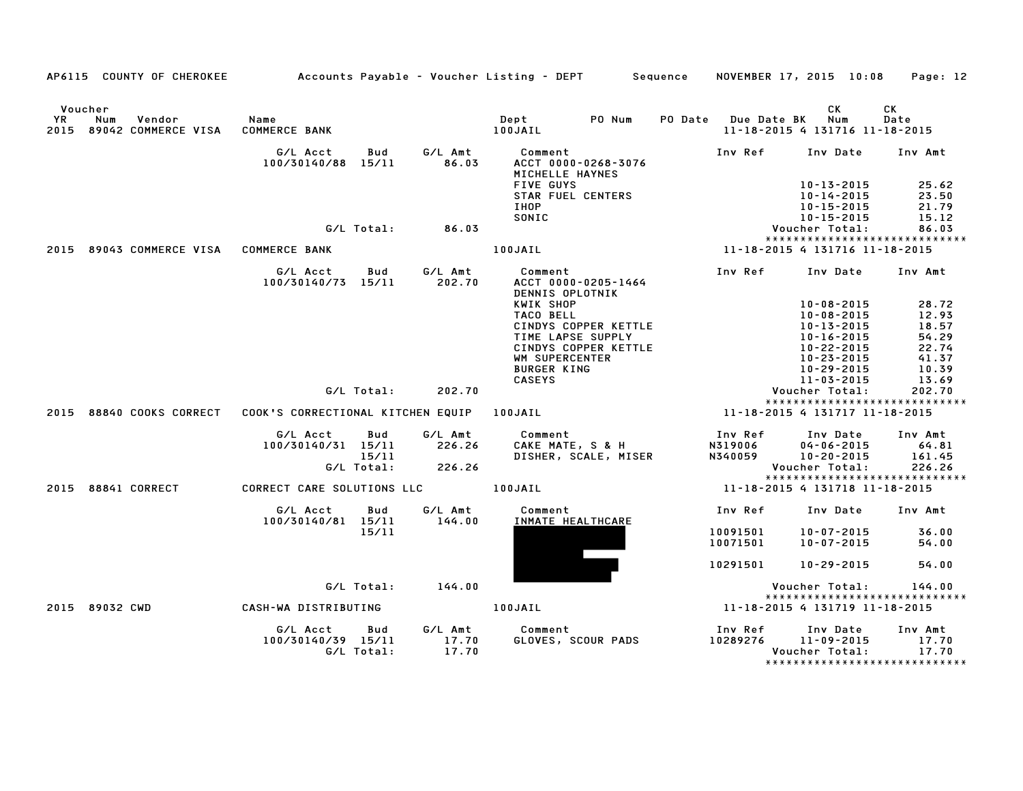|      | AP6115 COUNTY OF CHEROKEE                                   | Accounts Payable – Voucher Listing – DEPT         Sequence |                     |                           |                                         |                                           |                      | NOVEMBER 17, 2015 10:08                                          | Page: 12                                 |
|------|-------------------------------------------------------------|------------------------------------------------------------|---------------------|---------------------------|-----------------------------------------|-------------------------------------------|----------------------|------------------------------------------------------------------|------------------------------------------|
| YR   | Voucher<br><b>Num</b><br>Vendor<br>2015 89042 COMMERCE VISA | Name<br><b>COMMERCE BANK</b>                               |                     |                           | Dept<br>100JAIL                         | PO Num                                    |                      | CK.<br>PO Date Due Date BK Num<br>11-18-2015 4 131716 11-18-2015 | CK<br>Date                               |
|      |                                                             | G/L Acct<br>100/30140/88 15/11                             | Bud                 | G/L Amt<br>86.03          | Comment<br>MICHELLE HAYNES<br>FIVE GUYS | ACCT 0000-0268-3076                       | Inv Ref              | Inv Date<br>10-13-2015                                           | Inv Amt<br>25.62                         |
|      |                                                             |                                                            |                     |                           | IHOP<br>SONIC                           | <b>STAR FUEL CENTERS</b>                  |                      | $10 - 14 - 2015$<br>10-15-2015<br>$10 - 15 - 2015$               | 23.50<br>21.79<br>15.12                  |
|      |                                                             |                                                            | G/L Total:          | 86.03                     |                                         |                                           |                      | Voucher Total:                                                   | 86.03<br>*****************************   |
| 2015 | 89043 COMMERCE VISA                                         | <b>COMMERCE BANK</b>                                       |                     |                           | 100JAIL                                 |                                           |                      | 11-18-2015 4 131716 11-18-2015                                   |                                          |
|      |                                                             | G/L Acct<br>100/30140/73 15/11                             | Bud                 | G/L Amt<br>202.70         | Comment<br>DENNIS OPLOTNIK              | ACCT 0000-0205-1464                       | Inv Ref              | Inv Date                                                         | Inv Amt                                  |
|      |                                                             |                                                            |                     |                           | KWIK SHOP                               |                                           |                      | $10 - 08 - 2015$                                                 | 28.72                                    |
|      |                                                             |                                                            |                     |                           | TACO BELL                               |                                           |                      | $10 - 08 - 2015$                                                 | 12.93                                    |
|      |                                                             |                                                            |                     |                           |                                         | CINDYS COPPER KETTLE                      |                      | $10 - 13 - 2015$                                                 | 18.57                                    |
|      |                                                             |                                                            |                     |                           |                                         | TIME LAPSE SUPPLY<br>CINDYS COPPER KETTLE |                      | $10 - 16 - 2015$<br>10-22-2015                                   | 54.29<br>22.74                           |
|      |                                                             |                                                            |                     |                           | WM SUPERCENTER                          |                                           |                      | $10 - 23 - 2015$                                                 | 41.37                                    |
|      |                                                             |                                                            |                     |                           | <b>BURGER KING</b>                      |                                           |                      | 10-29-2015                                                       | 10.39                                    |
|      |                                                             |                                                            |                     |                           | <b>CASEYS</b>                           |                                           |                      | $11 - 03 - 2015$                                                 | 13.69                                    |
|      |                                                             |                                                            | G/L Total:          | 202.70                    |                                         |                                           |                      | Voucher Total:                                                   | 202.70<br>****************************** |
| 2015 | 88840 COOKS CORRECT                                         | COOK'S CORRECTIONAL KITCHEN EQUIP                          |                     |                           | 100JAIL                                 |                                           |                      | 11-18-2015 4 131717 11-18-2015                                   |                                          |
|      |                                                             | G/L Acct                                                   | Bud                 | G/L Amt                   | Comment                                 |                                           | Inv Ref              | Inv Date                                                         | Inv Amt                                  |
|      |                                                             | 100/30140/31 15/11                                         |                     | 226.26                    |                                         | CAKE MATE, S & H                          | N319006              | $04 - 06 - 2015$                                                 | 64.81                                    |
|      |                                                             |                                                            | 15/11<br>G/L Total: | 226.26                    |                                         | DISHER, SCALE, MISER                      | N340059              | $10 - 20 - 2015$<br>Voucher Total:                               | 161.45<br>226.26                         |
|      |                                                             |                                                            |                     |                           |                                         |                                           |                      |                                                                  | *****************************            |
| 2015 | 88841 CORRECT                                               | CORRECT CARE SOLUTIONS LLC                                 |                     |                           | 100JAIL                                 |                                           |                      | 11-18-2015 4 131718 11-18-2015                                   |                                          |
|      |                                                             | G/L Acct<br>100/30140/81 15/11                             | Bud                 | G/L Amt<br>144.00         | Comment                                 | INMATE HEALTHCARE                         | Inv Ref              | Inv Date                                                         | Inv Amt                                  |
|      |                                                             |                                                            | 15/11               |                           |                                         |                                           | 10091501<br>10071501 | $10 - 07 - 2015$<br>$10 - 07 - 2015$                             | 36.00<br>54.00                           |
|      |                                                             |                                                            |                     |                           |                                         |                                           | 10291501             | 10-29-2015                                                       | 54.00                                    |
|      |                                                             |                                                            | G/L Total:          | 144.00                    |                                         |                                           |                      | Voucher Total:                                                   | 144.00                                   |
|      |                                                             |                                                            |                     |                           |                                         |                                           |                      |                                                                  | *****************************            |
|      | 2015 89032 CWD                                              | CASH-WA DISTRIBUTING                                       |                     |                           | 100JAIL                                 |                                           |                      | 11-18-2015 4 131719 11-18-2015                                   |                                          |
|      |                                                             | G/L Acct<br>100/30140/39 15/11                             | Bud<br>G/L Total:   | G/L Amt<br>17.70<br>17.70 | Comment                                 | GLOVES, SCOUR PADS                        | Inv Ref<br>10289276  | Inv Date<br>11-09-2015<br>Voucher Total:                         | Inv Amt<br>17.70<br>17.70                |
|      |                                                             |                                                            |                     |                           |                                         |                                           |                      |                                                                  | *****************************            |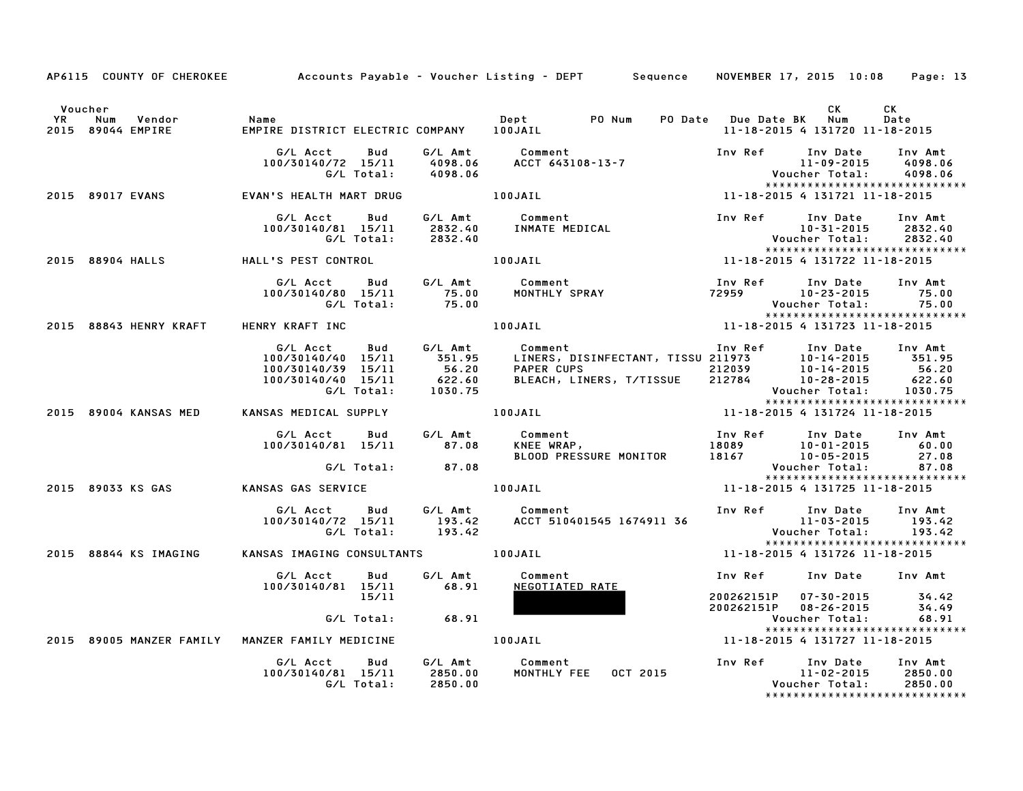|               |                                                 |                                                                                          |                                                        | AP6115 COUNTY OF CHEROKEE Accounts Payable – Voucher Listing – DEPT Sequence NOVEMBER 17, 2015 10:08 Page: 13 |                                      |                                                                      |                                                                |
|---------------|-------------------------------------------------|------------------------------------------------------------------------------------------|--------------------------------------------------------|---------------------------------------------------------------------------------------------------------------|--------------------------------------|----------------------------------------------------------------------|----------------------------------------------------------------|
|               |                                                 |                                                                                          |                                                        |                                                                                                               |                                      |                                                                      |                                                                |
| Voucher<br>YR | Num<br>Vendor<br>2015 89044 EMPIRE              | Name<br>EMPIRE DISTRICT ELECTRIC COMPANY 100JAIL                                         |                                                        | Dept PO Num                                                                                                   | PO Date Due Date BK Num              | <b>CK</b><br>11-18-2015 4 131720 11-18-2015                          | CK<br>Date                                                     |
|               |                                                 | G/L Acct<br>100/30140/72 15/11<br>G/L Total:                                             | G/L Amt<br>Bud<br>4098.06<br>4098.06                   | Comment<br>ACCT 643108-13-7                                                                                   | Inv Ref                              | Inv Date<br>11-09-2015<br>Voucher Total:                             | Inv Amt<br>4098.06<br>4098.06                                  |
|               | 2015 89017 EVANS                                | EVAN'S HEALTH MART DRUG                                                                  |                                                        | 11-18-2015 4 131721 11-18-2015<br>100JAIL                                                                     |                                      |                                                                      | *****************************                                  |
|               |                                                 | G/L Acct<br>100/30140/81 15/11<br>G/L Total:                                             | G/L Amt<br>Bud<br>2832.40<br>2832.40                   | Comment<br>Comment<br>INMATE MEDICAL                                                                          | Inv Ref                              | Inv Date<br>$10 - 31 - 2015$<br>Voucher Total:                       | Inv Amt<br>2832.40<br>2832.40<br>***************************** |
|               | 2015 88904 HALLS                                | HALL'S PEST CONTROL                                                                      |                                                        | 100JAIL                                                                                                       | $11 - 18 - 2015$ 4 131722 11-18-2015 |                                                                      |                                                                |
|               |                                                 | G/L Acct<br>100/30140/80 15/11<br>G/L Total:                                             | <b>Bud</b><br>G/L Amt<br>75.00<br>75.00                | Comment<br>Comment<br>MONTHLY SPRAY                                                                           | Inv Ref<br>72959                     | Inv Date<br>10-23-2015<br>Voucher Total:                             | Inv Amt<br>75.00<br>75.00<br>******************************    |
|               | 2015 88843 HENRY KRAFT                          | HENRY KRAFT INC                                                                          |                                                        | 100JAIL                                                                                                       | 11-18-2015 4 131723 11-18-2015       |                                                                      |                                                                |
|               |                                                 | G/L Acct<br>100/30140/40 15/11<br>100/30140/39 15/11<br>100/30140/40 15/11<br>G/L Total: | G/L Amt<br>Bud<br>351.95<br>56.20<br>622.60<br>1030.75 | Comment<br>LINERS, DISINFECTANT, TISSU 211973<br><b>PAPER CUPS</b><br>BLEACH, LINERS, T/TISSUE                | Inv Ref<br>212039<br>212784          | Inv Date<br>10-14-2015<br>10-14-2015<br>10-28-2015<br>Voucher Total: | Inv Amt<br>351.95<br>56.20<br>622.60<br>1030.75                |
|               | 2015 89004 KANSAS MED                           | KANSAS MEDICAL SUPPLY                                                                    |                                                        | 100JAIL                                                                                                       | 11-18-2015 4 131724 11-18-2015       |                                                                      | *****************************                                  |
|               |                                                 | G/L Acct<br>100/30140/81 15/11                                                           | G/L Amt<br>Bud<br>87.08                                | Comment<br>KNEE WRAP,<br>BLOOD PRESSURE MONITOR                                                               | Inv Ref<br>18089<br>18167            | Inv Date<br>$10 - 01 - 2015$<br>10-05-2015                           | Inv Amt<br>60.00<br>27.08                                      |
|               |                                                 | G/L Total:                                                                               | 87.08                                                  |                                                                                                               |                                      | Voucher Total:                                                       | 87.08<br>*****************************                         |
|               | 2015 89033 KS GAS                               | KANSAS GAS SERVICE                                                                       |                                                        | 100JAIL                                                                                                       | 11-18-2015 4 131725 11-18-2015       |                                                                      |                                                                |
|               |                                                 | G/L Acct<br>100/30140/72 15/11<br>G/L Total:                                             | G/L Amt<br>Bud<br>193.42<br>193.42                     | Comment<br>ACCT 510401545 1674911 36                                                                          | Inv Ref                              | Inv Date<br>$11 - 03 - 2015$<br>Voucher Total:                       | Inv Amt<br>193.42<br>193.42<br>*****************************   |
|               | 2015 88844 KS IMAGING                           | KANSAS IMAGING CONSULTANTS 100JAIL                                                       |                                                        |                                                                                                               | 11-18-2015 4 131726 11-18-2015       |                                                                      |                                                                |
|               |                                                 | G/L Acct<br>100/30140/81 15/11                                                           | Bud<br>G/L Amt<br>68.91<br>15/11                       | Comment<br>NEGOTIATED RATE                                                                                    | Inv Ref<br>200262151P                | Inv Date Inv Amt<br>07-30-2015                                       | 34.42                                                          |
|               |                                                 | G/L Total:                                                                               | 68.91                                                  |                                                                                                               | 200262151P                           | $08 - 26 - 2015$<br>Voucher Total:                                   | 34.49<br>68.91                                                 |
|               | 2015 89005 MANZER FAMILY MANZER FAMILY MEDICINE |                                                                                          | 100JAIL                                                |                                                                                                               | 11-18-2015 4 131727 11-18-2015       |                                                                      | *****************************                                  |
|               |                                                 | G/L Acct<br>100/30140/81 15/11<br>G/L Total:                                             | G/L Amt<br>Bud<br>2850.00<br>2850.00                   | Comment<br><b>MONTHLY FEE</b><br>OCT 2015                                                                     | Inv Ref                              | Inv Date<br>11-02-2015<br>Voucher Total:                             | Inv Amt<br>2850.00<br>2850.00<br>***************************** |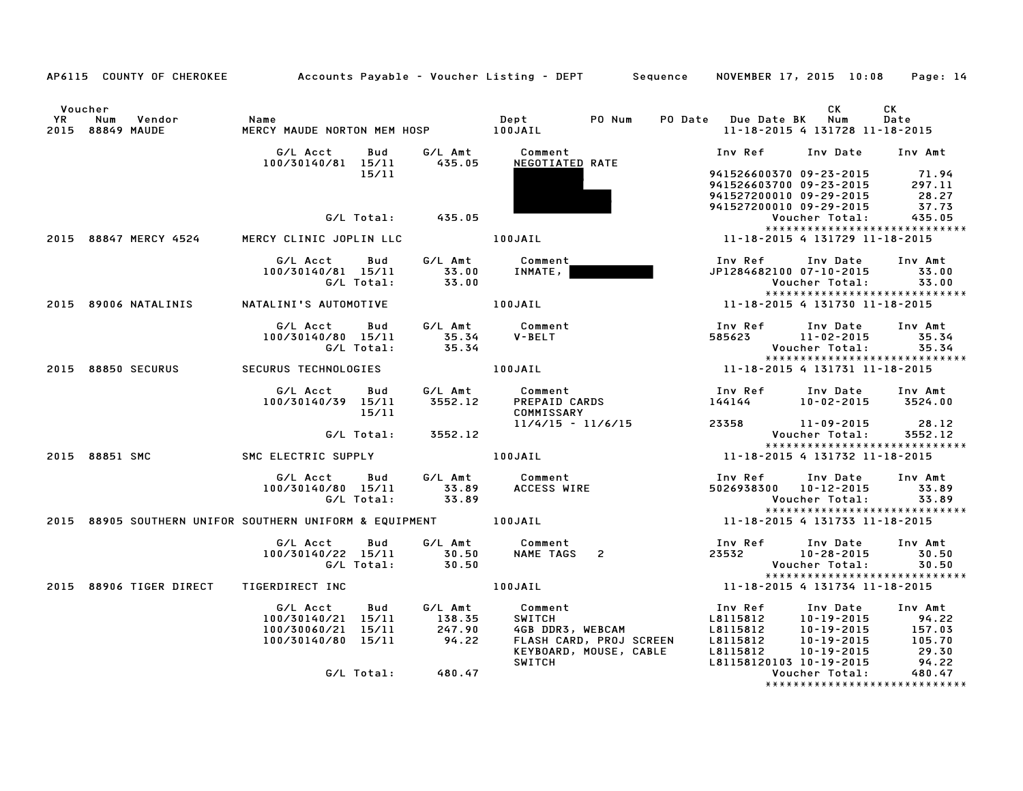|           |                |                    |                                                              |            |                           | AP6115 COUNTY OF CHEROKEE Accounts Payable - Voucher Listing - DEPT Sequence NOVEMBER 17, 2015 10:08 Page: 14                                                                                                                                                              |                         |                                                                                                                                   |            |
|-----------|----------------|--------------------|--------------------------------------------------------------|------------|---------------------------|----------------------------------------------------------------------------------------------------------------------------------------------------------------------------------------------------------------------------------------------------------------------------|-------------------------|-----------------------------------------------------------------------------------------------------------------------------------|------------|
|           |                |                    |                                                              |            |                           |                                                                                                                                                                                                                                                                            |                         |                                                                                                                                   |            |
| <b>YR</b> | Voucher        | Num Vendor         | Name                                                         |            |                           | Dept PO Num                                                                                                                                                                                                                                                                | PO Date Due Date BK Num | CK                                                                                                                                | CK<br>Date |
|           |                | 2015 88849 MAUDE   |                                                              |            |                           |                                                                                                                                                                                                                                                                            |                         | 11-18-2015 4 131728 11-18-2015                                                                                                    |            |
|           |                |                    |                                                              |            |                           |                                                                                                                                                                                                                                                                            |                         |                                                                                                                                   |            |
|           |                |                    | G/L Acct<br>100/30140/81 15/11 435.05                        | Bud        |                           | G/L Amt Comment<br>NEGOTIATED RATE                                                                                                                                                                                                                                         |                         | Inv Ref      Inv Date     Inv Amt                                                                                                 |            |
|           |                |                    |                                                              | 15/11      |                           |                                                                                                                                                                                                                                                                            |                         | 941526600370 09-23-2015 71.94<br>941526603700 09-23-2015 297.11<br>941527200010 09-29-2015 28.27<br>941527200010 09-29-2015 37.73 |            |
|           |                |                    |                                                              |            |                           |                                                                                                                                                                                                                                                                            |                         |                                                                                                                                   |            |
|           |                |                    |                                                              |            |                           |                                                                                                                                                                                                                                                                            |                         |                                                                                                                                   |            |
|           |                |                    |                                                              |            | G/L Total: 435.05         |                                                                                                                                                                                                                                                                            |                         | Voucher Total:                                                                                                                    | 435.05     |
|           |                |                    |                                                              |            |                           |                                                                                                                                                                                                                                                                            |                         |                                                                                                                                   |            |
|           |                |                    | 2015 88847 MERCY 4524 MERCY CLINIC JOPLIN LLC <b>100JAIL</b> |            |                           |                                                                                                                                                                                                                                                                            |                         | 11-18-2015 4 131729 11-18-2015                                                                                                    |            |
|           |                |                    |                                                              |            |                           | G/L Acct      Bud      G/L Amt        Comment                                                                                                                                                                                                                              |                         | Inv Ref      Inv Date     Inv Amt                                                                                                 |            |
|           |                |                    | 100/30140/81 15/11                                           |            |                           |                                                                                                                                                                                                                                                                            |                         | JP1284682100 07-10-2015 33.00<br>Voucher Total: 33.00                                                                             |            |
|           |                |                    |                                                              |            |                           | 40/81 15/11 33.00 INMATE,                                                                                                                                                                                                                                                  |                         |                                                                                                                                   |            |
|           |                |                    |                                                              |            |                           |                                                                                                                                                                                                                                                                            |                         | 11-18-2015 4 131730 11-18-2015                                                                                                    |            |
|           |                |                    |                                                              |            |                           |                                                                                                                                                                                                                                                                            |                         |                                                                                                                                   |            |
|           |                |                    |                                                              |            |                           | G/L Acct Bud G/L Amt Comment                                                                                                                                                                                                                                               |                         | Inv Ref      Inv Date     Inv Amt                                                                                                 |            |
|           |                |                    | 100/30140/80 15/11                                           |            | 35.34<br>35.34            | V-BELT                                                                                                                                                                                                                                                                     |                         | 585623 11-02-2015 35.34                                                                                                           |            |
|           |                |                    |                                                              | G/L Total: |                           |                                                                                                                                                                                                                                                                            |                         |                                                                                                                                   | 35.34      |
|           |                |                    |                                                              |            |                           |                                                                                                                                                                                                                                                                            |                         |                                                                                                                                   |            |
|           |                | 2015 88850 SECURUS | <b>SECURUS TECHNOLOGIES</b>                                  |            |                           |                                                                                                                                                                                                                                                                            |                         |                                                                                                                                   |            |
|           |                |                    | G/L Acct Bud G/L Amt                                         |            |                           | Comment<br>PREPAID CARDS                                                                                                                                                                                                                                                   |                         |                                                                                                                                   |            |
|           |                |                    | 100/30140/39 15/11                                           |            | 3552.12                   |                                                                                                                                                                                                                                                                            |                         | Inv Ref       Inv Date     Inv Amt<br>144144          10–02–2015      3524.00                                                     |            |
|           |                |                    |                                                              | 15/11      |                           | COMMISSARY                                                                                                                                                                                                                                                                 |                         |                                                                                                                                   |            |
|           |                |                    |                                                              |            |                           | 11/4/15 - 11/6/15                                                                                                                                                                                                                                                          |                         | 23358 11-09-2015 28.12                                                                                                            |            |
|           |                |                    |                                                              |            | G/L Total: 3552.12        |                                                                                                                                                                                                                                                                            |                         | Voucher Total:<br>*****************************                                                                                   | 3552.12    |
|           | 2015 88851 SMC |                    |                                                              |            |                           | SMC ELECTRIC SUPPLY <b>100JAIL</b> 100JAIL 11-18-2015 4 131732 11-18-2015                                                                                                                                                                                                  |                         |                                                                                                                                   |            |
|           |                |                    | G/L Acct                                                     |            |                           |                                                                                                                                                                                                                                                                            |                         | Inv Ref      Inv Date                                                                                                             | Inv Amt    |
|           |                |                    | 100/30140/80 15/11                                           |            |                           | Comment<br>ACCESS WIRE                                                                                                                                                                                                                                                     | 5026938300 10-12-2015   |                                                                                                                                   | 33.89      |
|           |                |                    |                                                              |            | G/L Total: 33.89          |                                                                                                                                                                                                                                                                            |                         | Voucher Total:                                                                                                                    | 33.89      |
|           |                |                    |                                                              |            |                           | 2015 88905 SOUTHERN UNIFOR SOUTHERN UNIFORM & EQUIPMENT 100JAIL 100 11-10 11-18-2015 4 131733 11-18-2015                                                                                                                                                                   |                         | *****************************                                                                                                     |            |
|           |                |                    |                                                              |            |                           |                                                                                                                                                                                                                                                                            |                         |                                                                                                                                   |            |
|           |                |                    | G/L Acct                                                     | Bud        |                           | G/L Amt Comment                                                                                                                                                                                                                                                            |                         | Inv Ref      Inv Date                                                                                                             | Inv Amt    |
|           |                |                    | 100/30140/22 15/11                                           |            | $\frac{30.50}{30.50}$     |                                                                                                                                                                                                                                                                            | $23532$ $10-28-2015$    |                                                                                                                                   | 30.50      |
|           |                |                    |                                                              | G/L Total: |                           |                                                                                                                                                                                                                                                                            |                         | Voucher Total:                                                                                                                    | 30.50      |
|           |                |                    |                                                              |            |                           | 100JAIL 11-18-2015 4 131734 11-18-2015                                                                                                                                                                                                                                     |                         | *****************************                                                                                                     |            |
|           |                |                    | 2015 88906 TIGER DIRECT TIGERDIRECT INC                      |            |                           |                                                                                                                                                                                                                                                                            |                         |                                                                                                                                   |            |
|           |                |                    |                                                              |            |                           | G/L Acct Bud G/L Amt Comment                                                                                                                                                                                                                                               |                         | Inv Ref      Inv Date                                                                                                             | Inv Amt    |
|           |                |                    | 100/30140/21 15/11                                           |            |                           |                                                                                                                                                                                                                                                                            |                         |                                                                                                                                   |            |
|           |                |                    | 100/30060/21 15/11                                           |            | 138.35<br>247.90<br>94.22 |                                                                                                                                                                                                                                                                            |                         |                                                                                                                                   |            |
|           |                |                    | 100/30140/80 15/11                                           |            |                           |                                                                                                                                                                                                                                                                            |                         |                                                                                                                                   |            |
|           |                |                    |                                                              |            |                           | Comment<br>SWITCH<br>COMERGAN<br>COMERGAN<br>COMERGAN<br>COMERGAN<br>COMERGAN<br>COMERGAN<br>COMERGAN<br>COMERGAN<br>COMERGAN<br>COMERGAN<br>COMERGAN<br>COMERGAN<br>COMERGAN<br>COMERGAN<br>COMERGAN<br>COMERGAN<br>COMERGAN<br>COMERGAN<br>COMERGAN<br>COMERGAN<br>COMER |                         |                                                                                                                                   |            |
|           |                |                    |                                                              |            | G/L Total: 480.47         |                                                                                                                                                                                                                                                                            |                         | Voucher Total:                                                                                                                    | 480.47     |
|           |                |                    |                                                              |            |                           |                                                                                                                                                                                                                                                                            |                         | ******************************                                                                                                    |            |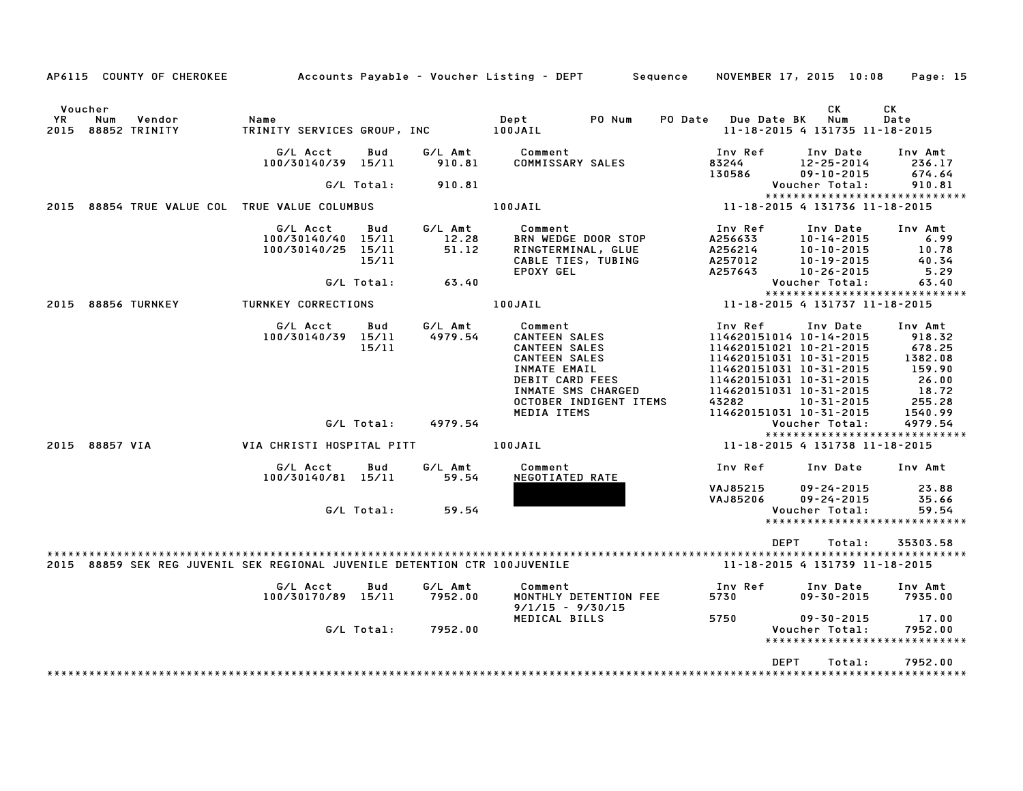|                        | AP6115 COUNTY OF CHEROKEE      |                                                                            |                                     |                                    | Accounts Payable – Voucher Listing – DEPT         Sequence                                                                                                                        |                                                     | NOVEMBER 17, 2015 10:08                                                                                                                                                                                             | Page: 15                                                                                |
|------------------------|--------------------------------|----------------------------------------------------------------------------|-------------------------------------|------------------------------------|-----------------------------------------------------------------------------------------------------------------------------------------------------------------------------------|-----------------------------------------------------|---------------------------------------------------------------------------------------------------------------------------------------------------------------------------------------------------------------------|-----------------------------------------------------------------------------------------|
| Voucher<br>YR.<br>2015 | Num<br>Vendor<br>88852 TRINITY | Name<br>TRINITY SERVICES GROUP, INC                                        |                                     |                                    | Dept<br>PO Num<br>100JAIL                                                                                                                                                         | <b>PO Date</b>                                      | СK<br>Num<br><b>Due Date BK</b><br>11-18-2015 4 131735 11-18-2015                                                                                                                                                   | СK<br>Date                                                                              |
|                        |                                | G/L Acct<br>100/30140/39 15/11                                             | Bud                                 | G/L Amt<br>910.81                  | Comment<br>COMMISSARY SALES                                                                                                                                                       | Inv Ref<br>83244<br>130586                          | Inv Date<br>12-25-2014<br>$09 - 10 - 2015$                                                                                                                                                                          | Inv Amt<br>236.17<br>674.64                                                             |
|                        |                                |                                                                            | G/L Total:                          | 910.81                             |                                                                                                                                                                                   |                                                     | Voucher Total:                                                                                                                                                                                                      | 910.81                                                                                  |
| 2015                   |                                | 88854 TRUE VALUE COL TRUE VALUE COLUMBUS                                   |                                     |                                    | 100JAIL                                                                                                                                                                           |                                                     | *****************************<br>11-18-2015 4 131736 11-18-2015                                                                                                                                                     |                                                                                         |
|                        |                                | G/L Acct<br>100/30140/40 15/11<br>100/30140/25                             | Bud<br>15/11<br>15/11<br>G/L Total: | G/L Amt<br>12.28<br>51.12<br>63.40 | Comment<br><b>BRN WEDGE DOOR STOP</b><br>RINGTERMINAL, GLUE<br>CABLE TIES, TUBING<br>EPOXY GEL                                                                                    | Inv Ref<br>A256633<br>A256214<br>A257012<br>A257643 | Inv Date<br>$10 - 14 - 2015$<br>$10 - 10 - 2015$<br>$10 - 19 - 2015$<br>$10 - 26 - 2015$<br>Voucher Total:                                                                                                          | Inv Amt<br>6.99<br>10.78<br>40.34<br>5.29<br>63.40                                      |
|                        |                                |                                                                            |                                     |                                    |                                                                                                                                                                                   |                                                     | *****************************                                                                                                                                                                                       |                                                                                         |
|                        | 2015 88856 TURNKEY             | TURNKEY CORRECTIONS                                                        |                                     |                                    | 100JAIL                                                                                                                                                                           |                                                     | 11-18-2015 4 131737 11-18-2015                                                                                                                                                                                      |                                                                                         |
|                        |                                | G/L Acct<br>100/30140/39 15/11                                             | Bud<br>15/11                        | G/L Amt<br>4979.54                 | Comment<br><b>CANTEEN SALES</b><br><b>CANTEEN SALES</b><br><b>CANTEEN SALES</b><br>INMATE EMAIL<br>DEBIT CARD FEES<br>INMATE SMS CHARGED<br>OCTOBER INDIGENT ITEMS<br>MEDIA ITEMS | Inv Ref<br>43282                                    | Inv Date<br>114620151014 10-14-2015<br>114620151021 10-21-2015<br>114620151031 10-31-2015<br>114620151031 10-31-2015<br>114620151031 10-31-2015<br>114620151031 10-31-2015<br>10-31-2015<br>114620151031 10-31-2015 | Inv Amt<br>918.32<br>678.25<br>1382.08<br>159.90<br>26.00<br>18.72<br>255.28<br>1540.99 |
|                        |                                |                                                                            | G/L Total:                          | 4979.54                            |                                                                                                                                                                                   |                                                     | Voucher Total:                                                                                                                                                                                                      | 4979.54                                                                                 |
|                        | 2015 88857 VIA                 | VIA CHRISTI HOSPITAL PITT                                                  |                                     |                                    | 100JAIL                                                                                                                                                                           |                                                     | *****************************<br>11-18-2015 4 131738 11-18-2015                                                                                                                                                     |                                                                                         |
|                        |                                | G/L Acct<br>100/30140/81 15/11                                             | Bud                                 | G/L Amt<br>59.54                   | Comment<br>NEGOTIATED RATE                                                                                                                                                        | Inv Ref                                             | Inv Date                                                                                                                                                                                                            | Inv Amt                                                                                 |
|                        |                                |                                                                            | G/L Total:                          | 59.54                              |                                                                                                                                                                                   | VAJ85215<br>VAJ85206                                | $09 - 24 - 2015$<br>$09 - 24 - 2015$<br>Voucher Total:<br>*****************************                                                                                                                             | 23.88<br>35.66<br>59.54                                                                 |
|                        |                                |                                                                            |                                     |                                    |                                                                                                                                                                                   |                                                     |                                                                                                                                                                                                                     |                                                                                         |
|                        |                                | 2015 88859 SEK REG JUVENIL SEK REGIONAL JUVENILE DETENTION CTR 100JUVENILE |                                     |                                    |                                                                                                                                                                                   |                                                     | <b>DEPT</b><br>Total:<br>11-18-2015 4 131739 11-18-2015                                                                                                                                                             | 35303.58                                                                                |
|                        |                                | G/L Acct<br>100/30170/89 15/11                                             | Bud                                 | G/L Amt<br>7952.00                 | Comment<br>MONTHLY DETENTION FEE<br>$9/1/15 - 9/30/15$                                                                                                                            | Inv Ref<br>5730                                     | Inv Date<br>$09 - 30 - 2015$                                                                                                                                                                                        | Inv Amt<br>7935.00                                                                      |
|                        |                                |                                                                            | G/L Total:                          | 7952.00                            | MEDICAL BILLS                                                                                                                                                                     | 5750                                                | 09-30-2015<br>Voucher Total:<br>*****************************                                                                                                                                                       | 17.00<br>7952.00                                                                        |
|                        |                                |                                                                            |                                     |                                    |                                                                                                                                                                                   |                                                     | <b>DEPT</b><br>Total:                                                                                                                                                                                               | 7952.00                                                                                 |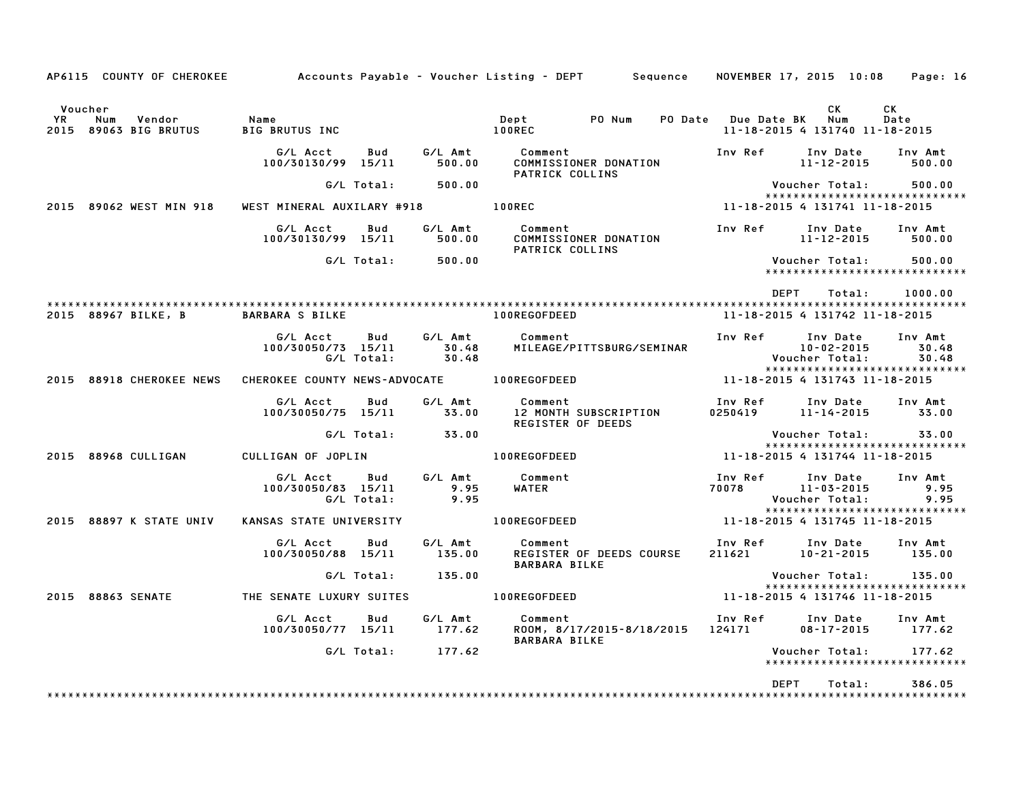|                                                                     |                                                     |                           | AP6115 COUNTY OF CHEROKEE 6 Accounts Payable - Voucher Listing - DEPT 5 Sequence NOVEMBER 17, 2015 10:08 Page: 16 |                                                     |                                                |                                         |
|---------------------------------------------------------------------|-----------------------------------------------------|---------------------------|-------------------------------------------------------------------------------------------------------------------|-----------------------------------------------------|------------------------------------------------|-----------------------------------------|
| Voucher<br><b>YR</b><br>Num<br>Vendor<br>2015 89063 BIG BRUTUS      | Name<br><b>BIG BRUTUS INC</b>                       |                           | Dept PONum<br><b>100REC</b>                                                                                       | PO Date Due Date BK Num                             | CK<br>11-18-2015 4 131740 11-18-2015           | <b>CK</b><br>Date                       |
|                                                                     | G/L Acct<br>Bud<br>100/30130/99 15/11               | G/L Amt<br>500.00         | Comment<br>COMMISSIONER DONATION                                                                                  | Inv Ref                                             | Inv Date<br>11-12-2015                         | Inv Amt<br>500.00                       |
|                                                                     | G/L Total:                                          | 500.00                    | PATRICK COLLINS                                                                                                   |                                                     | Voucher Total:                                 | 500.00                                  |
| 2015 89062 WEST MIN 918                                             | WEST MINERAL AUXILARY #918 100REC                   |                           |                                                                                                                   | 11-18-2015 4 131741 11-18-2015                      |                                                | *****************************           |
|                                                                     | G/L Acct Bud<br>100/30130/99 15/11                  | G/L Amt<br>500.00         | <b>Comment</b><br>COMMISSIONER DONATION<br>PATRICK COLLINS                                                        | Inv Ref      Inv Date                               | 11-12-2015                                     | Inv Amt<br>500.00                       |
|                                                                     | G/L Total: 500.00                                   |                           |                                                                                                                   |                                                     | Voucher Total:                                 | 500.00<br>***************************** |
|                                                                     |                                                     |                           |                                                                                                                   | <b>DEPT</b>                                         | Total:                                         | 1000.00                                 |
| 2015 88967 BILKE, B                                                 | <b>BARBARA S BILKE</b>                              |                           | 100REGOFDEED                                                                                                      |                                                     | 11-18-2015 4 131742 11-18-2015                 |                                         |
|                                                                     | G/L Acct<br>Bud<br>100/30050/73 15/11<br>G/L Total: | G/L Amt<br>30.48<br>30.48 | Comment<br>MILEAGE/PITTSBURG/SEMINAR                                                                              | Inv Ref                                             | Inv Date<br>$10 - 02 - 2015$<br>Voucher Total: | Inv Amt<br>30.48<br>30.48               |
| 2015 88918 CHEROKEE NEWS CHEROKEE COUNTY NEWS-ADVOCATE 100REGOFDEED |                                                     |                           |                                                                                                                   | 11-18-2015 4 131743 11-18-2015                      |                                                | *****************************           |
|                                                                     | G/L Acct<br>Bud<br>100/30050/75 15/11               | G/L Amt<br>33.00          | Comment<br>12 MONTH SUBSCRIPTION<br>REGISTER OF DEEDS                                                             | Inv Ref       Inv Date<br>0250419        11–14–2015 |                                                | Inv Amt<br>33.00                        |
|                                                                     | G/L Total:                                          | 33.00                     |                                                                                                                   |                                                     | Voucher Total:                                 | 33.00<br>*****************************  |
| 2015 88968 CULLIGAN                                                 | CULLIGAN OF JOPLIN                                  |                           | 100REGOFDEED                                                                                                      | 11-18-2015 4 131744 11-18-2015                      |                                                |                                         |
|                                                                     | G/L Acct   Bud<br>100/30050/83 15/11<br>G/L Total:  | G/L Amt<br>9.95<br>9.95   | Comment<br><b>WATER</b>                                                                                           | Inv Ref<br>70078                                    | Inv Date<br>11-03-2015<br>Voucher Total:       | Inv Amt<br>9.95<br>9.95                 |
| 2015 88897 K STATE UNIV                                             | KANSAS STATE UNIVERSITY                             |                           | 100REGOFDEED                                                                                                      | 11-18-2015 4 131745 11-18-2015                      |                                                | *****************************           |
|                                                                     | G/L Acct<br>Bud<br>100/30050/88 15/11               | G/L Amt<br>135.00         | Comment<br>REGISTER OF DEEDS COURSE<br><b>BARBARA BILKE</b>                                                       | Inv Ref Inv Date<br>211621 10–21–2015               | Inv Date Inv Amt                               | 135.00                                  |
|                                                                     | G/L Total:                                          | 135.00                    |                                                                                                                   |                                                     | Voucher Total: 135.00                          | *****************************           |
| 2015 88863 SENATE                                                   | THE SENATE LUXURY SUITES                            |                           | 100REGOFDEED                                                                                                      | 11-18-2015 4 131746 11-18-2015                      |                                                |                                         |
|                                                                     | G/L Acct<br>Bud<br>100/30050/77 15/11               | G∕L Amt<br>177.62         | Comment<br>ROOM, 8/17/2015-8/18/2015<br>BARBARA BILKE                                                             | Inv Ref<br>124171                                   | Inv Date<br>$08 - 17 - 2015$                   | Inv Amt<br>177.62                       |
|                                                                     | G/L Total:                                          | 177.62                    |                                                                                                                   |                                                     | Voucher Total:                                 | 177.62<br>***************************** |
|                                                                     |                                                     |                           |                                                                                                                   |                                                     |                                                |                                         |
|                                                                     |                                                     |                           |                                                                                                                   | DEPT                                                | Total:                                         | 386.05                                  |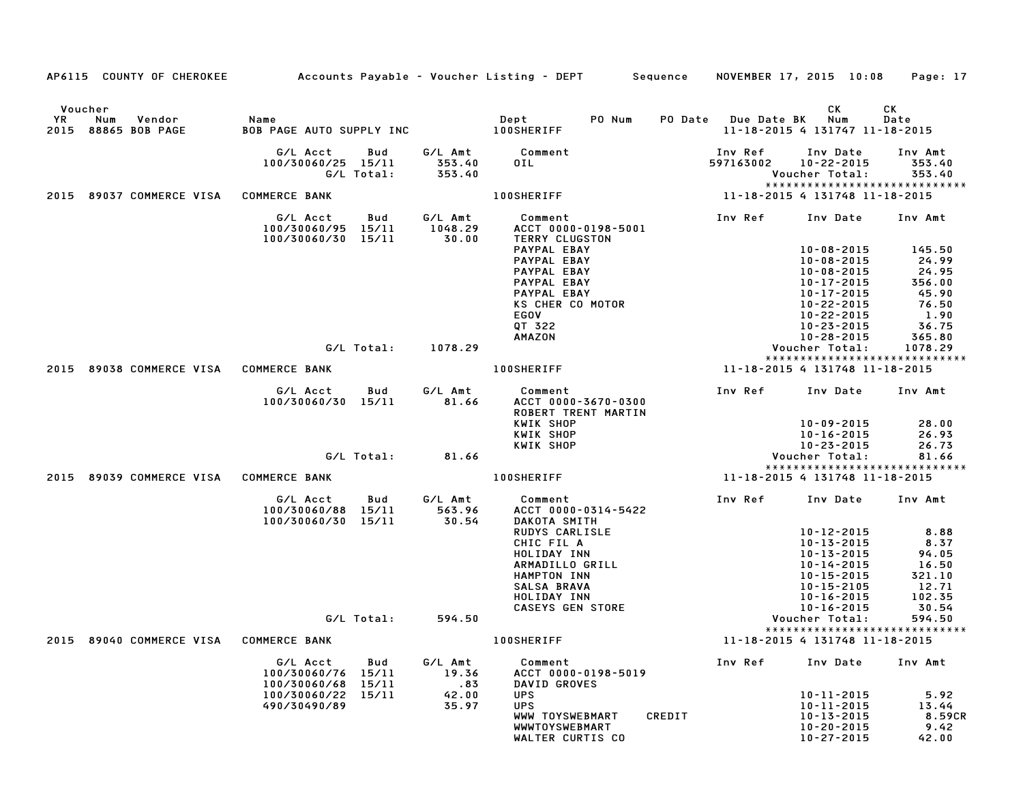|      | AP6115 COUNTY OF CHEROKEE            |                                                                   |                             | Accounts Payable – Voucher Listing – DEPT         Sequence                                                                                    |                      | NOVEMBER 17, 2015 10:08                                                                                                                    | Page: 17                                                             |
|------|--------------------------------------|-------------------------------------------------------------------|-----------------------------|-----------------------------------------------------------------------------------------------------------------------------------------------|----------------------|--------------------------------------------------------------------------------------------------------------------------------------------|----------------------------------------------------------------------|
|      | Voucher                              |                                                                   |                             |                                                                                                                                               |                      | CK                                                                                                                                         | CK                                                                   |
| YR   | Num<br>Vendor<br>2015 88865 BOB PAGE | Name<br>BOB PAGE AUTO SUPPLY INC                                  |                             | Dept<br>PO Num<br><b>100SHERIFF</b>                                                                                                           | PO Date Due Date BK  | Num<br>11-18-2015 4 131747 11-18-2015                                                                                                      | Date                                                                 |
|      |                                      | G/L Acct<br>Bud<br>100/30060/25 15/11<br>G/L Total:               | G/L Amt<br>353.40<br>353.40 | Comment<br>OIL                                                                                                                                | Inv Ref<br>597163002 | Inv Date<br>$10 - 22 - 2015$<br>Voucher Total:<br>*****************************                                                            | Inv Amt<br>353.40<br>353.40                                          |
|      | 2015 89037 COMMERCE VISA             | <b>COMMERCE BANK</b>                                              |                             | <b>100SHERIFF</b>                                                                                                                             |                      | 11-18-2015 4 131748 11-18-2015                                                                                                             |                                                                      |
|      |                                      | G/L Acct<br>Bud<br>100/30060/95 15/11<br>100/30060/30 15/11       | G/L Amt<br>1048.29<br>30.00 | Comment<br>ACCT 0000-0198-5001<br>TERRY CLUGSTON                                                                                              | Inv Ref              | Inv Date                                                                                                                                   | Inv Amt                                                              |
|      |                                      |                                                                   |                             | PAYPAL EBAY<br>PAYPAL EBAY<br>PAYPAL EBAY<br>PAYPAL EBAY<br>PAYPAL EBAY<br>KS CHER CO MOTOR<br>EGOV                                           |                      | $10 - 08 - 2015$<br>$10 - 08 - 2015$<br>$10 - 08 - 2015$<br>$10 - 17 - 2015$<br>10-17-2015<br>$10 - 22 - 2015$<br>$10 - 22 - 2015$         | 145.50<br>24.99<br>24.95<br>356.00<br>45.90<br>76.50<br>1.90         |
|      |                                      |                                                                   |                             | QT 322                                                                                                                                        |                      | $10 - 23 - 2015$                                                                                                                           | 36.75                                                                |
|      |                                      | G/L Total:                                                        | 1078.29                     | <b>AMAZON</b>                                                                                                                                 |                      | $10 - 28 - 2015$<br>Voucher Total:                                                                                                         | 365.80<br>1078.29                                                    |
| 2015 | 89038 COMMERCE VISA                  | <b>COMMERCE BANK</b>                                              |                             | <b>100SHERIFF</b>                                                                                                                             |                      | *****************************<br>11-18-2015 4 131748 11-18-2015                                                                            |                                                                      |
|      |                                      | G/L Acct<br>Bud<br>100/30060/30 15/11                             | G/L Amt<br>81.66            | Comment<br>ACCT 0000-3670-0300<br>ROBERT TRENT MARTIN<br>KWIK SHOP                                                                            | Inv Ref              | Inv Date<br>10-09-2015                                                                                                                     | Inv Amt<br>28.00                                                     |
|      |                                      |                                                                   |                             | KWIK SHOP<br>KWIK SHOP                                                                                                                        |                      | $10 - 16 - 2015$<br>$10 - 23 - 2015$                                                                                                       | 26.93<br>26.73                                                       |
|      |                                      | G/L Total:                                                        | 81.66                       |                                                                                                                                               |                      | Voucher Total:<br>*****************************                                                                                            | 81.66                                                                |
|      | 2015 89039 COMMERCE VISA             | <b>COMMERCE BANK</b>                                              |                             | <b>100SHERIFF</b>                                                                                                                             |                      | 11-18-2015 4 131748 11-18-2015                                                                                                             |                                                                      |
|      |                                      | G/L Acct<br>Bud<br>100/30060/88 15/11<br>100/30060/30 15/11       | G/L Amt<br>563.96<br>30.54  | Comment<br>ACCT 0000-0314-5422<br>DAKOTA SMITH                                                                                                | Inv Ref              | Inv Date                                                                                                                                   | Inv Amt                                                              |
|      |                                      |                                                                   |                             | <b>RUDYS CARLISLE</b><br>CHIC FIL A<br>HOLIDAY INN<br>ARMADILLO GRILL<br>HAMPTON INN<br>SALSA BRAVA<br>HOLIDAY INN<br><b>CASEYS GEN STORE</b> |                      | 10-12-2015<br>$10 - 13 - 2015$<br>$10 - 13 - 2015$<br>$10 - 14 - 2015$<br>10-15-2015<br>10-15-2105<br>$10 - 16 - 2015$<br>$10 - 16 - 2015$ | 8.88<br>8.37<br>94.05<br>16.50<br>321.10<br>12.71<br>102.35<br>30.54 |
|      |                                      | G/L Total:                                                        | 594.50                      |                                                                                                                                               |                      | Voucher Total:                                                                                                                             | 594.50                                                               |
|      | 2015 89040 COMMERCE VISA             | <b>COMMERCE BANK</b>                                              |                             | <b>100SHERIFF</b>                                                                                                                             |                      | *****************************<br>11-18-2015 4 131748 11-18-2015                                                                            |                                                                      |
|      |                                      | G/L Acct<br>Bud<br>100/30060/76<br>15/11<br>100/30060/68<br>15/11 | G/L Amt<br>19.36<br>.83     | Comment<br>ACCT 0000-0198-5019<br>DAVID GROVES                                                                                                | Inv Ref              | Inv Date                                                                                                                                   | Inv Amt                                                              |
|      |                                      | 100/30060/22 15/11<br>490/30490/89                                | 42.00<br>35.97              | <b>UPS</b><br><b>UPS</b><br>WWW TOYSWEBMART<br>WWWTOYSWEBMART<br>WALTER CURTIS CO                                                             | CREDIT               | 10-11-2015<br>10-11-2015<br>10-13-2015<br>$10 - 20 - 2015$<br>$10 - 27 - 2015$                                                             | 5.92<br>13.44<br>8.59CR<br>9.42<br>42.00                             |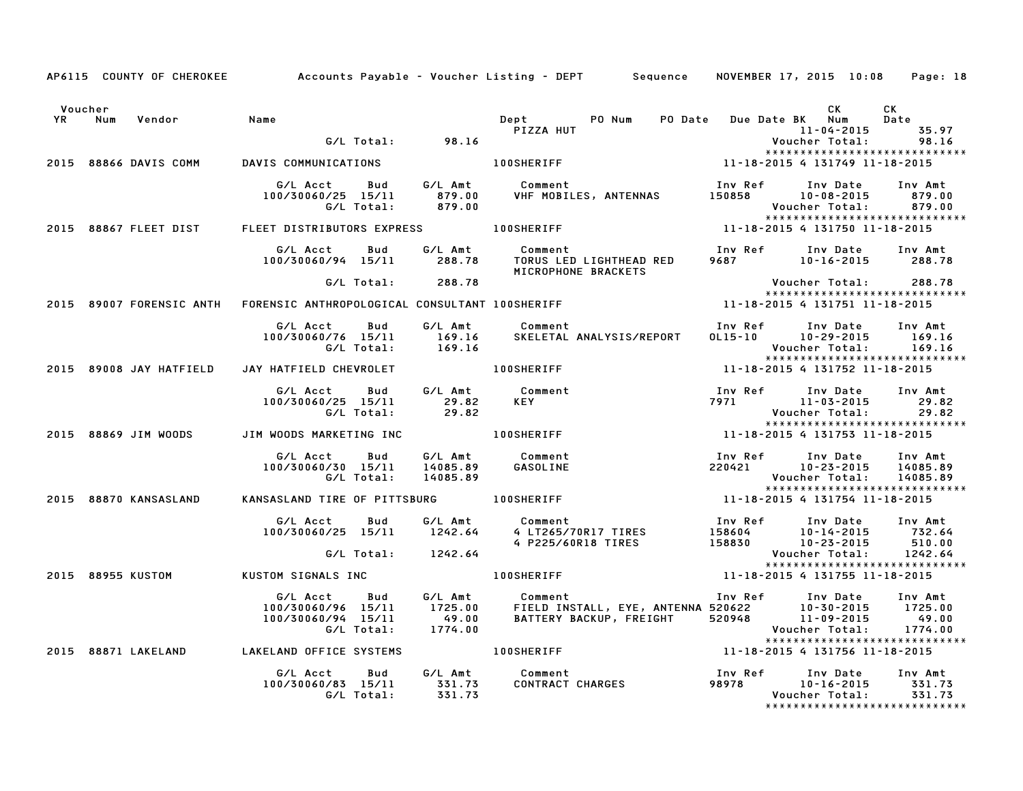|    | Voucher |                          |                                                |            |                  |                                                |                  | CK                                                               | CK               |
|----|---------|--------------------------|------------------------------------------------|------------|------------------|------------------------------------------------|------------------|------------------------------------------------------------------|------------------|
| YR | Num     | Vendor                   | Name                                           |            |                  | <b>Dept</b><br>PO Num<br><b>PO Date</b>        |                  | Due Date BK Num                                                  | Date             |
|    |         |                          |                                                |            | G/L Total: 98.16 | PIZZA HUT                                      |                  | 11-04-2015<br>Voucher Total:                                     | 35.97<br>98.16   |
|    |         |                          |                                                |            |                  |                                                |                  | ******************************                                   |                  |
|    |         | 2015 88866 DAVIS COMM    | DAVIS COMMUNICATIONS                           |            |                  | 100SHERIFF                                     |                  | 11-18-2015 4 131749 11-18-2015                                   |                  |
|    |         |                          | G/L Acct                                       | Bud        | G/L Amt          | Comment                                        | Inv Ref          | Inv Date                                                         | Inv Amt          |
|    |         |                          | 100/30060/25 15/11                             |            | 879.00           | VHF MOBILES, ANTENNAS                          | 150858           | $10 - 08 - 2015$                                                 | 879.00           |
|    |         |                          |                                                | G/L Total: | 879.00           |                                                |                  | Voucher Total:                                                   | 879.00           |
|    |         | 2015 88867 FLEET DIST    | FLEET DISTRIBUTORS EXPRESS                     |            |                  | <b>100SHERIFF</b>                              |                  | *****************************<br>11-18-2015 4 131750 11-18-2015  |                  |
|    |         |                          |                                                |            |                  |                                                |                  |                                                                  |                  |
|    |         |                          | G/L Acct                                       | Bud        | G/L Amt          | Comment                                        |                  | Inv Ref Inv Date                                                 | Inv Amt          |
|    |         |                          | 100/30060/94 15/11                             |            | 288.78           | TORUS LED LIGHTHEAD RED<br>MICROPHONE BRACKETS |                  | 9687 10-16-2015                                                  | 288.78           |
|    |         |                          |                                                | G/L Total: | 288.78           |                                                |                  | Voucher Total:                                                   | 288.78           |
|    |         | 2015 89007 FORENSIC ANTH | FORENSIC ANTHROPOLOGICAL CONSULTANT 100SHERIFF |            |                  |                                                |                  | ******************************<br>11-18-2015 4 131751 11-18-2015 |                  |
|    |         |                          |                                                |            |                  |                                                |                  |                                                                  |                  |
|    |         |                          | G/L Acct                                       | Bud        | G/L Amt          | Comment                                        | Inv Ref          | Inv Date                                                         | Inv Amt          |
|    |         |                          | 100/30060/76 15/11                             |            | 169.16           | SKELETAL ANALYSIS/REPORT                       |                  | 0L15-10 10-29-2015                                               | 169.16           |
|    |         |                          |                                                | G/L Total: | 169.16           |                                                |                  | Voucher Total:<br>*****************************                  | 169.16           |
|    |         | 2015 89008 JAY HATFIELD  | JAY HATFIELD CHEVROLET                         |            |                  | <b>100SHERIFF</b>                              |                  | 11-18-2015 4 131752 11-18-2015                                   |                  |
|    |         |                          | G/L Acct                                       | Bud        | G/L Amt          | Comment                                        | Inv Ref          | Inv Date                                                         | Inv Amt          |
|    |         |                          | 100/30060/25 15/11                             |            | 29.82            | <b>KEY</b>                                     | 7971             | 11-03-2015                                                       | 29.82            |
|    |         |                          |                                                | G/L Total: | 29.82            |                                                |                  | Voucher Total:                                                   | 29.82            |
|    |         | 2015 88869 JIM WOODS     | JIM WOODS MARKETING INC                        |            |                  | 100SHERIFF                                     |                  | *****************************<br>11-18-2015 4 131753 11-18-2015  |                  |
|    |         |                          |                                                |            |                  |                                                |                  |                                                                  |                  |
|    |         |                          | G/L Acct                                       | Bud        | G/L Amt          | Comment                                        | Inv Ref          | Inv Date                                                         | Inv Amt          |
|    |         |                          | 100/30060/30 15/11                             |            | 14085.89         | GASOLINE                                       | 220421           | 10-23-2015                                                       | 14085.89         |
|    |         |                          |                                                | G/L Total: | 14085.89         |                                                |                  | Voucher Total:<br>*****************************                  | 14085.89         |
|    |         | 2015 88870 KANSASLAND    | KANSASLAND TIRE OF PITTSBURG                   |            |                  | <b>100SHERIFF</b>                              |                  | 11-18-2015 4 131754 11-18-2015                                   |                  |
|    |         |                          |                                                |            |                  |                                                |                  |                                                                  |                  |
|    |         |                          | G/L Acct                                       | Bud        | G/L Amt          | Comment                                        | Inv Ref          | Inv Date                                                         | Inv Amt          |
|    |         |                          | 100/30060/25 15/11                             |            | 1242.64          | 4 LT265/70R17 TIRES<br>4 P225/60R18 TIRES      | 158604<br>158830 | $10 - 14 - 2015$<br>$10 - 23 - 2015$                             | 732.64<br>510.00 |
|    |         |                          |                                                | G/L Total: | 1242.64          |                                                |                  | Voucher Total:                                                   | 1242.64          |
|    |         |                          |                                                |            |                  |                                                |                  | *****************************                                    |                  |
|    |         | 2015 88955 KUSTOM        | KUSTOM SIGNALS INC                             |            |                  | <b>100SHERIFF</b>                              |                  | 11-18-2015 4 131755 11-18-2015                                   |                  |
|    |         |                          | G/L Acct                                       | Bud        | G/L Amt          | Comment                                        | Inv Ref          | Inv Date                                                         | Inv Amt          |
|    |         |                          | 100/30060/96 15/11                             |            | 1725.00          | FIELD INSTALL, EYE, ANTENNA 520622             |                  | 10-30-2015                                                       | 1725.00          |
|    |         |                          | 100/30060/94 15/11                             | G/L Total: | 49.00<br>1774.00 | BATTERY BACKUP, FREIGHT                        | 520948           | $11 - 09 - 2015$<br>Voucher Total:                               | 49.00<br>1774.00 |
|    |         |                          |                                                |            |                  |                                                |                  | *****************************                                    |                  |
|    |         | 2015 88871 LAKELAND      | LAKELAND OFFICE SYSTEMS                        |            |                  | 100SHERIFF                                     |                  | 11-18-2015 4 131756 11-18-2015                                   |                  |
|    |         |                          | G/L Acct                                       | Bud        | G/L Amt          | Comment                                        | Inv Ref          | Inv Date                                                         | Inv Amt          |
|    |         |                          | 100/30060/83 15/11                             |            | 331.73           | CONTRACT CHARGES                               | 98978            | $10 - 16 - 2015$                                                 | 331.73           |
|    |         |                          |                                                | G/L Total: | 331.73           |                                                |                  | Voucher Total:                                                   | 331.73           |
|    |         |                          |                                                |            |                  |                                                |                  | *****************************                                    |                  |

AP6115 COUNTY OF CHEROKEE Accounts Payable - Voucher Listing - DEPT Sequence NOVEMBER 17, 2015 10:08 Page: 18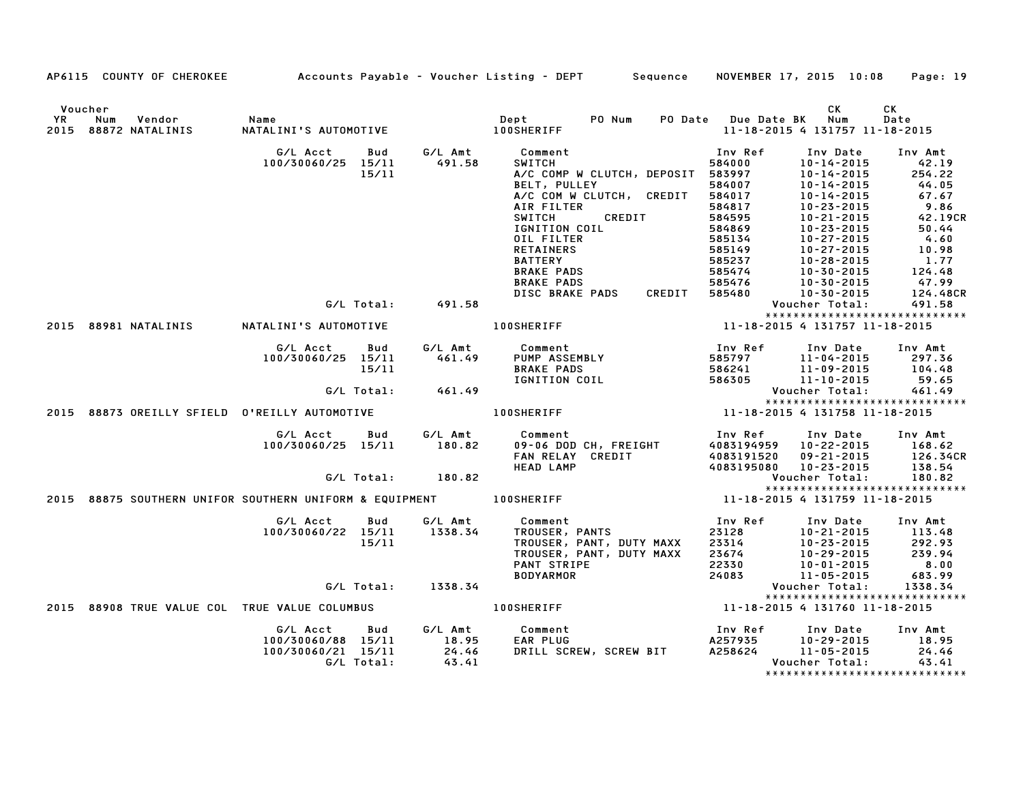|    |                                                                    |                                                      |                     |                                    | AP6115 COUNTY OF CHEROKEE Accounts Payable - Voucher Listing - DEPT Sequence NOVEMBER 17, 2015 10:08 Page: 19 |                                      |                                                                                              |                                         |
|----|--------------------------------------------------------------------|------------------------------------------------------|---------------------|------------------------------------|---------------------------------------------------------------------------------------------------------------|--------------------------------------|----------------------------------------------------------------------------------------------|-----------------------------------------|
| YR | Voucher<br>Vendor<br>Num<br>2015 88872 NATALINIS                   | Name<br>NATA<br>NATALINI'S AUTOMOTIVE                |                     |                                    |                                                                                                               | PO Date Due Date BK Num              | СK<br>11-18-2015 4 131757 11-18-2015                                                         | СK<br>Date                              |
|    |                                                                    | G/L Acct<br>100/30060/25 15/11                       | <b>Bud</b><br>15/11 | G/L Amt<br>491.58                  | Comment<br><b>SWITCH</b><br>A/C COMP W CLUTCH, DEPOSIT                                                        | Inv Ref<br>584000<br>583997          | Inv Date<br>10-14-2015<br>10-14-2015                                                         | Inv Amt<br>42.19<br>254.22              |
|    |                                                                    |                                                      |                     |                                    | <b>BELT, PULLEY</b><br>A/C COM W CLUTCH, CREDIT<br>AIR FILTER<br>CREDIT<br>SWITCH                             | 584007<br>584017<br>584817<br>584595 | 10-14-2015<br>10-14-2015<br>10-23-2015<br>10-21-2015                                         | 44.05<br>67.67<br>9.86<br>42.19CR       |
|    |                                                                    |                                                      |                     |                                    | IGNITION COIL<br>OIL FILTER<br><b>RETAINERS</b>                                                               | 584869<br>585134<br>585149           | 10-23-2015<br>10-27-2015<br>10-27-2015                                                       | 50.44<br>4.60<br>10.98                  |
|    |                                                                    |                                                      |                     |                                    | <b>BATTERY</b><br><b>BRAKE PADS</b><br><b>BRAKE PADS</b>                                                      | 585237<br>585474<br>585476           | 10-28-2015<br>10-30-2015<br>10-30-2015                                                       | 1.77<br>124.48<br>47.99                 |
|    |                                                                    |                                                      |                     | G/L Total: 491.58                  | <b>DISC BRAKE PADS</b><br>CREDIT                                                                              | 585480                               | 10-30-2015<br>Voucher Total:                                                                 | 124.48CR<br>491.58                      |
|    | 2015 88981 NATALINIS                                               | NATALINI'S AUTOMOTIVE                                |                     |                                    | <b>100SHERIFF</b>                                                                                             |                                      | ******************************<br>11-18-2015 4 131757 11-18-2015                             |                                         |
|    |                                                                    | G/L Acct<br>100/30060/25 15/11                       | <b>Bud</b><br>15/11 | 461.49                             | G/L Amt Comment<br>PUMP ASSEMBLY<br><b>BRAKE PADS</b>                                                         | Inv Ref<br>585797<br>586241          | Inv Date<br>11-04-2015<br>11-09-2015                                                         | Inv Amt<br>297.36<br>104.48             |
|    |                                                                    |                                                      |                     | G/L Total: 461.49                  | IGNITION COIL                                                                                                 | 586305                               | $11 - 10 - 2015$<br>Voucher Total:<br>*****************************                          | 59.65<br>461.49                         |
|    |                                                                    |                                                      |                     |                                    |                                                                                                               |                                      | 11-18-2015 4 131758 11-18-2015                                                               |                                         |
|    |                                                                    | G/L Acct Bud<br>100/30060/25 15/11                   |                     | G⁄L Amt<br>180.82                  | Comment<br>09-06 DOD CH, FREIGHT<br>FAN RELAY CREDIT<br><b>HEAD LAMP</b>                                      | Inv Ref<br>4083191520                | Inv Date<br>4083194959 10-22-2015<br>09-21-2015<br>4083195080 10-23-2015                     | Inv Amt<br>168.62<br>126.34CR<br>138.54 |
|    |                                                                    |                                                      | G/L Total:          | 180.82                             |                                                                                                               |                                      | Voucher Total:                                                                               | 180.82                                  |
|    | 2015 88875 SOUTHERN UNIFOR SOUTHERN UNIFORM & EQUIPMENT 100SHERIFF |                                                      |                     |                                    |                                                                                                               |                                      | *****************************<br>11-18-2015 4 131759 11-18-2015                              |                                         |
|    |                                                                    | G/L Acct<br>100/30060/22 15/11                       | Bud<br>15/11        | G/L Amt<br>1338.34                 | Comment<br>TROUSER, PANTS<br>Comment<br>TROUSER, PANT, DUTY MAXX<br>TROUSER, PANT, DUTY MAXX                  | Inv Ref<br>23128<br>23314<br>23674   | Inv Date<br>10-21-2015<br>10-23-2015<br>10-29-2015                                           | Inv Amt<br>113.48<br>292.93<br>239.94   |
|    |                                                                    |                                                      |                     | G/L Total: 1338.34                 | PANT STRIPE<br><b>BODYARMOR</b>                                                                               | 22330<br>24083                       | $10 - 01 - 2015$<br>11-05-2015<br>Voucher Total:                                             | 8.00<br>683.99<br>1338.34               |
|    |                                                                    |                                                      |                     |                                    | 100SHERIFF 11-18-2015 4 131760 11-18-2015                                                                     |                                      | *****************************                                                                |                                         |
|    | 2015 88908 TRUE VALUE COL TRUE VALUE COLUMBUS                      |                                                      |                     |                                    |                                                                                                               |                                      |                                                                                              |                                         |
|    |                                                                    | G/L Acct<br>100/30060/88 15/11<br>100/30060/21 15/11 | Bud<br>G/L Total:   | G/L Amt<br>18.95<br>24.46<br>43.41 | Comment<br>EAR PLUG<br>EAR PLUG<br>DRILL SCREW, SCREW BIT                                                     | Inv Ref                              | Inv Date<br>A257935<br>A258624 10-29-2015<br>Voucher Total:<br>***************************** | Inv Amt<br>18.95<br>24.46<br>43.41      |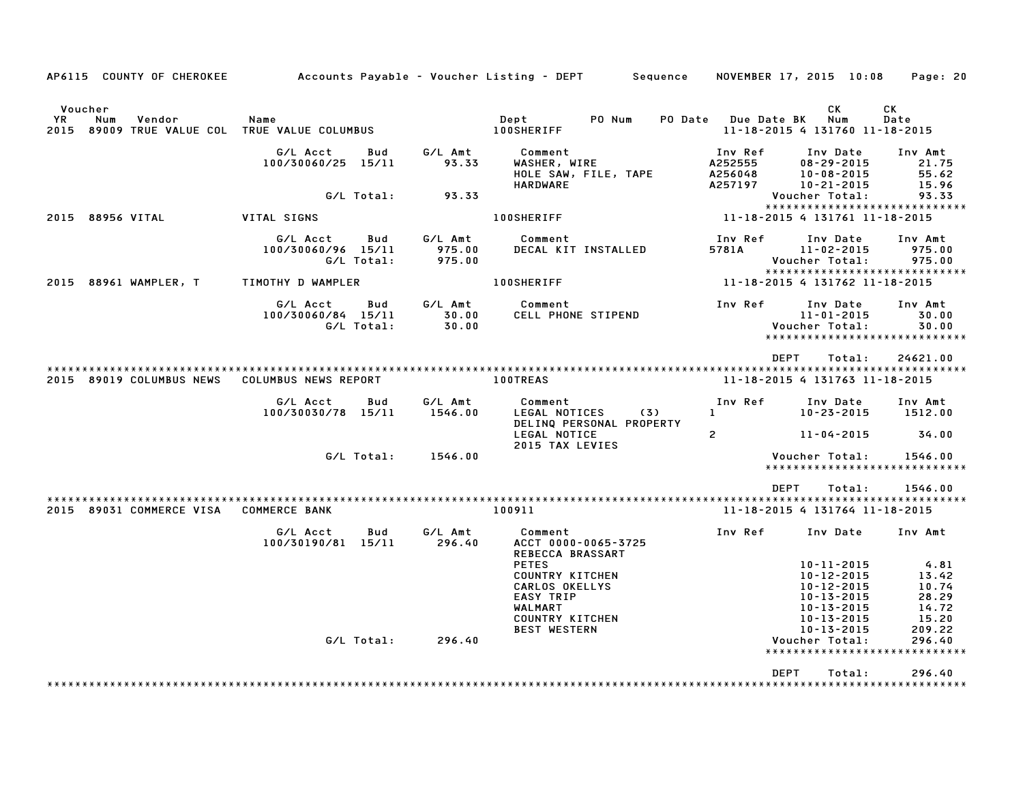| AP6115 COUNTY OF CHEROKEE                                                        |                                                     |                             | Accounts Payable – Voucher Listing – DEPT         Sequence                                                                        | NOVEMBER 17, 2015 10:08                              |                                                                                                                              | Page: 20                                                     |
|----------------------------------------------------------------------------------|-----------------------------------------------------|-----------------------------|-----------------------------------------------------------------------------------------------------------------------------------|------------------------------------------------------|------------------------------------------------------------------------------------------------------------------------------|--------------------------------------------------------------|
| Voucher<br>YR.<br>Num<br>Vendor<br>2015 89009 TRUE VALUE COL TRUE VALUE COLUMBUS | Name                                                |                             | Dept<br>PO Num<br><b>PO Date</b><br><b>100SHERIFF</b>                                                                             | <b>Due Date BK</b><br>11-18-2015 4 131760 11-18-2015 | СK<br>Num                                                                                                                    | СK<br>Date                                                   |
|                                                                                  | G/L Acct<br>Bud<br>100/30060/25 15/11               | G/L Amt<br>93.33            | Comment<br>WASHER, WIRE<br>HOLE SAW, FILE, TAPE<br><b>HARDWARE</b>                                                                | Inv Ref<br>A252555<br>A256048<br>A257197             | Inv Date<br>$08 - 29 - 2015$<br>$10 - 08 - 2015$<br>$10 - 21 - 2015$                                                         | Inv Amt<br>21.75<br>55.62<br>15.96                           |
|                                                                                  | G/L Total:                                          | 93.33                       |                                                                                                                                   |                                                      | Voucher Total:                                                                                                               | 93.33<br>*****************************                       |
| 2015 88956 VITAL                                                                 | VITAL SIGNS                                         |                             | <b>100SHERIFF</b>                                                                                                                 | 11-18-2015 4 131761 11-18-2015                       |                                                                                                                              |                                                              |
|                                                                                  | G/L Acct<br>Bud<br>100/30060/96 15/11<br>G/L Total: | G/L Amt<br>975.00<br>975.00 | Comment<br>DECAL KIT INSTALLED                                                                                                    | Inv Ref<br>5781A                                     | Inv Date<br>$11 - 02 - 2015$<br>Voucher Total:                                                                               | Inv Amt<br>975.00<br>975.00<br>***************************** |
| 2015 88961 WAMPLER, T                                                            | TIMOTHY D WAMPLER                                   |                             | <b>100SHERIFF</b>                                                                                                                 | 11-18-2015 4 131762 11-18-2015                       |                                                                                                                              |                                                              |
|                                                                                  | G/L Acct<br>Bud<br>100/30060/84 15/11<br>G/L Total: | G/L Amt<br>30.00<br>30.00   | Comment<br>CELL PHONE STIPEND                                                                                                     | Inv Ref                                              | Inv Date<br>$11 - 01 - 2015$<br>Voucher Total:                                                                               | Inv Amt<br>30.00<br>30.00<br>*****************************   |
| 2015 89019 COLUMBUS NEWS                                                         | COLUMBUS NEWS REPORT                                |                             | <b>100TREAS</b>                                                                                                                   | <b>DEPT</b><br>11-18-2015 4 131763 11-18-2015        | Total:                                                                                                                       | 24621.00                                                     |
|                                                                                  | G/L Acct<br>Bud<br>100/30030/78 15/11               | G/L Amt<br>1546.00          | Comment<br>LEGAL NOTICES<br>(3)<br>DELINQ PERSONAL PROPERTY<br>LEGAL NOTICE                                                       | Inv Ref<br>1.<br>$\mathbf{2}$                        | Inv Date<br>$10 - 23 - 2015$<br>$11 - 04 - 2015$                                                                             | Inv Amt<br>1512.00<br>34.00                                  |
|                                                                                  | G/L Total:                                          | 1546.00                     | 2015 TAX LEVIES                                                                                                                   |                                                      | Voucher Total:                                                                                                               | 1546.00<br>******************************                    |
|                                                                                  |                                                     |                             |                                                                                                                                   | <b>DEPT</b>                                          | Total:                                                                                                                       | 1546.00                                                      |
| 2015 89031 COMMERCE VISA                                                         | <b>COMMERCE BANK</b>                                |                             | 100911                                                                                                                            | 11-18-2015 4 131764 11-18-2015                       |                                                                                                                              |                                                              |
|                                                                                  | G/L Acct<br>Bud<br>100/30190/81 15/11               | G/L Amt<br>296.40           | Comment<br>ACCT 0000-0065-3725<br>REBECCA BRASSART                                                                                | Inv Ref                                              | Inv Date                                                                                                                     | Inv Amt                                                      |
|                                                                                  |                                                     |                             | <b>PETES</b><br><b>COUNTRY KITCHEN</b><br>CARLOS OKELLYS<br><b>EASY TRIP</b><br>WALMART<br>COUNTRY KITCHEN<br><b>BEST WESTERN</b> |                                                      | $10 - 11 - 2015$<br>$10 - 12 - 2015$<br>$10 - 12 - 2015$<br>$10 - 13 - 2015$<br>10-13-2015<br>10-13-2015<br>$10 - 13 - 2015$ | 4.81<br>13.42<br>10.74<br>28.29<br>14.72<br>15.20<br>209.22  |
|                                                                                  | G/L Total:                                          | 296.40                      |                                                                                                                                   |                                                      | Voucher Total:<br>********************                                                                                       | 296.40<br>*********                                          |
|                                                                                  |                                                     |                             |                                                                                                                                   | <b>DEPT</b>                                          | Total:                                                                                                                       | 296.40                                                       |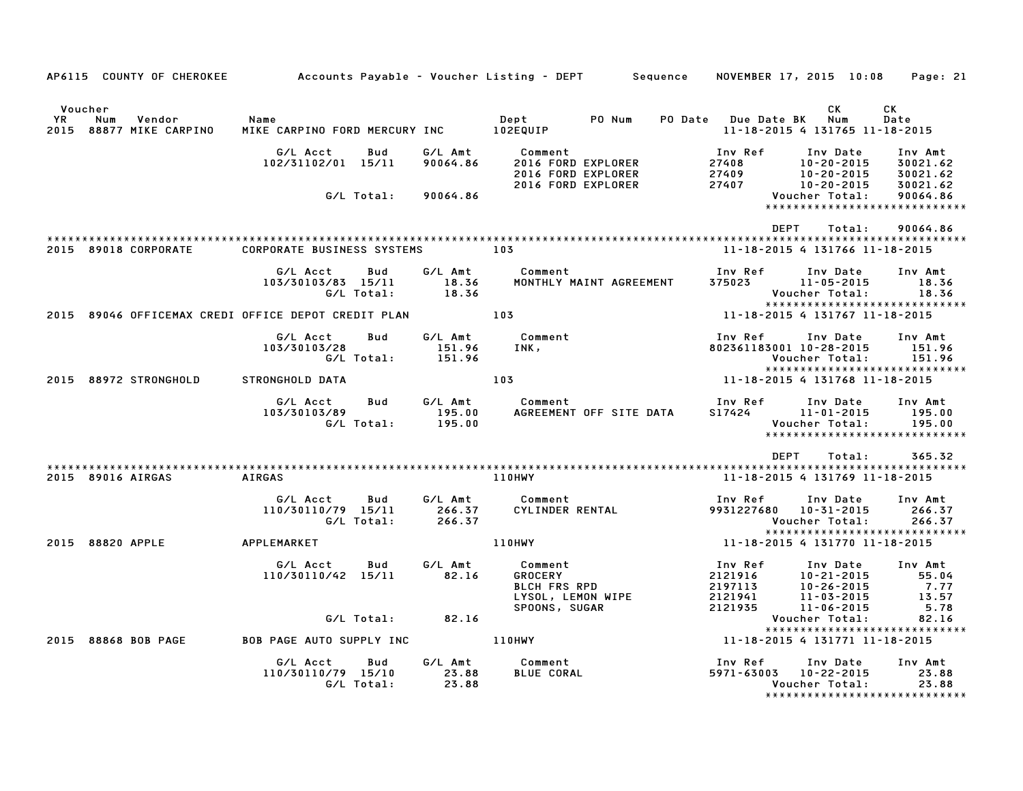| AP6115 COUNTY OF CHEROKEE Accounts Payable - Voucher Listing - DEPT Sequence NOVEMBER 17, 2015 10:08 Page: 21 |                                                |                  |                                          |                                |                                                 |                      |
|---------------------------------------------------------------------------------------------------------------|------------------------------------------------|------------------|------------------------------------------|--------------------------------|-------------------------------------------------|----------------------|
|                                                                                                               |                                                |                  |                                          |                                |                                                 |                      |
| Voucher                                                                                                       |                                                |                  |                                          |                                | CK.                                             | CK                   |
| <b>YR</b><br>Num<br>Vendor<br>2015 88877 MIKE CARPINO                                                         | Name<br>MIKE CARPINO FORD MERCURY INC 102EQUIP |                  | Dept PO Num                              | PO Date Due Date BK Num        | 11-18-2015 4 131765 11-18-2015                  | Date                 |
|                                                                                                               | G/L Acct<br>Bud                                |                  | G/L Amt Comment                          | Inv Ref                        | Inv Date                                        | Inv Amt              |
|                                                                                                               | 102/31102/01 15/11                             | 90064.86         | 2016 FORD EXPLORER<br>2016 FORD EXPLORER | 27408                          | 10-20-2015<br>10-20-2015                        | 30021.62<br>30021.62 |
|                                                                                                               |                                                |                  | 2016 FORD EXPLORER                       | 27409<br>27407                 | 10-20-2015                                      | 30021.62             |
|                                                                                                               | G/L Total:                                     | 90064.86         |                                          |                                | Voucher Total:<br>***************************** | 90064.86             |
|                                                                                                               |                                                |                  |                                          |                                |                                                 |                      |
|                                                                                                               |                                                |                  |                                          | DEPT                           | Total:                                          | 90064.86             |
| 2015 89018 CORPORATE                                                                                          | CORPORATE BUSINESS SYSTEMS                     | 103              |                                          |                                | 11-18-2015 4 131766 11-18-2015                  |                      |
|                                                                                                               |                                                |                  |                                          |                                |                                                 |                      |
|                                                                                                               | G/L Acct<br>Bud<br>103/30103/83 15/11          | G/L Amt<br>18.36 | Comment<br>MONTHLY MAINT AGREEMENT       | Inv Ref<br>$375023$ 11-05-2015 | Inv Date                                        | Inv Amt<br>18.36     |
|                                                                                                               | G/L Total:                                     | 18.36            |                                          |                                | Voucher Total:                                  | 18.36                |
|                                                                                                               |                                                |                  |                                          |                                | *****************************                   |                      |
| 2015 89046 OFFICEMAX CREDI OFFICE DEPOT CREDIT PLAN 103                                                       |                                                |                  |                                          |                                | 11-18-2015 4 131767 11-18-2015                  |                      |
|                                                                                                               | Bud<br>G/L Acct                                | G/L Amt          | Comment                                  | Inv Ref      Inv Date          |                                                 | Inv Amt              |
|                                                                                                               | 103/30103/28                                   | 151.96           | INK,                                     | 802361183001 10-28-2015        |                                                 | 151.96               |
|                                                                                                               | G/L Total:                                     | 151.96           |                                          |                                | Voucher Total:<br>***************************** | 151.96               |
| 2015 88972 STRONGHOLD                                                                                         | STRONGHOLD DATA                                | 103              |                                          |                                | 11-18-2015 4 131768 11-18-2015                  |                      |
|                                                                                                               | G/L Acct<br>Bud                                |                  | G/L Amt Comment                          | Inv Ref                        | Inv Date                                        | Inv Amt              |
|                                                                                                               | 103/30103/89                                   | 195.00           | AGREEMENT OFF SITE DATA                  | S17424 11-01-2015              |                                                 | 195.00               |
|                                                                                                               | G/L Total:                                     | 195.00           |                                          |                                | Voucher Total:                                  | 195.00               |
|                                                                                                               |                                                |                  |                                          |                                | *****************************                   |                      |
|                                                                                                               |                                                |                  |                                          | <b>DEPT</b>                    | Total:                                          | 365.32               |
| 2015 89016 AIRGAS                                                                                             | AIRGAS                                         |                  | <b>110HWY</b>                            |                                | 11-18-2015 4 131769 11-18-2015                  |                      |
|                                                                                                               |                                                |                  |                                          |                                |                                                 |                      |
|                                                                                                               | G/L Acct<br>Bud                                |                  | G/L Amt Comment                          | Inv Ref                        | Inv Date                                        | Inv Amt              |
|                                                                                                               | 110/30110/79 15/11<br>G/L Total:               | 266.37<br>266.37 | CYLINDER RENTAL                          | 9931227680 10-31-2015          | Voucher Total:                                  | 266.37<br>266.37     |
|                                                                                                               |                                                |                  |                                          |                                | *****************************                   |                      |
| 2015 88820 APPLE                                                                                              | APPLEMARKET                                    |                  | 110HWY                                   | 11-18-2015 4 131770 11-18-2015 |                                                 |                      |
|                                                                                                               | G/L Acct<br>Bud                                | G/L Amt          | Comment                                  | Inv Ref                        | Inv Date                                        | Inv Amt              |
|                                                                                                               | 110/30110/42 15/11                             | 82.16            | <b>GROCERY</b>                           | 2121916                        | 10-21-2015                                      | 55.04                |
|                                                                                                               |                                                |                  | <b>BLCH FRS RPD</b>                      | 2197113                        | 10-26-2015                                      | 7.77                 |
|                                                                                                               |                                                |                  | LYSOL, LEMON WIPE<br>SPOONS, SUGAR       | 2121941<br>2121935             | 11-03-2015<br>11-06-2015                        | 13.57<br>5.78        |
|                                                                                                               | $G/L$ Total: 82.16                             |                  |                                          |                                | Voucher Total:                                  | 82.16                |
|                                                                                                               |                                                |                  |                                          |                                | ******************************                  |                      |
| 2015 88868 BOB PAGE                                                                                           | BOB PAGE AUTO SUPPLY INC 110HWY                |                  |                                          |                                | 11-18-2015 4 131771 11-18-2015                  |                      |
|                                                                                                               | G/L Acct<br>Bud                                | G/L Amt          | Comment                                  | Inv Ref                        | Inv Date                                        | Inv Amt              |
|                                                                                                               | 110/30110/79 15/10                             | 23.88<br>23.88   | <b>BLUE CORAL</b>                        | 5971-63003 10-22-2015          |                                                 | 23.88                |
|                                                                                                               | G/L Total:                                     |                  |                                          |                                | Voucher Total:<br>***************************** | 23.88                |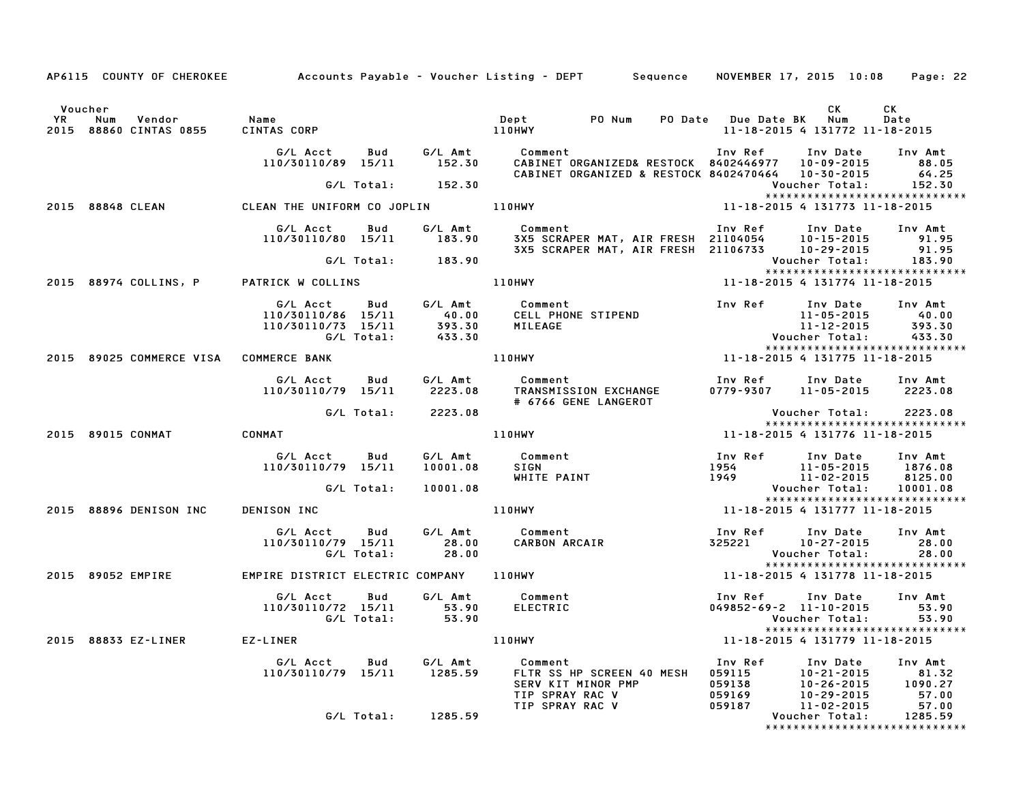|                                                                 |                                                      |                   |                           | AP6115 COUNTY OF CHEROKEE Accounts Payable - Voucher Listing - DEPT Sequence NOVEMBER 17, 2015 10:08             |                                                 |                                                                        | Page: 22                                      |
|-----------------------------------------------------------------|------------------------------------------------------|-------------------|---------------------------|------------------------------------------------------------------------------------------------------------------|-------------------------------------------------|------------------------------------------------------------------------|-----------------------------------------------|
| Voucher<br><b>YR</b><br>Num<br>Vendor<br>2015 88860 CINTAS 0855 | Name<br>CINTAS CORP                                  |                   |                           | PO Num<br>Dept<br>110HWY                                                                                         | PO Date Due Date BK Num                         | CK<br>11-18-2015 4 131772 11-18-2015                                   | CК<br>Date                                    |
|                                                                 | G/L Acct<br>110/30110/89 15/11                       | Bud               | G/L Amt<br>152.30         | Comment<br>CABINET ORGANIZED& RESTOCK 8402446977 10-09-2015<br>CABINET ORGANIZED & RESTOCK 8402470464 10-30-2015 | Inv Ref                                         | Inv Date                                                               | Inv Amt<br>88.05<br>64.25                     |
|                                                                 |                                                      | G/L Total:        | 152.30                    |                                                                                                                  |                                                 | Voucher Total:<br>*****************************                        | 152.30                                        |
| 2015 88848 CLEAN                                                | CLEAN THE UNIFORM CO JOPLIN 110HWY                   |                   |                           |                                                                                                                  |                                                 | 11-18-2015 4 131773 11-18-2015                                         |                                               |
|                                                                 | G/L Acct<br>110/30110/80 15/11                       | Bud               | G/L Amt<br>183.90         | Comment<br>3X5 SCRAPER MAT, AIR FRESH 21104054 10-15-2015<br>3X5 SCRAPER MAT, AIR FRESH 21106733 10-29-2015      | Inv Ref                                         | Inv Date                                                               | Inv Amt<br>91.95<br>91.95                     |
|                                                                 |                                                      | G/L Total:        | 183.90                    |                                                                                                                  |                                                 | Voucher Total:<br>*****************************                        | 183.90                                        |
| 2015 88974 COLLINS, P                                           | PATRICK W COLLINS                                    |                   |                           | 110HWY                                                                                                           |                                                 | 11-18-2015 4 131774 11-18-2015                                         |                                               |
|                                                                 | G/L Acct<br>110/30110/86 15/11<br>110/30110/73 15/11 | Bud<br>G/L Total: | 40.00<br>393.30<br>433.30 | G/L Amt Comment<br>CELL PHONE STIPEND<br>MILEAGE                                                                 | Inv Ref                                         | Inv Date<br>11-05-2015<br>$11 - 12 - 2015$<br>Voucher Total:           | Inv Amt<br>40.00<br>393.30<br>433.30          |
| 2015 89025 COMMERCE VISA                                        | <b>COMMERCE BANK</b>                                 |                   |                           | <b>110HWY</b>                                                                                                    |                                                 | *****************************<br>11-18-2015 4 131775 11-18-2015        |                                               |
|                                                                 | G/L Acct<br>110/30110/79 15/11                       | Bud               | G/L Amt<br>2223.08        | Comment<br>TRANSMISSION EXCHANGE<br># 6766 GENE LANGEROT                                                         | Inv Ref                                         | Inv Date<br>0779-9307 11-05-2015                                       | Inv Amt<br>2223.08                            |
|                                                                 |                                                      | G/L Total:        | 2223.08                   |                                                                                                                  |                                                 | Voucher Total:<br>******************************                       | 2223.08                                       |
| 2015 89015 CONMAT                                               | CONMAT                                               |                   |                           | 110HWY                                                                                                           |                                                 | 11-18-2015 4 131776 11-18-2015                                         |                                               |
|                                                                 | G/L Acct<br>110/30110/79 15/11                       | Bud               | G/L Amt<br>10001.08       | Comment<br><b>SIGN</b><br>WHITE PAINT                                                                            | Inv Ref<br>1954<br>1949                         | Inv Date<br>11-05-2015<br>11-02-2015                                   | Inv Amt<br>1876.08<br>8125.00                 |
|                                                                 |                                                      | G/L Total:        | 10001.08                  |                                                                                                                  |                                                 | Voucher Total:<br>*****************************                        | 10001.08                                      |
| 2015 88896 DENISON INC                                          | DENISON INC                                          |                   |                           | 110HWY                                                                                                           |                                                 | 11-18-2015 4 131777 11-18-2015                                         |                                               |
|                                                                 | G/L Acct<br>110/30110/79 15/11                       | Bud<br>G/L Total: | G/L Amt<br>28.00<br>28.00 | Comment<br>CARBON ARCAIR                                                                                         | Inv Ref<br>325221                               | Inv Date<br>10-27-2015<br>Voucher Total:                               | Inv Amt<br>28.00<br>28.00                     |
| 2015 89052 EMPIRE                                               | EMPIRE DISTRICT ELECTRIC COMPANY 110HWY              |                   |                           |                                                                                                                  |                                                 | *****************************<br>11-18-2015 4 131778 11-18-2015        |                                               |
|                                                                 | G/L Acct<br>110/30110/72 15/11                       | Bud<br>G/L Total: | G/L Amt<br>53.90<br>53.90 | Comment<br><b>ELECTRIC</b>                                                                                       | Inv Ref                                         | Inv Date<br>$049852 - 69 - 2$ 11-10-2015<br>Voucher Total:             | Inv Amt<br>53.90<br>53.90                     |
| 88833 EZ-LINER<br>2015                                          | EZ-LINER                                             |                   |                           | 110HWY                                                                                                           |                                                 | *****************************<br>11-18-2015 4 131779 11-18-2015        |                                               |
|                                                                 | G/L Acct<br>110/30110/79 15/11                       | Bud               | G/L Amt<br>1285.59        | Comment<br>FLTR SS HP SCREEN 40 MESH<br>SERV KIT MINOR PMP<br>TIP SPRAY RAC V<br>TIP SPRAY RAC V                 | Inv Ref<br>059115<br>059138<br>059169<br>059187 | Inv Date<br>10-21-2015<br>10-26-2015<br>$10 - 29 - 2015$<br>11-02-2015 | Inv Amt<br>81.32<br>1090.27<br>57.00<br>57.00 |
|                                                                 |                                                      | G/L Total:        | 1285.59                   |                                                                                                                  |                                                 | Voucher Total:<br>*****************************                        | 1285.59                                       |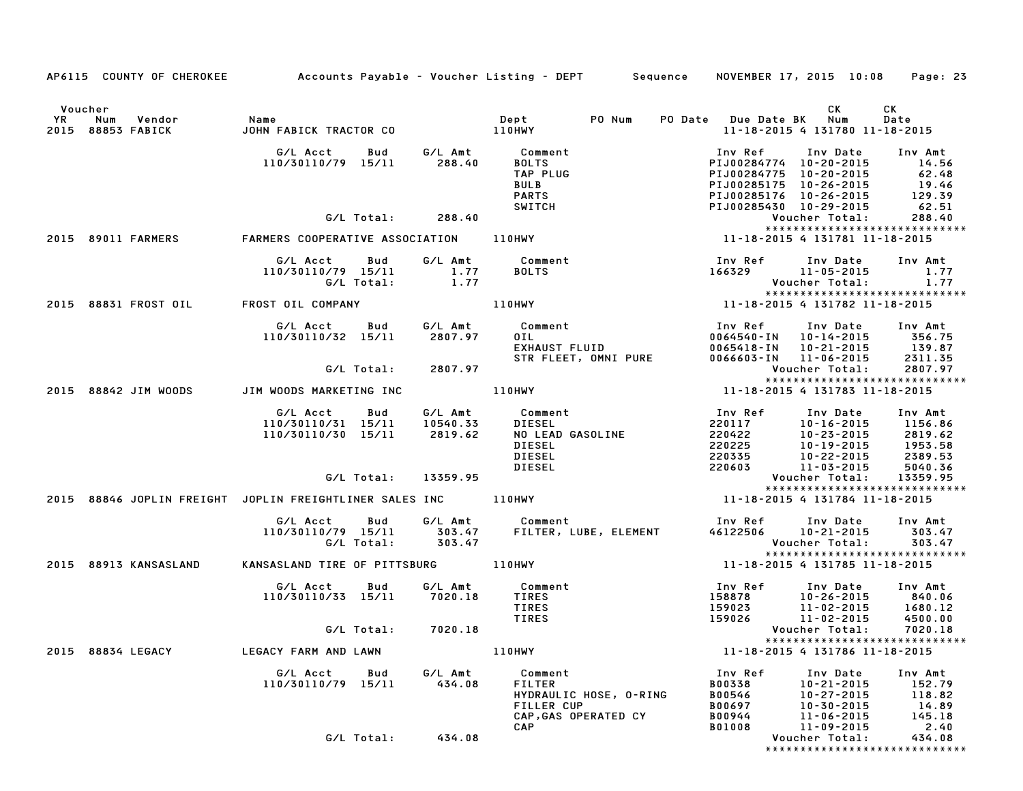|    | AP6115 COUNTY OF CHEROKEE Accounts Payable - Voucher Listing - DEPT Sequence NOVEMBER 17, 2015 10:08 |                                            |            |                     |                                                              |        |                                                |                                                                           | Page: 23           |
|----|------------------------------------------------------------------------------------------------------|--------------------------------------------|------------|---------------------|--------------------------------------------------------------|--------|------------------------------------------------|---------------------------------------------------------------------------|--------------------|
|    |                                                                                                      |                                            |            |                     |                                                              |        |                                                |                                                                           |                    |
|    | Voucher                                                                                              |                                            |            |                     |                                                              |        |                                                | CK                                                                        | СK                 |
| YR | Num<br>Vendor<br>2015 88853 FABICK                                                                   | Name                                       |            |                     |                                                              | PO Num | PO Date Due Date BK Num                        | 11-18-2015 4 131780 11-18-2015                                            | Date               |
|    |                                                                                                      |                                            |            |                     |                                                              |        |                                                |                                                                           |                    |
|    |                                                                                                      | G/L Acct<br>110/30110/79 15/11 288.40      | Bud        |                     | G/L Amt Comment<br>BOLTS                                     |        | Inv Ref<br>PIJ00284774 10-20-2015              | Inv Date                                                                  | Inv Amt<br>14.56   |
|    |                                                                                                      |                                            |            |                     | TAP PLUG                                                     |        | PIJ00284775 10-20-2015                         |                                                                           |                    |
|    |                                                                                                      |                                            |            |                     | <b>BULB</b>                                                  |        | PIJ00285175 10-26-2015                         |                                                                           | $62.48$<br>$19.46$ |
|    |                                                                                                      |                                            |            |                     | <b>PARTS</b>                                                 |        | PIJ00285176 10-26-2015                         |                                                                           | 129.39             |
|    |                                                                                                      |                                            |            |                     | <b>SWITCH</b>                                                |        | PIJ00285430 10-29-2015                         |                                                                           | 62.51              |
|    |                                                                                                      |                                            |            | G/L Total: 288.40   |                                                              |        |                                                | Voucher Total:<br>*****************************                           | 288.40             |
|    |                                                                                                      |                                            |            |                     |                                                              |        |                                                |                                                                           |                    |
|    |                                                                                                      | G/L Acct Bud G/L Amt Comment               |            |                     |                                                              |        |                                                | Inv Ref      Inv Date     Inv Amt                                         |                    |
|    |                                                                                                      |                                            |            |                     | <b>BOLTS</b>                                                 |        |                                                | 1.11 166329<br>166329 11-05-2015 1.77<br>Voucher Total: 1.77              |                    |
|    |                                                                                                      | 110/30110/79 15/11 1.77<br>G/L Total: 1.77 |            |                     |                                                              |        |                                                |                                                                           |                    |
|    | 2015 88831 FROST OIL                                                                                 |                                            |            |                     |                                                              |        |                                                | *****************************                                             |                    |
|    |                                                                                                      |                                            |            |                     |                                                              |        |                                                |                                                                           |                    |
|    |                                                                                                      | G/L Acct                                   | Bud        |                     | G/L Amt Comment                                              |        | Inv Ref      Inv Date<br>0064540-IN 10-14-2015 |                                                                           | Inv Amt            |
|    |                                                                                                      | 110/30110/32 15/11                         |            | 2807.97             |                                                              |        | 0065418-IN 10-21-2015                          |                                                                           | 356.75<br>139.87   |
|    |                                                                                                      |                                            |            |                     | Comment<br>OIL<br>EXHAUST FLUID<br>STR FLEET, OMNI PURE      |        | 0066603-IN 11-06-2015                          |                                                                           | 2311.35            |
|    |                                                                                                      |                                            | G/L Total: | 2807.97             |                                                              |        |                                                | Voucher Total:                                                            | 2807.97            |
|    | 2015 88842 JIM WOODS JIM WOODS MARKETING INC                                                         |                                            |            | 110HWY              |                                                              |        |                                                | *****************************<br>11-18-2015 4 131783 11-18-2015           |                    |
|    |                                                                                                      |                                            |            |                     |                                                              |        |                                                |                                                                           |                    |
|    |                                                                                                      | G/L Acct                                   | Bud        |                     | G/L Amt Comment                                              |        | Inv Ref<br>220117                              | Inv Date                                                                  | Inv Amt            |
|    |                                                                                                      | 110/30110/31 15/11<br>110/30110/30 15/11   |            | 10540.33<br>2819.62 | DIESEL                                                       |        | 220422                                         | 10-16-2015 1156.86                                                        | 2819.62            |
|    |                                                                                                      |                                            |            |                     | NO LEAD GASOLINE<br>DIESEL                                   |        | 220225                                         |                                                                           |                    |
|    |                                                                                                      |                                            |            |                     | <b>DIESEL</b>                                                |        | 220335                                         | 10-23-2015<br>10-19-2015<br>10-22-2015                                    |                    |
|    |                                                                                                      |                                            |            |                     | DIESEL                                                       |        | 220603                                         | 11-03-2015                                                                | 5040.36            |
|    |                                                                                                      |                                            |            | G/L Total: 13359.95 |                                                              |        |                                                | Voucher Total: 13359.95<br>*****************************                  |                    |
|    | 2015 88846 JOPLIN FREIGHT JOPLIN FREIGHTLINER SALES INC 110HWY                                       |                                            |            |                     |                                                              |        |                                                | 11-18-2015 4 131784 11-18-2015                                            |                    |
|    |                                                                                                      | G/L Acct Bud                               |            |                     |                                                              |        |                                                |                                                                           |                    |
|    |                                                                                                      | 110/30110/79 15/11 303.47                  |            |                     | G/L Amt Comment<br>303.47 FILTER, L<br>FILTER, LUBE, ELEMENT |        |                                                | Inv Ref      Inv Date    Inv Amt<br>46122506      10–21–2015       303.47 |                    |
|    |                                                                                                      | G/L Total:                                 |            | 303.47              |                                                              |        |                                                | Voucher Total:                                                            | 303.47             |
|    |                                                                                                      |                                            |            |                     |                                                              |        |                                                | *****************************<br>11-18-2015 4 131785 11-18-2015           |                    |
|    | 2015 88913 KANSASLAND                                                                                | KANSASLAND TIRE OF PITTSBURG 110HWY        |            |                     |                                                              |        |                                                |                                                                           |                    |
|    |                                                                                                      | G/L Acct                                   | Bud        | G/L Amt             | Comment                                                      |        | Inv Ref      Inv Date                          |                                                                           | Inv Amt            |
|    |                                                                                                      | 110/30110/33 15/11 7020.18                 |            |                     | TIRES<br>TIRES                                               |        | 158878<br>159023                               |                                                                           |                    |
|    |                                                                                                      |                                            |            |                     | TIRES                                                        |        | 159026                                         | $10-26-2015$<br>10-26-2015 1680.12<br>11-02-2015 4500.00                  |                    |
|    |                                                                                                      | G/L Total:                                 |            | 7020.18             |                                                              |        |                                                | Voucher Total:                                                            | 7020.18            |
|    |                                                                                                      |                                            |            |                     |                                                              |        |                                                | *****************************                                             |                    |
|    | 2015 88834 LEGACY                                                                                    | LEGACY FARM AND LAWN                       |            |                     | <b>110HWY</b>                                                |        |                                                | 11-18-2015 4 131786 11-18-2015                                            |                    |
|    |                                                                                                      | G/L Acct                                   | Bud        | G/L Amt             | Comment                                                      |        | Inv Ref                                        | Inv Date                                                                  | Inv Amt            |
|    |                                                                                                      | 110/30110/79 15/11                         |            | 434.08              | <b>FILTER</b><br>HYDRAULIC HOSE, O-RING                      |        | <b>B00338</b>                                  | $10 - 21 - 2015$<br>10-27-2015                                            | 152.79             |
|    |                                                                                                      |                                            |            |                     | FILLER CUP                                                   |        | B00546<br>B00697                               | 10-30-2015                                                                | 118.82<br>14.89    |
|    |                                                                                                      |                                            |            |                     | CAP, GAS OPERATED CY                                         |        | B00944                                         | $11 - 06 - 2015$                                                          | 145.18             |
|    |                                                                                                      |                                            |            |                     | <b>CAP</b>                                                   |        | B01008                                         | 11-09-2015                                                                | 2.40               |
|    |                                                                                                      | G/L Total:                                 |            | 434.08              |                                                              |        |                                                | Voucher Total:<br>*****************************                           | 434.08             |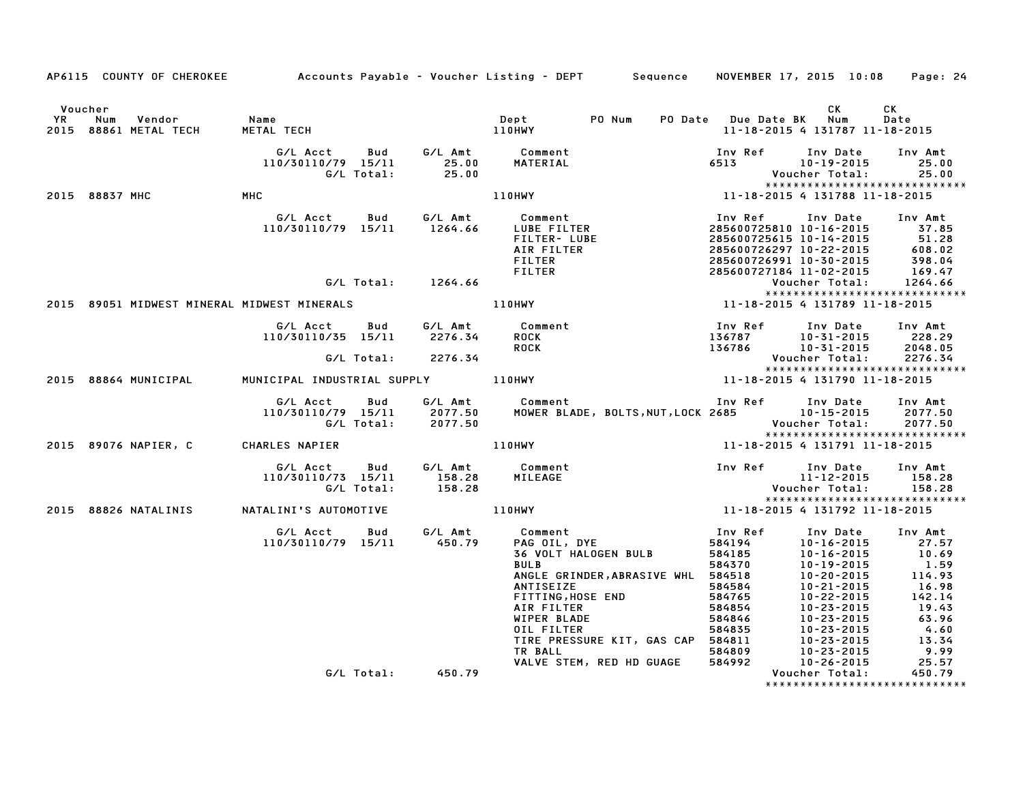|                      |                                             |                                                                            |                    | AP6115 COUNTY OF CHEROKEE Accounts Payable - Voucher Listing - DEPT Sequence NOVEMBER 17, 2015 10:08 Page: 24                                                                                                                                                            |                                                                                                                                                                                                                                                                                                     |                                                                                            |                                                                       |
|----------------------|---------------------------------------------|----------------------------------------------------------------------------|--------------------|--------------------------------------------------------------------------------------------------------------------------------------------------------------------------------------------------------------------------------------------------------------------------|-----------------------------------------------------------------------------------------------------------------------------------------------------------------------------------------------------------------------------------------------------------------------------------------------------|--------------------------------------------------------------------------------------------|-----------------------------------------------------------------------|
| Voucher<br><b>YR</b> | Num<br>Vendor<br>2015 88861 METAL TECH      | Name                                                                       |                    | PO Num<br>Dept                                                                                                                                                                                                                                                           | PO Date Due Date BK Num                                                                                                                                                                                                                                                                             | CK<br>11-18-2015 4 131787 11-18-2015                                                       | CK<br>Date                                                            |
|                      |                                             |                                                                            |                    | G/L Acct Bud G/L Amt Comment<br><b>MATERIAL</b>                                                                                                                                                                                                                          | Inv Ref      Inv Date     Inv Amt<br>6513 10-19-2015                                                                                                                                                                                                                                                | Voucher Total:                                                                             | 25.00<br>25.00                                                        |
|                      | 2015 88837 MHC                              | MHC                                                                        |                    |                                                                                                                                                                                                                                                                          |                                                                                                                                                                                                                                                                                                     |                                                                                            |                                                                       |
|                      |                                             |                                                                            |                    | C<br>G/L Acct Bud G/L Amt Comment<br>110/30110/79 15/11 1264.66 LUBE FILTER<br>FILTER-LUBE<br>AIR FILTER<br>FILTER<br>FILTER<br>FILTER<br>FILTER<br>FILTER                                                                                                               | Inv Ref<br>285600725810 10-16-2015 37.85<br>285600725615 10-14-2015<br>285600725615 10-14-2015 51.28<br>285600726297 10-22-2015 608.02<br>285600726991 10-30-2015 398.04<br>285600727184 11-02-2015 169.47<br>Voucher Total: 1264.66                                                                | Inv Date                                                                                   | Inv Amt                                                               |
|                      |                                             |                                                                            | G/L Total: 1264.66 |                                                                                                                                                                                                                                                                          |                                                                                                                                                                                                                                                                                                     |                                                                                            | *****************************                                         |
|                      | 2015 89051 MIDWEST MINERAL MIDWEST MINERALS |                                                                            |                    | 110HWY                                                                                                                                                                                                                                                                   | 11-18-2015 4 131789 11-18-2015                                                                                                                                                                                                                                                                      |                                                                                            |                                                                       |
|                      |                                             | G/L Acct Bud<br>110/30110/35 15/11 2276.34                                 | G/L Total: 2276.34 | G/L Amt Comment<br><b>ROCK</b><br><b>ROCK</b>                                                                                                                                                                                                                            | Inv Ref      Inv Date     Inv Amt<br>136787 10-31-2015 228.29<br>136786                                                                                                                                                                                                                             | 10-31-2015 2048.05<br>Voucher Total:                                                       | 2276.34                                                               |
|                      | 2015 88864 MUNICIPAL                        |                                                                            |                    |                                                                                                                                                                                                                                                                          |                                                                                                                                                                                                                                                                                                     |                                                                                            | *****************************                                         |
|                      |                                             |                                                                            |                    |                                                                                                                                                                                                                                                                          |                                                                                                                                                                                                                                                                                                     |                                                                                            |                                                                       |
|                      |                                             | G/L Acct  Bud  G/L Amt  Comment<br>110/30110/79  15/11  2077.50  MOWER BLA | G/L Total: 2077.50 |                                                                                                                                                                                                                                                                          |                                                                                                                                                                                                                                                                                                     |                                                                                            |                                                                       |
|                      | 2015 89076 NAPIER, C CHARLES NAPIER         |                                                                            |                    | 110HWY                                                                                                                                                                                                                                                                   | 11-18-2015 4 131791 11-18-2015                                                                                                                                                                                                                                                                      |                                                                                            | *****************************                                         |
|                      |                                             | G/L Acct Bud                                                               |                    | G/L Amt Comment                                                                                                                                                                                                                                                          | Inv Ref Inv Date Inv Amt                                                                                                                                                                                                                                                                            | $11 - 12 - 2015$ $158.28$<br><b>Voucher Total:</b>                                         | 158.28                                                                |
|                      |                                             |                                                                            |                    | 110/30110/73 15/11 5/4 158.28<br>110/30110/73 15/11 158.28 MILEAGE<br>2015 88826 NATALINIS NATALINI'S AUTOMOTIVE 110HWY 11 <sup>1</sup>                                                                                                                                  | 11-18-2015 4 131792 11-18-2015                                                                                                                                                                                                                                                                      |                                                                                            |                                                                       |
|                      |                                             | G/L Acct Bud G/L Amt<br>110/30110/79 15/11 450.79                          |                    | Comment<br>Comment<br>PAG OIL, DYE<br>36 VOLT HALOGEN BULB<br><b>BULB</b><br>ANGLE GRINDER, ABRASIVE WHL 584518<br>ANTISEIZE<br>FITTING, HOSE END<br>AIR FILTER<br>WIPER BLADE<br>OIL FILTER<br>TIRE PRESSURE KIT, GAS CAP 584811<br>TR BALL<br>VALVE STEM, RED HD GUAGE | Inv Ref<br>584194<br>584185<br>584370<br>584370<br>584570<br>584518<br>584518<br>10-20-2015<br>584584<br>10-21-2015<br>584855<br>584855<br>584855<br>10-23-2015<br>58481<br>58481<br>10-23-2015<br>58481<br>58481<br>10-23-2015<br>58481<br>10-23-2015<br>58481<br>10-23-2015<br>58480<br>10-23-201 | Inv Date Inv Amt<br>10-16-2015<br>10-23-2015<br>10-23-2015   4.00<br>2015   13.34<br>29.99 | 27.57<br>10.69<br>1.59<br>114.93<br>16.98<br>142.14<br>19.43<br>25.57 |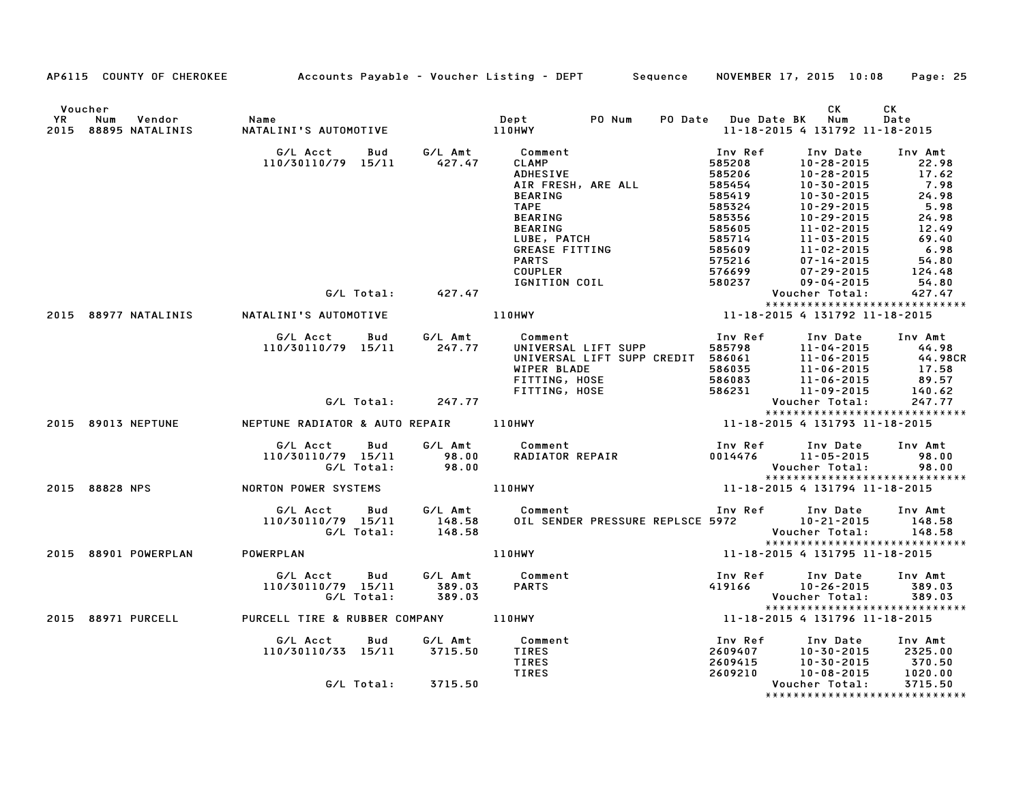|                                                          |                                                            |                             | AP6115 COUNTY OF CHEROKEE Accounts Payable - Voucher Listing - DEPT Sequence                                                                                                                         |                                                                                                                             | NOVEMBER 17, 2015 10:08                                                                                                                                                                                  | Page: 25                                                                                                          |
|----------------------------------------------------------|------------------------------------------------------------|-----------------------------|------------------------------------------------------------------------------------------------------------------------------------------------------------------------------------------------------|-----------------------------------------------------------------------------------------------------------------------------|----------------------------------------------------------------------------------------------------------------------------------------------------------------------------------------------------------|-------------------------------------------------------------------------------------------------------------------|
| Voucher<br>YR<br>Num<br>Vendor<br>2015 88895 NATALINIS   | Name<br>NATALINI'S AUTOMOTIVE                              | Dept<br>110HWY              | PO Num<br>$\mathbf{Depth}$                                                                                                                                                                           | PO Date Due Date BK Num                                                                                                     | СK<br>11-18-2015 4 131792 11-18-2015                                                                                                                                                                     | СK<br>Date                                                                                                        |
|                                                          | G/L Acct<br>Bud<br>110/30110/79 15/11                      | G⁄L Amt<br>427.47           | Comment<br>CLAMP<br>ADHESIVE<br>AIR FRESH, ARE ALL<br><b>BEARING</b><br><b>TAPE</b><br>BEARING<br><b>BEARING</b><br>LUBE, PATCH<br>GREASE FITTING<br><b>PARTS</b><br><b>COUPLER</b><br>IGNITION COIL | Inv Ref<br>585208<br>585206<br>585454<br>585419<br>585324<br>585356<br>$.4$ 11<br>$.609$ 11<br>$.75216$<br>576699<br>580237 | Inv Date<br>10-28-2015<br>10-28-2015<br>10-30-2015<br>$10 - 30 - 2015$<br>10-29-2015<br>10-29-2015<br>11-02-2015<br>11-03-2015<br>11-02-2015<br>$07 - 14 - 2015$<br>$07 - 29 - 2015$<br>$09 - 04 - 2015$ | Inv Amt<br>22.98<br>17.62<br>7.98<br>24.98<br>5.98<br>24.98<br>12.49<br>69.40<br>6.98<br>54.80<br>124.48<br>54.80 |
|                                                          | G/L Total:                                                 | 427.47                      |                                                                                                                                                                                                      |                                                                                                                             | Voucher Total:<br>*****************************                                                                                                                                                          | 427.47                                                                                                            |
| 2015 88977 NATALINIS                                     | NATALINI'S AUTOMOTIVE                                      |                             | <b>110HWY</b>                                                                                                                                                                                        |                                                                                                                             |                                                                                                                                                                                                          |                                                                                                                   |
|                                                          | G/L Acct<br><b>Bud</b><br>110/30110/79 15/11<br>G/L Total: | G/L Amt<br>247.77<br>247.77 | Comment<br>UNIVERSAL LIFT SUPP<br>UNIVERSAL LIFT SUPP CREDIT 586061<br>WIPER BLADE<br>FITTING, HOSE<br>FITTING, HOSE<br>FITTING, HOSE                                                                | Inv Ref                                                                                                                     | Inv Date<br>11-04-2015<br>586061 11-04-2015<br>586061 11-06-2015<br>586035 11-06-2015<br>586083 11-06-2015<br>586231 11-09-2015<br>Voucher Total:                                                        | Inv Amt<br>44.98<br>44.98CR<br>17.58<br>89.57<br>140.62<br>247.77                                                 |
| 2015 89013 NEPTUNE NEPTUNE RADIATOR & AUTO REPAIR 110HWY |                                                            |                             |                                                                                                                                                                                                      |                                                                                                                             | *****************************<br>11-18-2015 4 131793 11-18-2015                                                                                                                                          |                                                                                                                   |
|                                                          | <b>Bud</b><br>G/L Acct<br>110/30110/79 15/11<br>G/L Total: | $98.00$<br>$98.00$          | Comment<br>RADIATOR REPAIR<br>11-05-2015<br>Weysham Tatal<br>G/L Amt Comment                                                                                                                         |                                                                                                                             | Voucher Total:<br>*****************************                                                                                                                                                          | Inv Amt<br>98.00<br>98.00                                                                                         |
| 2015 88828 NPS                                           | NORTON POWER SYSTEMS                                       | 110HWY                      |                                                                                                                                                                                                      |                                                                                                                             | 11-18-2015 4 131794 11-18-2015                                                                                                                                                                           |                                                                                                                   |
|                                                          | G/L Acct<br>Bud<br>110/30110/79 15/11<br>G/L Total:        |                             | G/L Amt       Comment<br>148.58     OIL SENDER PRESSURE REPLSCE<br>148.58<br>OIL SENDER PRESSURE REPLSCE 5972 10-21-2015                                                                             |                                                                                                                             | Inv Ref Inv Date<br>Voucher Total:<br>*****************************                                                                                                                                      | Inv Amt<br>148.58<br>148.58                                                                                       |
| 2015 88901 POWERPLAN                                     | POWERPLAN                                                  |                             | <b>110HWY</b>                                                                                                                                                                                        |                                                                                                                             | 11-18-2015 4 131795 11-18-2015                                                                                                                                                                           |                                                                                                                   |
|                                                          | G/L Acct   Bud<br>110/30110/79 15/11<br>G/L Total:         | 389.03<br>389.03            | G/L Amt Comment<br><b>PARTS</b>                                                                                                                                                                      | Inv Ref<br>419166                                                                                                           | Inv Date<br>10-26-2015<br>Voucher Total:<br>*****************************                                                                                                                                | Inv Amt<br>389.03<br>389.03                                                                                       |
| 2015 88971 PURCELL                                       |                                                            |                             |                                                                                                                                                                                                      |                                                                                                                             | 11-18-2015 4 131796 11-18-2015                                                                                                                                                                           |                                                                                                                   |
|                                                          | G/L Acct<br>Bud<br>110/30110/33 15/11                      | G/L Amt<br>3715.50          | Comment<br>TIRES<br>TIRES<br>TIRES                                                                                                                                                                   | Inv Ref<br>2609407<br>2609415<br>2609210                                                                                    | Inv Date<br>$10 - 30 - 2015$<br>10-30-2015<br>10-08-2015                                                                                                                                                 | Inv Amt<br>2325.00<br>370.50<br>1020.00                                                                           |
|                                                          | G/L Total: 3715.50                                         |                             |                                                                                                                                                                                                      |                                                                                                                             | Voucher Total:<br>*****************************                                                                                                                                                          | 3715.50                                                                                                           |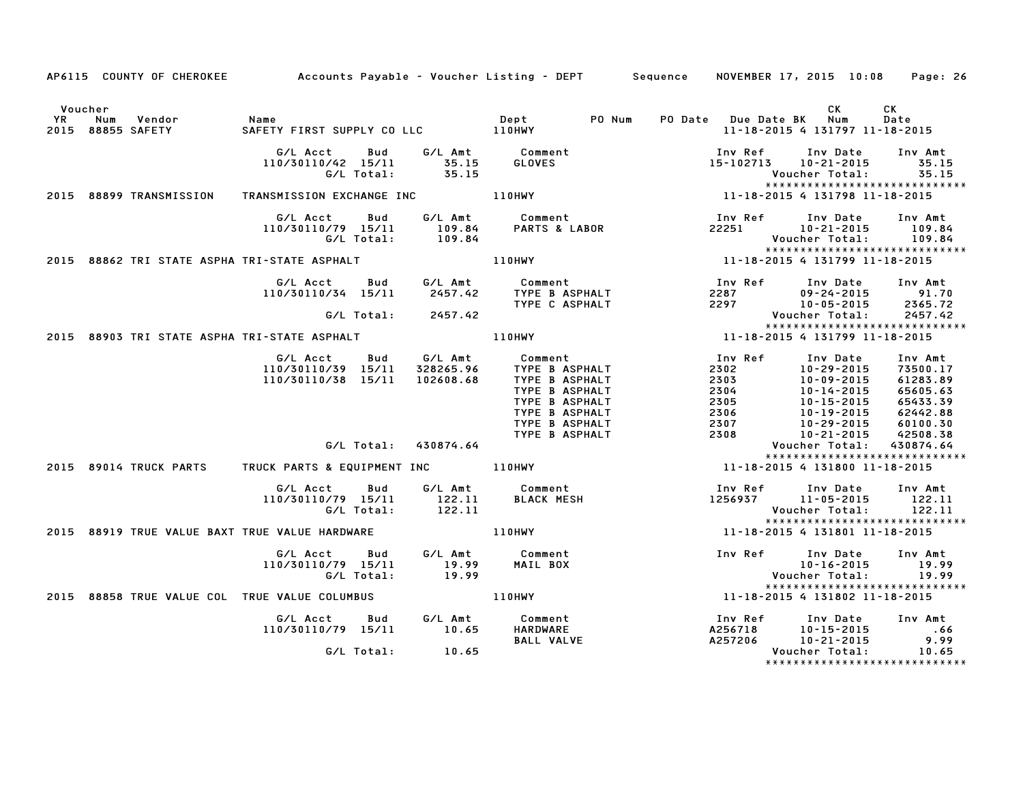|         | AP6115 COUNTY OF CHEROKEE Accounts Payable - Voucher Listing - DEPT Sequence NOVEMBER 17, 2015 10:08                                                                                                                                         |                                                                                                                                                                           |                                                                                     | Page: 26                                                                                                                                                                                                                                |
|---------|----------------------------------------------------------------------------------------------------------------------------------------------------------------------------------------------------------------------------------------------|---------------------------------------------------------------------------------------------------------------------------------------------------------------------------|-------------------------------------------------------------------------------------|-----------------------------------------------------------------------------------------------------------------------------------------------------------------------------------------------------------------------------------------|
| Voucher |                                                                                                                                                                                                                                              |                                                                                                                                                                           |                                                                                     | CK<br>CK.<br>Date<br>11-18-2015 4 131797 11-18-2015                                                                                                                                                                                     |
|         | 110/30110/42 15/11 35.15<br>G/L Total: 35.15                                                                                                                                                                                                 |                                                                                                                                                                           | 15-102713 10-21-2015                                                                | Inv Ref      Inv Date     Inv Amt<br>35.15<br>Voucher Total: 35.15<br>*****************************                                                                                                                                     |
|         |                                                                                                                                                                                                                                              |                                                                                                                                                                           |                                                                                     |                                                                                                                                                                                                                                         |
|         | G/L Acct Bud G/L Amt Comment Inv Ref Inv Date Inv Amt<br>110/30110/79 15/11 109.84 PARTS & LABOR 22251 10-21-2015 109.84<br>G/L Total: 109.84 PARTS & LABOR 22251 Voucher Total: 109.84<br>11-18-2015 4 131799 11-18-2015 110HWY 11-18-      |                                                                                                                                                                           |                                                                                     | 109.84<br>Voucher Total: 109.84                                                                                                                                                                                                         |
|         |                                                                                                                                                                                                                                              |                                                                                                                                                                           |                                                                                     |                                                                                                                                                                                                                                         |
|         |                                                                                                                                                                                                                                              |                                                                                                                                                                           |                                                                                     | G/L Acct Bud G/L Amt Comment Inv Ref Inv Date Inv Amt<br>110/30110/34 15/11 2457.42 TYPE BASPHALT 2287 09-24-2015 91.70<br>G/L Total: 2457.42 TYPE CASPHALT 2297 10-05-2015 2365.72<br>2015 88903 TRISTATE ASPHANTRI-STATE ASPHALT 110H |
|         |                                                                                                                                                                                                                                              |                                                                                                                                                                           |                                                                                     |                                                                                                                                                                                                                                         |
|         |                                                                                                                                                                                                                                              |                                                                                                                                                                           |                                                                                     |                                                                                                                                                                                                                                         |
|         | 6/L Acct Bud G/L Amt Comment<br>110/30110/39 15/11 328265.96 TYPE B ASPHALT<br>110/30110/39 15/11 102608.68 TYPE B ASPHALT<br>110/30110/38 15/11 102608.68 TYPE B ASPHALT<br>TYPE B ASPHALT<br>TYPE B ASPHALT<br>TYPE B ASPHALT<br>TYPE B AS |                                                                                                                                                                           |                                                                                     |                                                                                                                                                                                                                                         |
|         |                                                                                                                                                                                                                                              |                                                                                                                                                                           |                                                                                     |                                                                                                                                                                                                                                         |
|         |                                                                                                                                                                                                                                              |                                                                                                                                                                           |                                                                                     | *****************************                                                                                                                                                                                                           |
|         |                                                                                                                                                                                                                                              | G/L Acct Bud G/L Amt Comment Inv Ref Inv Date Inv Amt<br>110/30110/79 15/11 122.11 BLACK MESH 1256937 11–05–2015 122.11<br>G/L Total: 122.11 122.11 Voucher Total: 122.11 |                                                                                     | *****************************                                                                                                                                                                                                           |
|         |                                                                                                                                                                                                                                              |                                                                                                                                                                           |                                                                                     |                                                                                                                                                                                                                                         |
|         | G/LAcct Bud G/LAmt Comment Inv Ref Inv Date Inv Amt<br>19.99 10-16-2015 19.99 MAILBOX 10-16-2015 19.99<br>G/LTotal: 19.99 MAILBOX Voucher Total: 19.99<br>C/LTotal: 19.99 MAILBOX 11-18-2015 Youcher Total: 19.99<br>11-18-2015 4 131802 1   |                                                                                                                                                                           |                                                                                     | ******************************                                                                                                                                                                                                          |
|         |                                                                                                                                                                                                                                              |                                                                                                                                                                           |                                                                                     |                                                                                                                                                                                                                                         |
|         | G/L Acct  Bud  G/L Amt  Comment<br>110/30110/79 15/11  10.65  HARDWARE<br>G/L Total: 10.65                                                                                                                                                   | <b>BALL VALVE</b>                                                                                                                                                         | Inv Ref کردہ Inv Dale<br>A256718 10-15-2015<br>A257206 10-21-2015<br>Voucher Total: | Inv Ref Inv Date Inv Amt<br>$\begin{array}{r} .66 \\ 9.99 \\ 10.65 \end{array}$                                                                                                                                                         |
|         |                                                                                                                                                                                                                                              |                                                                                                                                                                           |                                                                                     | ******************************                                                                                                                                                                                                          |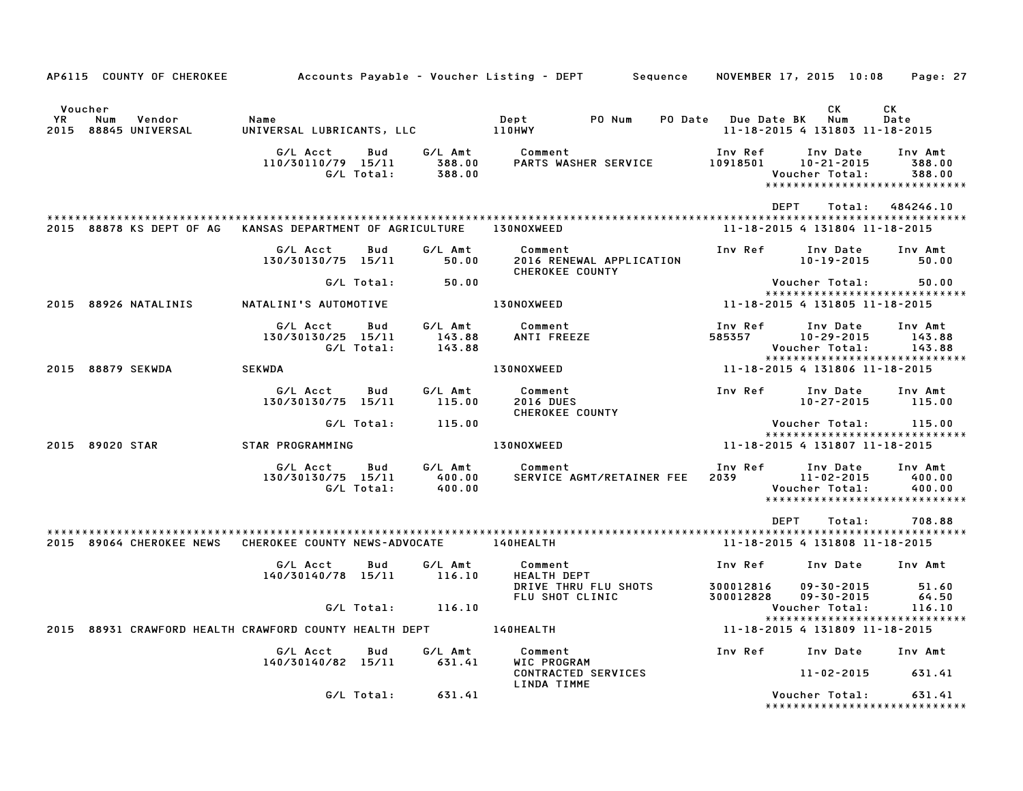| AP6115 COUNTY OF CHEROKEE                                            |                                          |                   |                             | Accounts Payable – Voucher Listing – DEPT         Sequence     NOVEMBER 17, 2015  10:08     Page: 27 |                          |                                                                                  |                             |
|----------------------------------------------------------------------|------------------------------------------|-------------------|-----------------------------|------------------------------------------------------------------------------------------------------|--------------------------|----------------------------------------------------------------------------------|-----------------------------|
| Voucher<br><b>YR</b><br>Num<br>Vendor<br>2015 88845 UNIVERSAL        | Name<br>UNIVERSAL LUBRICANTS, LLC 110HWY |                   |                             | Dept PO Num                                                                                          | PO Date Due Date BK      | CK.<br>Num<br>11-18-2015 4 131803 11-18-2015                                     | CK<br>Date                  |
|                                                                      | G/L Acct<br>110/30110/79 15/11           | Bud<br>G/L Total: | G/L Amt<br>388.00<br>388.00 | Comment<br>PARTS WASHER SERVICE                                                                      | Inv Ref<br>10918501      | Inv Date<br>$10 - 21 - 2015$<br>Voucher Total:<br>****************************** | Inv Amt<br>388.00<br>388.00 |
| 2015 88878 KS DEPT OF AG KANSAS DEPARTMENT OF AGRICULTURE 130NOXWEED |                                          |                   |                             |                                                                                                      | DEPT                     | Total:<br>11-18-2015 4 131804 11-18-2015                                         | 484246.10                   |
|                                                                      | G/L Acct<br>130/30130/75 15/11           | Bud               | G/L Amt<br>50.00            | Comment<br>2016 RENEWAL APPLICATION<br><b>CHEROKEE COUNTY</b>                                        | Inv Ref                  | Inv Date<br>10-19-2015                                                           | Inv Amt<br>50.00            |
|                                                                      |                                          | G/L Total:        | 50.00                       |                                                                                                      |                          | Voucher Total:<br>*****************************                                  | 50.00                       |
| 2015 88926 NATALINIS                                                 | NATALINI'S AUTOMOTIVE                    |                   |                             | <b>130NOXWEED</b>                                                                                    |                          | 11-18-2015 4 131805 11-18-2015                                                   |                             |
|                                                                      | G/L Acct<br>130/30130/25 15/11           | Bud<br>G/L Total: | G/L Amt<br>143.88<br>143.88 | Comment<br>ANTI FREEZE                                                                               | Inv Ref<br>585357        | Inv Date<br>$10 - 29 - 2015$<br>Voucher Total:<br>*****************************  | Inv Amt<br>143.88<br>143.88 |
| 2015 88879 SEKWDA                                                    | <b>SEKWDA</b>                            |                   |                             | 130NOXWEED                                                                                           |                          | 11-18-2015 4 131806 11-18-2015                                                   |                             |
|                                                                      | G/L Acct<br>130/30130/75 15/11           | Bud               | G/L Amt<br>115.00           | Comment<br><b>2016 DUES</b><br>CHEROKEE COUNTY                                                       | Inv Ref                  | Inv Date<br>$10 - 27 - 2015$                                                     | Inv Amt<br>115.00           |
|                                                                      |                                          | G/L Total:        | 115.00                      |                                                                                                      |                          | Voucher Total:         115.00<br>*****************************                   |                             |
| 2015 89020 STAR                                                      | STAR PROGRAMMING                         |                   |                             | <b>130NOXWEED</b>                                                                                    |                          | 11-18-2015 4 131807 11-18-2015                                                   |                             |
|                                                                      | G/L Acct<br>130/30130/75 15/11           | Bud<br>G/L Total: | G/L Amt<br>400.00<br>400.00 | Comment<br>SERVICE AGMT/RETAINER FEE                                                                 | Inv Ref<br>2039 — 203    | Inv Date<br>11-02-2015<br>Voucher Total:<br>******************************       | Inv Amt<br>400.00<br>400.00 |
|                                                                      |                                          |                   |                             |                                                                                                      | <b>DEPT</b>              | Total:                                                                           | 708.88                      |
| 2015 89064 CHEROKEE NEWS CHEROKEE COUNTY NEWS-ADVOCATE 140HEALTH     |                                          |                   |                             |                                                                                                      |                          | 11-18-2015 4 131808 11-18-2015                                                   |                             |
|                                                                      | G/L Acct<br>140/30140/78 15/11           | Bud               | G/L Amt<br>116.10           | Comment<br>HEALTH DEPT                                                                               | Inv Ref                  | Inv Date                                                                         | Inv Amt                     |
|                                                                      |                                          |                   |                             | DRIVE THRU FLU SHOTS<br>FLU SHOT CLINIC                                                              | 300012816<br>300012828   | $09 - 30 - 2015$<br>$09 - 30 - 2015$                                             | 51.60<br>64.50              |
|                                                                      |                                          | G/L Total:        | 116.10                      |                                                                                                      |                          | Voucher Total:                                                                   | 116.10                      |
| 2015 88931 CRAWFORD HEALTH CRAWFORD COUNTY HEALTH DEPT 140HEALTH     |                                          |                   |                             |                                                                                                      |                          | *****************************<br>11-18-2015 4 131809 11-18-2015                  |                             |
|                                                                      | G/L Acct                                 | Bud               | G/L Amt                     | Comment                                                                                              | Inv Ref Inv Date Inv Amt |                                                                                  |                             |
|                                                                      | 140/30140/82 15/11                       |                   | 631.41                      | WIC PROGRAM<br>CONTRACTED SERVICES<br>LINDA TIMME                                                    |                          | $11 - 02 - 2015$ 631.41                                                          |                             |
|                                                                      |                                          | G/L Total:        | 631.41                      |                                                                                                      |                          | Voucher Total:<br>*****************************                                  | 631.41                      |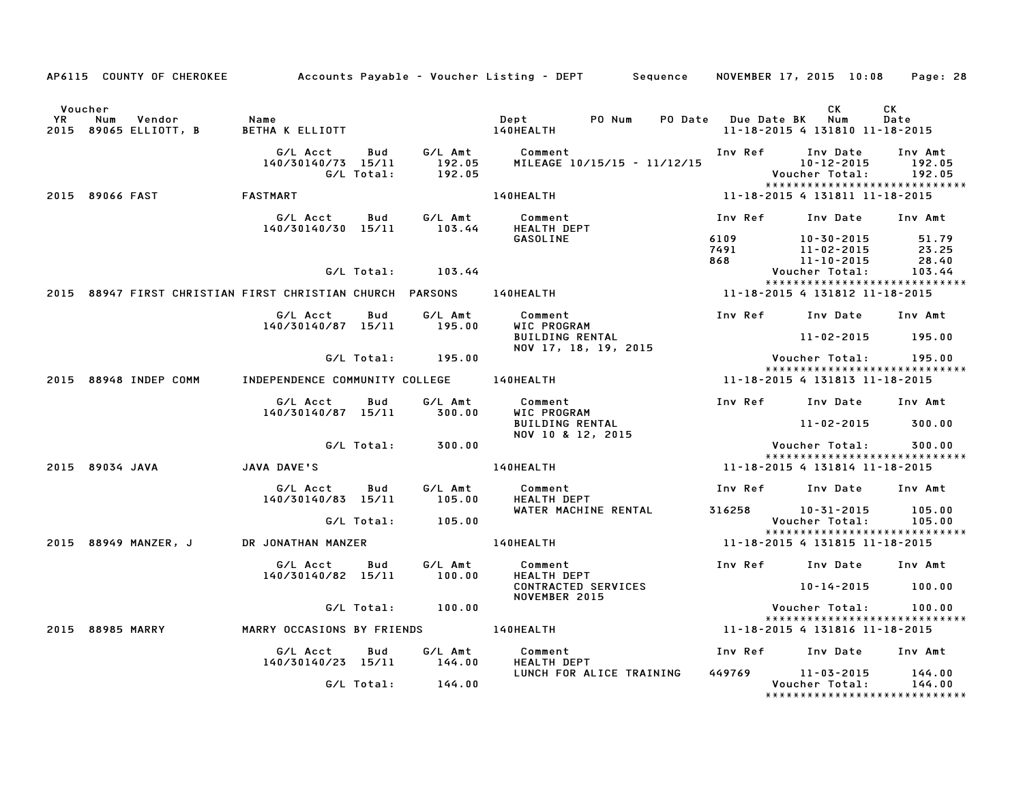|    | AP6115 COUNTY OF CHEROKEE                                           |                                          |                   |                             | Accounts Payable – Voucher Listing – DEPT         Sequence     NOVEMBER 17, 2015  10:08 |             |                                                                 | Page: 28                    |
|----|---------------------------------------------------------------------|------------------------------------------|-------------------|-----------------------------|-----------------------------------------------------------------------------------------|-------------|-----------------------------------------------------------------|-----------------------------|
|    | Voucher                                                             |                                          |                   |                             |                                                                                         |             | CK.                                                             | CK                          |
| YR | Num<br>Vendor<br>2015 89065 ELLIOTT, B                              | Name<br>BETHA K ELLIOTT                  |                   |                             | PO Num<br>Dept<br>140HEALTH                                                             |             | PO Date Due Date BK Num<br>11-18-2015 4 131810 11-18-2015       | Date                        |
|    |                                                                     | G/L Acct<br>140/30140/73 15/11           | Bud<br>G/L Total: | G/L Amt<br>192.05<br>192.05 | Comment<br>MILEAGE 10/15/15 - 11/12/15                                                  | Inv Ref     | Inv Date<br>10-12-2015<br>Voucher Total:                        | Inv Amt<br>192.05<br>192.05 |
|    | 2015 89066 FAST                                                     | FASTMART                                 |                   |                             | 140HEALTH                                                                               |             | *****************************<br>11-18-2015 4 131811 11-18-2015 |                             |
|    |                                                                     |                                          |                   | G/L Amt                     |                                                                                         | Inv Ref     |                                                                 |                             |
|    |                                                                     | G/L Acct<br>140/30140/30 15/11           | Bud               | 103.44                      | Comment<br>HEALTH DEPT<br>GASOLINE                                                      | 6109        | Inv Date<br>10-30-2015                                          | Inv Amt<br>51.79            |
|    |                                                                     |                                          |                   |                             |                                                                                         | 7491<br>868 | 11-02-2015<br>11-10-2015                                        | 23.25<br>28.40              |
|    |                                                                     |                                          | G/L Total:        | 103.44                      |                                                                                         |             | Voucher Total:                                                  | 103.44                      |
|    | 2015 88947 FIRST CHRISTIAN FIRST CHRISTIAN CHURCH PARSONS 140HEALTH |                                          |                   |                             |                                                                                         |             | *****************************<br>11-18-2015 4 131812 11-18-2015 |                             |
|    |                                                                     | G/L Acct<br>140/30140/87 15/11           | Bud               | G/L Amt<br>195.00           | Comment<br>WIC PROGRAM                                                                  | Inv Ref     | Inv Date                                                        | Inv Amt                     |
|    |                                                                     |                                          |                   |                             | <b>BUILDING RENTAL</b><br>NOV 17, 18, 19, 2015                                          |             | $11 - 02 - 2015$                                                | 195.00                      |
|    |                                                                     |                                          | G/L Total:        | 195.00                      |                                                                                         |             | Voucher Total:<br>*****************************                 | 195.00                      |
|    | 2015 88948 INDEP COMM                                               | INDEPENDENCE COMMUNITY COLLEGE 140HEALTH |                   |                             |                                                                                         |             | 11-18-2015 4 131813 11-18-2015                                  |                             |
|    |                                                                     | G/L Acct<br>140/30140/87 15/11           | Bud               | G/L Amt<br>300.00           | Comment<br>WIC PROGRAM                                                                  | Inv Ref     | Inv Date                                                        | Inv Amt                     |
|    |                                                                     |                                          |                   |                             | BUILDING RENTAL<br>NOV 10 & 12, 2015                                                    |             | 11-02-2015                                                      | 300.00                      |
|    |                                                                     |                                          | G/L Total:        | 300.00                      |                                                                                         |             | Voucher Total:<br>*****************************                 | 300.00                      |
|    | 2015 89034 JAVA                                                     | JAVA DAVE'S                              |                   |                             | 140HEALTH                                                                               |             | 11-18-2015 4 131814 11-18-2015                                  |                             |
|    |                                                                     | G/L Acct<br>140/30140/83 15/11           | Bud               | G/L Amt<br>105.00           | Comment<br><b>HEALTH DEPT</b>                                                           | Inv Ref     | Inv Date                                                        | Inv Amt                     |
|    |                                                                     |                                          | G/L Total:        | 105.00                      | WATER MACHINE RENTAL                                                                    | 316258      | $10 - 31 - 2015$<br>Voucher Total:                              | 105.00<br>105.00            |
|    |                                                                     |                                          |                   |                             |                                                                                         |             | *****************************                                   |                             |
|    | 2015 88949 MANZER, J                                                | DR JONATHAN MANZER                       |                   |                             | 140HEALTH                                                                               |             | 11-18-2015 4 131815 11-18-2015                                  |                             |
|    |                                                                     | G/L Acct<br>140/30140/82 15/11           | Bud               | G/L Amt<br>100.00           | Comment<br><b>HEALTH DEPT</b>                                                           |             | Inv Ref Inv Date                                                | Inv Amt                     |
|    |                                                                     |                                          |                   |                             | CONTRACTED SERVICES<br>NOVEMBER 2015                                                    |             | 10-14-2015                                                      | 100.00                      |
|    |                                                                     |                                          | G/L Total:        | 100.00                      |                                                                                         |             | Voucher Total:<br>*****************************                 | 100.00                      |
|    | 2015 88985 MARRY                                                    | MARRY OCCASIONS BY FRIENDS               |                   |                             | <b>140HEALTH</b>                                                                        |             | 11-18-2015 4 131816 11-18-2015                                  |                             |
|    |                                                                     | G/L Acct<br>140/30140/23 15/11           | Bud               | G/L Amt<br>144.00           | Comment<br><b>HEALTH DEPT</b>                                                           | Inv Ref     | Inv Date                                                        | Inv Amt                     |
|    |                                                                     |                                          |                   |                             | LUNCH FOR ALICE TRAINING                                                                | 449769      | 11-03-2015                                                      | 144.00                      |
|    |                                                                     |                                          | G/L Total:        | 144.00                      |                                                                                         |             | Voucher Total:<br>*******************************               | 144.00                      |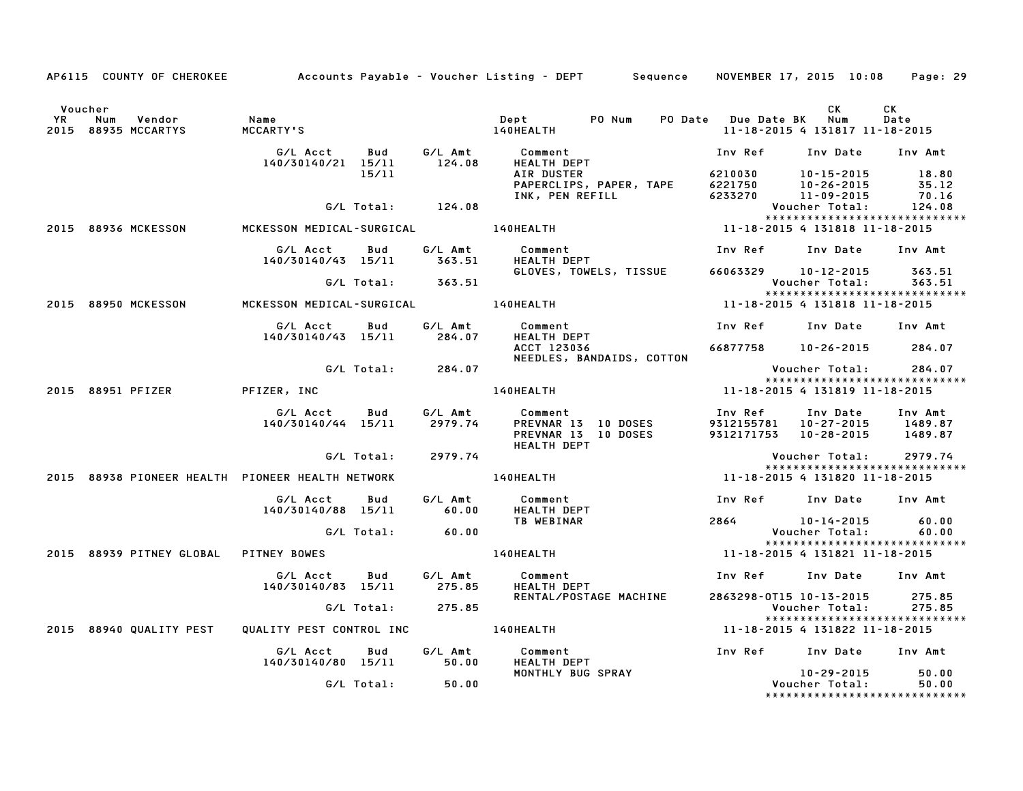|           |                                                  |                                            |            |                       | AP6115 COUNTY OF CHEROKEE Accounts Payable - Voucher Listing - DEPT Sequence NOVEMBER 17, 2015 10:08 Page: 29 |                         |                                                                                                      |            |
|-----------|--------------------------------------------------|--------------------------------------------|------------|-----------------------|---------------------------------------------------------------------------------------------------------------|-------------------------|------------------------------------------------------------------------------------------------------|------------|
| <b>YR</b> | Voucher<br>Num<br>Vendor<br>2015 88935 MCCARTYS  | Name<br>MCCARTY'S                          |            |                       | 140HEALTH                                                                                                     | PO Date Due Date BK Num | СK<br>11-18-2015 4 131817 11-18-2015                                                                 | CK<br>Date |
|           |                                                  | G/L Acct Bud<br>140/30140/21 15/11         | 15/11      | G/L Amt<br>124.08     | Comment<br><b>HEALTH DEPT</b><br>AIR DUSTER                                                                   | Inv Ref                 | Inv Date Inv Amt<br>4210030 10-15-2015 18.80<br>4221750 10-26-2015 35.12<br>4233270 11-09-2015 70.16 |            |
|           |                                                  |                                            |            | $G/L$ Total: $124.08$ | PAPERCLIPS, PAPER, TAPE<br>INK, PEN REFILL                                                                    |                         | Voucher Total:                                                                                       | 124.08     |
|           | 2015 88936 MCKESSON                              | MCKESSON MEDICAL-SURGICAL 140HEALTH        |            |                       |                                                                                                               |                         | *****************************<br>11-18-2015 4 131818 11-18-2015                                      |            |
|           |                                                  | G/L Acct<br>140/30140/43 15/11             | Bud        | G/L Amt<br>363.51     | Comment<br><b>HEALTH DEPT</b>                                                                                 |                         | Inv Ref      Inv Date     Inv Amt                                                                    |            |
|           |                                                  |                                            |            | G/L Total: 363.51     | GLOVES, TOWELS, TISSUE 66063329 10-12-2015 363.51                                                             |                         | Voucher Total: 363.51<br>*****************************                                               |            |
|           | 2015 88950 MCKESSON                              | MCKESSON MEDICAL-SURGICAL 140HEALTH        |            |                       |                                                                                                               |                         | 11-18-2015 4 131818 11-18-2015                                                                       |            |
|           |                                                  | G/L Acct Bud                               |            | G/L Amt               | Comment                                                                                                       |                         | Inv Ref Inv Date Inv Amt                                                                             |            |
|           |                                                  | 140/30140/43 15/11                         |            | 284.07                | <b>HEALTH DEPT</b><br>ACCT 123036<br>NEEDLES, BANDAIDS, COTTON                                                |                         | 66877758 10-26-2015 284.07                                                                           |            |
|           |                                                  |                                            |            | G/L Total: 284.07     |                                                                                                               |                         | Voucher Total: 284.07                                                                                |            |
|           | 2015 88951 PFIZER                                | PFIZER, INC                                |            |                       | <b>140HEALTH</b>                                                                                              |                         | 11-18-2015 4 131819 11-18-2015                                                                       |            |
|           |                                                  | G/L Acct Bud<br>140/30140/44 15/11 2979.74 |            | G/L Amt               | Comment<br>PREVNAR 13 10 DOSES<br>PREVNAR 13 10 DOSES<br><b>HEALTH DEPT</b>                                   | Inv Ref                 | Inv Date Inv Amt<br>9312155781 10-27-2015 1489.87<br>9312171753 10-28-2015 1489.87                   |            |
|           |                                                  |                                            | G/L Total: | 2979.74               |                                                                                                               |                         | Voucher Total:<br>*****************************                                                      | 2979.74    |
|           | 2015 88938 PIONEER HEALTH PIONEER HEALTH NETWORK |                                            |            |                       | 140HEALTH <b>Search Advisor</b>                                                                               |                         | 11-18-2015 4 131820 11-18-2015                                                                       |            |
|           |                                                  | G/L Acct   Bud<br>140/30140/88 15/11       |            | G/L Amt<br>60.00      | Comment<br>HEALTH DEPT                                                                                        |                         | Inv Ref      Inv Date     Inv Amt                                                                    |            |
|           |                                                  |                                            |            | G/L Total: 60.00      | TB WEBINAR                                                                                                    | 2864                    | $10 - 14 - 2015$ 60.00<br>Voucher Total:                                                             | 60.00      |
|           | 2015 88939 PITNEY GLOBAL PITNEY BOWES            |                                            |            |                       | 140HEALTH                                                                                                     |                         | *****************************<br>11-18-2015 4 131821 11-18-2015                                      |            |
|           |                                                  | G/L Acct<br>140/30140/83 15/11             | Bud        |                       | HEALTH DEPT                                                                                                   |                         | Inv Ref      Inv Date     Inv Amt                                                                    |            |
|           |                                                  |                                            |            | G/L Total: 275.85     | RENTAL/POSTAGE MACHINE                                                                                        |                         | 2863298-0T15 10-13-2015 275.85<br>Voucher Total:                                                     | 275.85     |
|           | 2015 88940 QUALITY PEST                          |                                            |            |                       | QUALITY PEST CONTROL INC 140HEALTH                                                                            |                         | *****************************<br>11-18-2015 4 131822 11-18-2015                                      |            |
|           |                                                  | G/L Acct<br>140/30140/80 15/11 50.00       | Bud        | G/L Amt               | Comment<br>HEALTH DEPT                                                                                        | Inv Ref Inv Date        |                                                                                                      | Inv Amt    |
|           |                                                  |                                            |            | G/L Total: 50.00      | MONTHLY BUG SPRAY                                                                                             |                         | 10-29-2015 50.00<br>Voucher Total:<br>*****************************                                  | 50.00      |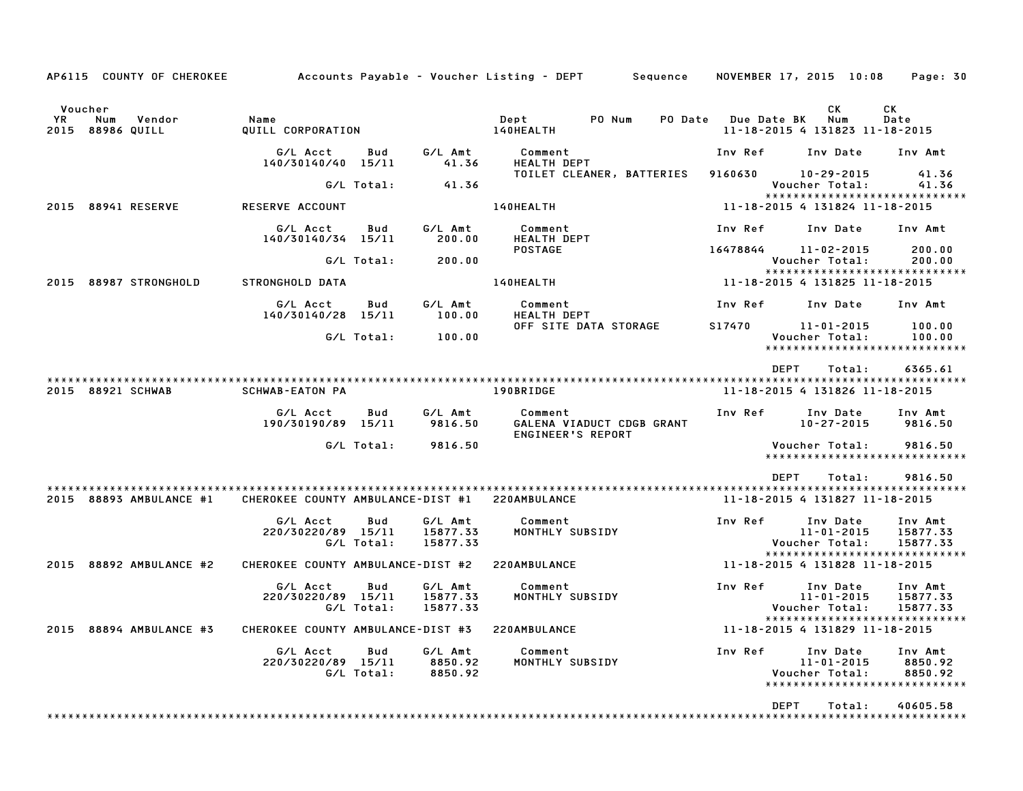| AP6115 COUNTY OF CHEROKEE                           |                                                |                   |                                 | Accounts Payable – Voucher Listing – DEPT         Sequence |         |             | NOVEMBER 17, 2015 10:08                        | Page: 30                                                         |
|-----------------------------------------------------|------------------------------------------------|-------------------|---------------------------------|------------------------------------------------------------|---------|-------------|------------------------------------------------|------------------------------------------------------------------|
| Voucher<br>YR.<br>Num<br>Vendor<br>2015 88986 QUILL | Name<br>QUILL CORPORATION                      |                   |                                 | Dept<br>PO Num<br>140HEALTH                                | PO Date | Due Date BK | CК<br>Num<br>11-18-2015 4 131823 11-18-2015    | CК<br>Date                                                       |
|                                                     | G/L Acct<br>140/30140/40 15/11                 | Bud               | G/L Amt<br>41.36                | Comment<br><b>HEALTH DEPT</b>                              |         | Inv Ref     | Inv Date                                       | Inv Amt                                                          |
|                                                     |                                                | G/L Total:        | 41.36                           | TOILET CLEANER, BATTERIES                                  |         | 9160630     | 10-29-2015<br>Voucher Total:                   | 41.36<br>41.36                                                   |
| 88941 RESERVE<br>2015                               | <b>RESERVE ACCOUNT</b>                         |                   |                                 | 140HEALTH                                                  |         |             | 11-18-2015 4 131824 11-18-2015                 | *****************************                                    |
|                                                     | G/L Acct<br>140/30140/34 15/11                 | Bud               | G/L Amt<br>200.00               | Comment<br><b>HEALTH DEPT</b>                              |         | Inv Ref     | Inv Date                                       | Inv Amt                                                          |
|                                                     |                                                | G/L Total:        | 200.00                          | <b>POSTAGE</b>                                             |         | 16478844    | 11-02-2015<br>Voucher Total:                   | 200.00<br>200.00                                                 |
| 2015 88987 STRONGHOLD                               | STRONGHOLD DATA                                |                   |                                 | 140HEALTH                                                  |         |             | 11-18-2015 4 131825 11-18-2015                 | *****************************                                    |
|                                                     | G/L Acct<br>140/30140/28 15/11                 | Bud               | G/L Amt<br>100.00               | Comment<br>HEALTH DEPT                                     |         | Inv Ref     | Inv Date                                       | Inv Amt                                                          |
|                                                     |                                                | G/L Total:        | 100.00                          | OFF SITE DATA STORAGE                                      |         | S17470      | $11 - 01 - 2015$<br>Voucher Total:             | 100.00<br>100.00                                                 |
|                                                     |                                                |                   |                                 |                                                            |         | <b>DEPT</b> | Total:                                         | *****************************<br>6365.61                         |
| 2015 88921 SCHWAB                                   | <b>SCHWAB-EATON PA</b>                         |                   |                                 | 190BRIDGE                                                  |         |             | 11-18-2015 4 131826 11-18-2015                 |                                                                  |
|                                                     | G/L Acct<br>190/30190/89 15/11                 | Bud               | G/L Amt<br>9816.50              | Comment<br>GALENA VIADUCT CDGB GRANT<br>ENGINEER'S REPORT  |         | Inv Ref     | Inv Date<br>$10 - 27 - 2015$                   | Inv Amt<br>9816.50                                               |
|                                                     |                                                | G/L Total:        | 9816.50                         |                                                            |         |             | Voucher Total:                                 | 9816.50<br>*****************************                         |
|                                                     |                                                |                   |                                 |                                                            |         | <b>DEPT</b> | Total:                                         | 9816.50                                                          |
| 2015 88893 AMBULANCE #1                             | CHEROKEE COUNTY AMBULANCE-DIST #1 220AMBULANCE |                   |                                 |                                                            |         |             | 11-18-2015 4 131827 11-18-2015                 |                                                                  |
|                                                     | G/L Acct<br>220/30220/89 15/11                 | Bud<br>G/L Total: | G/L Amt<br>15877.33<br>15877.33 | Comment<br>MONTHLY SUBSIDY                                 |         | Inv Ref     | Inv Date<br>$11 - 01 - 2015$<br>Voucher Total: | Inv Amt<br>15877.33<br>15877.33                                  |
| 88892 AMBULANCE #2<br>2015                          | CHEROKEE COUNTY AMBULANCE-DIST #2              |                   |                                 | 220AMBULANCE                                               |         |             | 11-18-2015 4 131828 11-18-2015                 | *****************************                                    |
|                                                     | G/L Acct<br>220/30220/89 15/11                 | Bud<br>G/L Total: | G/L Amt<br>15877.33<br>15877.33 | Comment<br>MONTHLY SUBSIDY                                 |         | Inv Ref     | Inv Date<br>$11 - 01 - 2015$<br>Voucher Total: | Inv Amt<br>15877.33<br>15877.33<br>***************************** |
| 2015 88894 AMBULANCE #3                             | CHEROKEE COUNTY AMBULANCE-DIST #3              |                   |                                 | 220AMBULANCE                                               |         |             | 11-18-2015 4 131829 11-18-2015                 |                                                                  |
|                                                     | G/L Acct<br>220/30220/89 15/11                 | Bud<br>G/L Total: | G/L Amt<br>8850.92<br>8850.92   | Comment<br>MONTHLY SUBSIDY                                 |         | Inv Ref     | Inv Date<br>$11 - 01 - 2015$<br>Voucher Total: | Inv Amt<br>8850.92<br>8850.92<br>*****************************   |
|                                                     |                                                |                   |                                 |                                                            |         | <b>DEPT</b> | Total:                                         | 40605.58                                                         |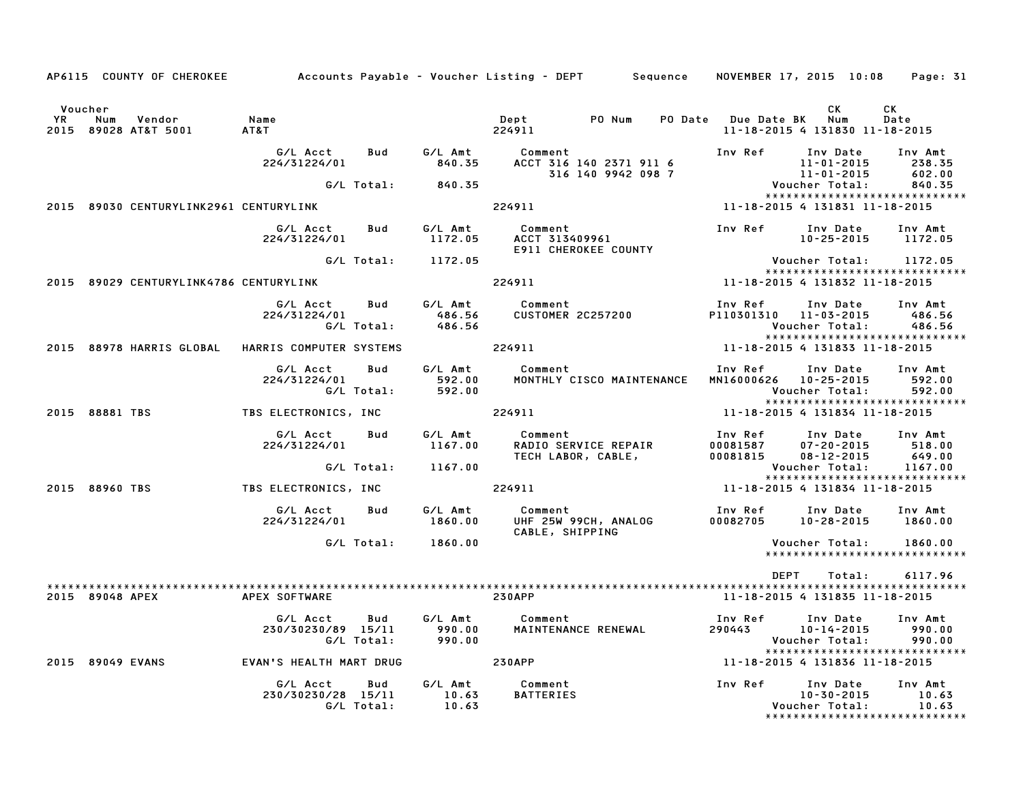|                              |                 |                                        |                                                  |                          |                             | AP6115 COUNTY OF CHEROKEE Accounts Payable – Voucher Listing – DEPT Sequence NOVEMBER 17, 2015 10:08 Page: 31 |                                  |                                                                 |                             |
|------------------------------|-----------------|----------------------------------------|--------------------------------------------------|--------------------------|-----------------------------|---------------------------------------------------------------------------------------------------------------|----------------------------------|-----------------------------------------------------------------|-----------------------------|
|                              |                 |                                        |                                                  |                          |                             |                                                                                                               |                                  |                                                                 |                             |
| Voucher<br><b>YR</b><br>2015 | Num             | Vendor<br>89028 AT&T 5001              | Name<br>AT&T                                     |                          |                             | PO Num<br>Dept<br>224911                                                                                      | PO Date Due Date BK Num          | СK<br>11-18-2015 4 131830 11-18-2015                            | CK<br>Date                  |
|                              |                 |                                        |                                                  |                          |                             |                                                                                                               |                                  |                                                                 |                             |
|                              |                 |                                        | G/L Acct<br>224/31224/01                         | Bud                      |                             | G/L Amt Comment<br>840.35 ACCT 316<br>ACCT 316 140 2371 911 6<br>316 140 9942 098 7                           | Inv Ref                          | Inv Date<br>11-01-2015<br>11-01-2015                            | Inv Amt<br>238.35<br>602.00 |
|                              |                 |                                        |                                                  | G/L Total:               | 840.35                      |                                                                                                               |                                  | Voucher Total:                                                  | 840.35                      |
|                              |                 | 2015 89030 CENTURYLINK2961 CENTURYLINK |                                                  |                          |                             | 224911                                                                                                        |                                  | *****************************<br>11-18-2015 4 131831 11-18-2015 |                             |
|                              |                 |                                        | G/L Acct<br>224/31224/01                         | Bud                      | G/L Amt<br>1172.05          | Comment<br>ACCT 313409961<br>E911 CHEROKEE COUNTY                                                             | Inv Ref                          | Inv Date<br>$10 - 25 - 2015$                                    | Inv Amt<br>1172.05          |
|                              |                 |                                        |                                                  |                          | G/L Total: 1172.05          |                                                                                                               |                                  | Voucher Total:                                                  | 1172.05                     |
|                              |                 | 2015 89029 CENTURYLINK4786 CENTURYLINK |                                                  |                          |                             | 224911                                                                                                        |                                  | *****************************<br>11-18-2015 4 131832 11-18-2015 |                             |
|                              |                 |                                        | G/L Acct<br>224/31224/01                         | Bud<br>G/L Total:        | G/L Amt<br>486.56<br>486.56 | Comment<br><b>CUSTOMER 2C257200</b>                                                                           | Inv Ref<br>P110301310 11-03-2015 | Inv Date<br>Voucher Total:                                      | Inv Amt<br>486.56<br>486.56 |
|                              |                 |                                        | 2015 88978 HARRIS GLOBAL HARRIS COMPUTER SYSTEMS |                          |                             | 224911                                                                                                        |                                  | *****************************<br>11-18-2015 4 131833 11-18-2015 |                             |
|                              |                 |                                        |                                                  |                          |                             |                                                                                                               |                                  |                                                                 |                             |
|                              |                 |                                        | G/L Acct<br>224/31224/01                         | Bud<br>G/L Total:        | G/L Amt<br>592.00<br>592.00 | Comment<br>MONTHLY CISCO MAINTENANCE                                                                          | Inv Ref<br>MN16000626 10-25-2015 | Inv Date<br>Voucher Total:                                      | Inv Amt<br>592.00<br>592.00 |
|                              |                 |                                        |                                                  |                          |                             |                                                                                                               |                                  | *****************************                                   |                             |
|                              | 2015 88881 TBS  |                                        | TBS ELECTRONICS, INC                             |                          |                             | 224911                                                                                                        |                                  | 11-18-2015 4 131834 11-18-2015                                  |                             |
|                              |                 |                                        | G/L Acct<br>224/31224/01                         | Bud                      | G/L Amt<br>1167.00          | Comment<br>RADIO SERVICE REPAIR<br>TECH LABOR, CABLE,                                                         | Inv Ref<br>00081587<br>00081815  | Inv Date<br>$07 - 20 - 2015$<br>$08 - 12 - 2015$                | Inv Amt<br>518.00<br>649.00 |
|                              |                 |                                        |                                                  | G/L Total:               | 1167.00                     |                                                                                                               |                                  | Voucher Total:                                                  | 1167.00                     |
|                              | 2015 88960 TBS  |                                        | TBS ELECTRONICS, INC                             |                          |                             | 224911                                                                                                        |                                  | *****************************<br>11-18-2015 4 131834 11-18-2015 |                             |
|                              |                 |                                        |                                                  |                          |                             |                                                                                                               |                                  |                                                                 |                             |
|                              |                 |                                        | G/L Acct<br>224/31224/01                         | Bud                      | G/L Amt<br>1860.00          | Comment<br>UHF 25W 99CH, ANALOG<br>CABLE, SHIPPING                                                            | Inv Ref<br>00082705              | Inv Date<br>$10 - 28 - 2015$                                    | Inv Amt<br>1860.00          |
|                              |                 |                                        |                                                  |                          | G/L Total: 1860.00          |                                                                                                               |                                  | Voucher Total:                                                  | 1860.00                     |
|                              |                 |                                        |                                                  |                          |                             |                                                                                                               |                                  | *****************************                                   |                             |
|                              |                 |                                        |                                                  |                          |                             |                                                                                                               | DEPT                             | Total:                                                          | 6117.96                     |
|                              | 2015 89048 APEX |                                        | APEX SOFTWARE                                    |                          |                             | <b>230APP</b>                                                                                                 |                                  | 11-18-2015 4 131835 11-18-2015                                  |                             |
|                              |                 |                                        | G/L Acct<br>230/30230/89 15/11                   | <b>Bud</b><br>G/L Total: | G/L Amt<br>990.00<br>990.00 | Comment<br>MAINTENANCE RENEWAL                                                                                | Inv Ref<br>290443                | Inv Date<br>$10 - 14 - 2015$<br>Voucher Total:                  | Inv Amt<br>990.00<br>990.00 |
|                              |                 | 2015 89049 EVANS                       | EVAN'S HEALTH MART DRUG                          |                          |                             | <b>230APP</b>                                                                                                 |                                  | *****************************<br>11-18-2015 4 131836 11-18-2015 |                             |
|                              |                 |                                        | G/L Acct<br>230/30230/28 15/11                   | Bud                      | G/L Amt<br>10.63            | Comment<br><b>BATTERIES</b>                                                                                   | Inv Ref                          | Inv Date<br>$10 - 30 - 2015$                                    | Inv Amt<br>10.63            |
|                              |                 |                                        |                                                  | G/L Total:               | 10.63                       |                                                                                                               |                                  | Voucher Total:<br>******************************                | 10.63                       |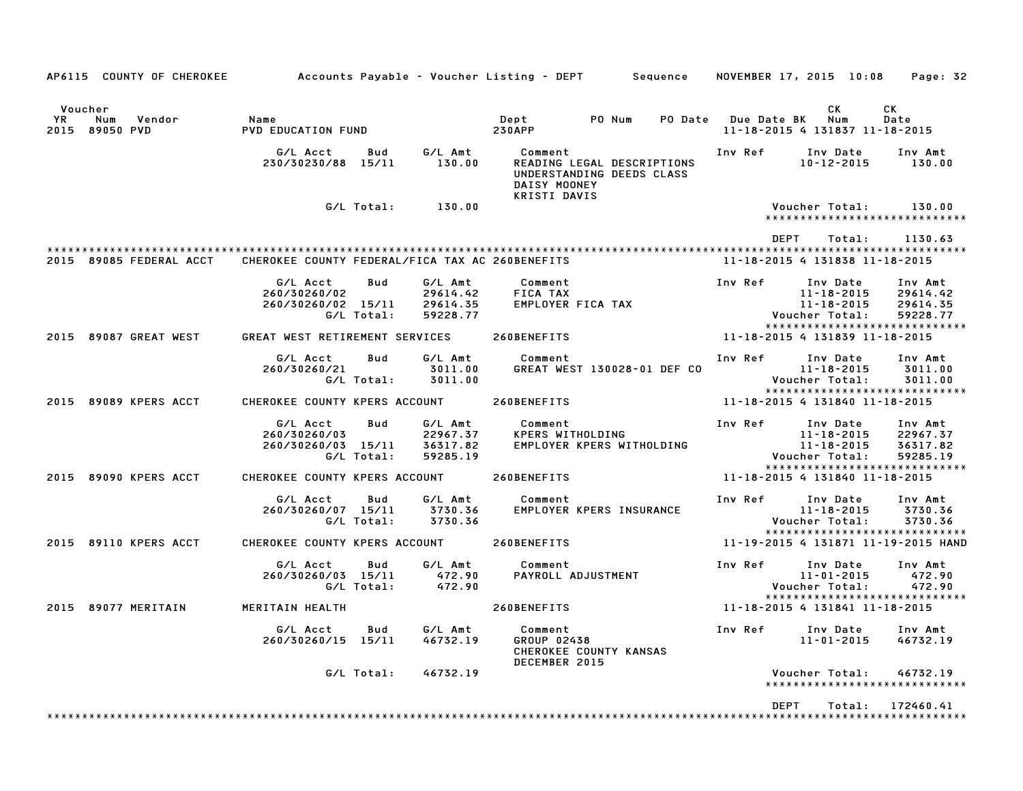| AP6115 COUNTY OF CHEROKEE                           | Accounts Payable – Voucher Listing – DEPT         Sequence |                   |                                             |                                                                                                    |        |         |             | NOVEMBER 17, 2015 10:08                                            |        | Page: 32                                                                     |
|-----------------------------------------------------|------------------------------------------------------------|-------------------|---------------------------------------------|----------------------------------------------------------------------------------------------------|--------|---------|-------------|--------------------------------------------------------------------|--------|------------------------------------------------------------------------------|
| Voucher<br>Vendor<br>YR<br>Num<br>2015<br>89050 PVD | Name<br>PVD EDUCATION FUND                                 |                   |                                             | Dept<br><b>230APP</b>                                                                              | PO Num | PO Date | Due Date BK | СK<br>Num<br>11-18-2015 4 131837 11-18-2015                        |        | СK<br>Date                                                                   |
|                                                     | G/L Acct<br>230/30230/88 15/11                             | Bud               | G/L Amt<br>130.00                           | Comment<br>READING LEGAL DESCRIPTIONS<br>UNDERSTANDING DEEDS CLASS<br>DAISY MOONEY<br>KRISTI DAVIS |        |         | Inv Ref     | Inv Date<br>$10 - 12 - 2015$                                       |        | Inv Amt<br>130.00                                                            |
|                                                     |                                                            | G/L Total:        | 130.00                                      |                                                                                                    |        |         |             | Voucher Total:                                                     |        | 130.00<br>*****************************                                      |
| 2015 89085 FEDERAL ACCT                             | CHEROKEE COUNTY FEDERAL/FICA TAX AC 260BENEFITS            |                   |                                             |                                                                                                    |        |         |             | <b>DEPT</b><br>11-18-2015 4 131838 11-18-2015                      | Total: | 1130.63                                                                      |
|                                                     | G/L Acct<br>260/30260/02<br>260/30260/02 15/11             | Bud<br>G/L Total: | G/L Amt<br>29614.42<br>29614.35<br>59228.77 | Comment<br>FICA TAX<br>EMPLOYER FICA TAX                                                           |        |         | Inv Ref     | Inv Date<br>$11 - 18 - 2015$<br>$11 - 18 - 2015$<br>Voucher Total: |        | Inv Amt<br>29614.42<br>29614.35<br>59228.77<br>***************************** |
| 2015 89087 GREAT WEST                               | GREAT WEST RETIREMENT SERVICES                             |                   |                                             | 260BENEFITS                                                                                        |        |         |             | 11-18-2015 4 131839 11-18-2015                                     |        |                                                                              |
|                                                     | G/L Acct<br>260/30260/21                                   | Bud<br>G/L Total: | G/L Amt<br>3011.00<br>3011.00               | Comment<br>GREAT WEST 130028-01 DEF CO                                                             |        |         | Inv Ref     | Inv Date<br>$11 - 18 - 2015$<br>Voucher Total:                     |        | Inv Amt<br>3011.00<br>3011.00                                                |
| 2015 89089 KPERS ACCT                               | CHEROKEE COUNTY KPERS ACCOUNT                              |                   |                                             | 260BENEFITS                                                                                        |        |         |             | 11-18-2015 4 131840 11-18-2015                                     |        | *****************************                                                |
|                                                     | G/L Acct<br>260/30260/03<br>260/30260/03 15/11             | Bud<br>G/L Total: | G/L Amt<br>22967.37<br>36317.82<br>59285.19 | Comment<br>KPERS WITHOLDING<br>EMPLOYER KPERS WITHOLDING                                           |        |         | Inv Ref     | Inv Date<br>$11 - 18 - 2015$<br>11-18-2015<br>Voucher Total:       |        | Inv Amt<br>22967.37<br>36317.82<br>59285.19<br>***************************** |
| 2015 89090 KPERS ACCT                               | CHEROKEE COUNTY KPERS ACCOUNT                              |                   |                                             | 260BENEFITS                                                                                        |        |         |             | 11-18-2015 4 131840 11-18-2015                                     |        |                                                                              |
|                                                     | G/L Acct<br>260/30260/07 15/11                             | Bud<br>G/L Total: | G/L Amt<br>3730.36<br>3730.36               | Comment<br><b>EMPLOYER KPERS INSURANCE</b>                                                         |        |         | Inv Ref     | Inv Date<br>$11 - 18 - 2015$<br>Voucher Total:                     |        | Inv Amt<br>3730.36<br>3730.36<br>*****************************               |
| 2015 89110 KPERS ACCT                               | CHEROKEE COUNTY KPERS ACCOUNT                              |                   |                                             | 260BENEFITS                                                                                        |        |         |             |                                                                    |        | 11-19-2015 4 131871 11-19-2015 HAND                                          |
|                                                     | G/L Acct<br>260/30260/03 15/11                             | Bud<br>G/L Total: | G/L Amt<br>472.90<br>472.90                 | Comment<br>PAYROLL ADJUSTMENT                                                                      |        |         | Inv Ref     | Inv Date<br>$11 - 01 - 2015$<br>Voucher Total:                     |        | Inv Amt<br>472.90<br>472.90<br>*****************************                 |
| 2015 89077 MERITAIN                                 | MERITAIN HEALTH                                            |                   |                                             | 260BENEFITS                                                                                        |        |         |             | 11-18-2015 4 131841 11-18-2015                                     |        |                                                                              |
|                                                     | G/L Acct<br>260/30260/15 15/11                             | Bud               | G/L Amt<br>46732.19                         | Comment<br>GROUP 02438<br>CHEROKEE COUNTY KANSAS<br>DECEMBER 2015                                  |        |         | Inv Ref     | Inv Date<br>11-01-2015                                             |        | Inv Amt<br>46732.19                                                          |
|                                                     |                                                            | G/L Total:        | 46732.19                                    |                                                                                                    |        |         |             | Voucher Total:                                                     |        | 46732.19<br>*****************************                                    |
|                                                     |                                                            |                   |                                             |                                                                                                    |        |         |             | <b>DEPT</b>                                                        | Total: | 172460.41                                                                    |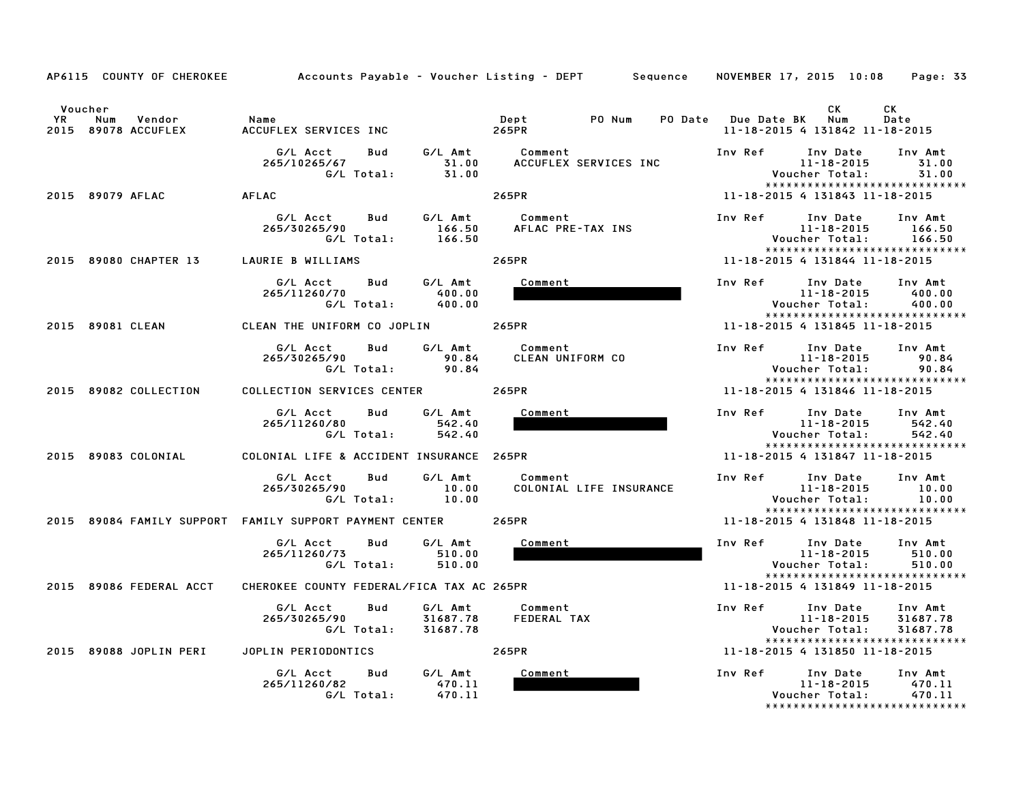|           | AP6115 COUNTY OF CHEROKEE            |                                                                                     | Accounts Payable – Voucher Listing – DEPT         Sequence | Page: 33<br>NOVEMBER 17, 2015 10:08                                                                                           |
|-----------|--------------------------------------|-------------------------------------------------------------------------------------|------------------------------------------------------------|-------------------------------------------------------------------------------------------------------------------------------|
|           | Voucher                              |                                                                                     |                                                            | CK.<br>СK                                                                                                                     |
| <b>YR</b> | Vendor<br>Num<br>2015 89078 ACCUFLEX | Name<br>ACCUFLEX SERVICES INC                                                       | Dept<br>PO Num<br><b>PO Date</b><br>265PR                  | <b>Due Date BK</b><br>Num<br>Date<br>11-18-2015 4 131842 11-18-2015                                                           |
|           |                                      | G/L Amt<br>G/L Acct<br>Bud<br>265/10265/67<br>31.00<br>G/L Total:<br>31.00          | Comment<br>ACCUFLEX SERVICES INC                           | Inv Ref<br>Inv Date<br>Inv Amt<br>11-18-2015<br>31.00<br>Voucher Total:<br>31.00<br>*****************************             |
|           | 2015 89079 AFLAC                     | <b>AFLAC</b>                                                                        | 265PR                                                      | 11-18-2015 4 131843 11-18-2015                                                                                                |
|           |                                      | G/L Acct<br>G/L Amt<br>Bud<br>166.50<br>265/30265/90<br>G/L Total:<br>166.50        | Comment<br>AFLAC PRE-TAX INS                               | Inv Ref<br>Inv Date<br>Inv Amt<br>$11 - 18 - 2015$<br>166.50<br>166.50<br>Voucher Total:<br>*****************************     |
|           | 2015 89080 CHAPTER 13                | LAURIE B WILLIAMS                                                                   | 265PR                                                      | 11-18-2015 4 131844 11-18-2015                                                                                                |
|           |                                      | G/L Amt<br>G/L Acct<br>Bud<br>265/11260/70<br>400.00<br>G/L Total:<br>400.00        | Comment                                                    | Inv Ref<br>Inv Amt<br>Inv Date<br>$11 - 18 - 2015$<br>400.00<br>400.00<br>Voucher Total:<br>*****************************     |
|           | 2015 89081 CLEAN                     | CLEAN THE UNIFORM CO JOPLIN                                                         | 265PR                                                      | 11-18-2015 4 131845 11-18-2015                                                                                                |
|           |                                      | G/L Acct<br>Bud<br>G/L Amt<br>265/30265/90<br>90.84<br>G/L Total:<br>90.84          | Comment<br>CLEAN UNIFORM CO                                | Inv Ref<br>Inv Date<br>Inv Amt<br>$11 - 18 - 2015$<br>90.84<br>Voucher Total:<br>90.84<br>*****************************       |
|           | 2015 89082 COLLECTION                | COLLECTION SERVICES CENTER                                                          | 265PR                                                      | 11-18-2015 4 131846 11-18-2015                                                                                                |
|           |                                      | G/L Acct<br><b>Bud</b><br>G/L Amt<br>265/11260/80<br>542.40<br>G/L Total:<br>542.40 | Comment                                                    | Inv Ref<br>Inv Date<br>Inv Amt<br>$11 - 18 - 2015$<br>542.40<br>Voucher Total:<br>542.40<br>*****************************     |
|           | 2015 89083 COLONIAL                  | COLONIAL LIFE & ACCIDENT INSURANCE 265PR                                            |                                                            | 11-18-2015 4 131847 11-18-2015                                                                                                |
|           |                                      | G/L Amt<br>G/L Acct<br>Bud<br>265/30265/90<br>10.00<br>G/L Total:<br>10.00          | Comment<br>COLONIAL LIFE INSURANCE                         | Inv Ref<br>Inv Date<br>Inv Amt<br>$11 - 18 - 2015$<br>10.00<br>Voucher Total:<br>10.00<br>*****************************       |
|           |                                      | 2015 89084 FAMILY SUPPORT FAMILY SUPPORT PAYMENT CENTER                             | 265PR                                                      | 11-18-2015 4 131848 11-18-2015                                                                                                |
|           |                                      | G/L Acct<br>G/L Amt<br>Bud<br>265/11260/73<br>510.00<br>G/L Total:<br>510.00        | Comment                                                    | Inv Ref<br>Inv Amt<br>Inv Date<br>$11 - 18 - 2015$<br>510.00<br>Voucher Total:<br>510.00<br>*****************************     |
|           | 2015 89086 FEDERAL ACCT              | CHEROKEE COUNTY FEDERAL/FICA TAX AC 265PR                                           |                                                            | 11-18-2015 4 131849 11-18-2015                                                                                                |
|           |                                      | G/L Acct<br>Bud<br>G/L Amt<br>265/30265/90<br>31687.78<br>G/L Total:<br>31687.78    | Comment<br>FEDERAL TAX                                     | Inv Ref<br>Inv Date<br>Inv Amt<br>$11 - 18 - 2015$<br>31687.78<br>Voucher Total:<br>31687.78<br>***************************** |
| 2015      | 89088 JOPLIN PERI                    | JOPLIN PERIODONTICS                                                                 | 265PR                                                      | 11-18-2015 4 131850 11-18-2015                                                                                                |
|           |                                      | G/L Acct<br>G/L Amt<br>Bud<br>265/11260/82<br>470.11<br>G/L Total:<br>470.11        | Comment                                                    | Inv Ref<br>Inv Date<br>Inv Amt<br>$11 - 18 - 2015$<br>470.11<br>Voucher Total:<br>470.11<br>*****************************     |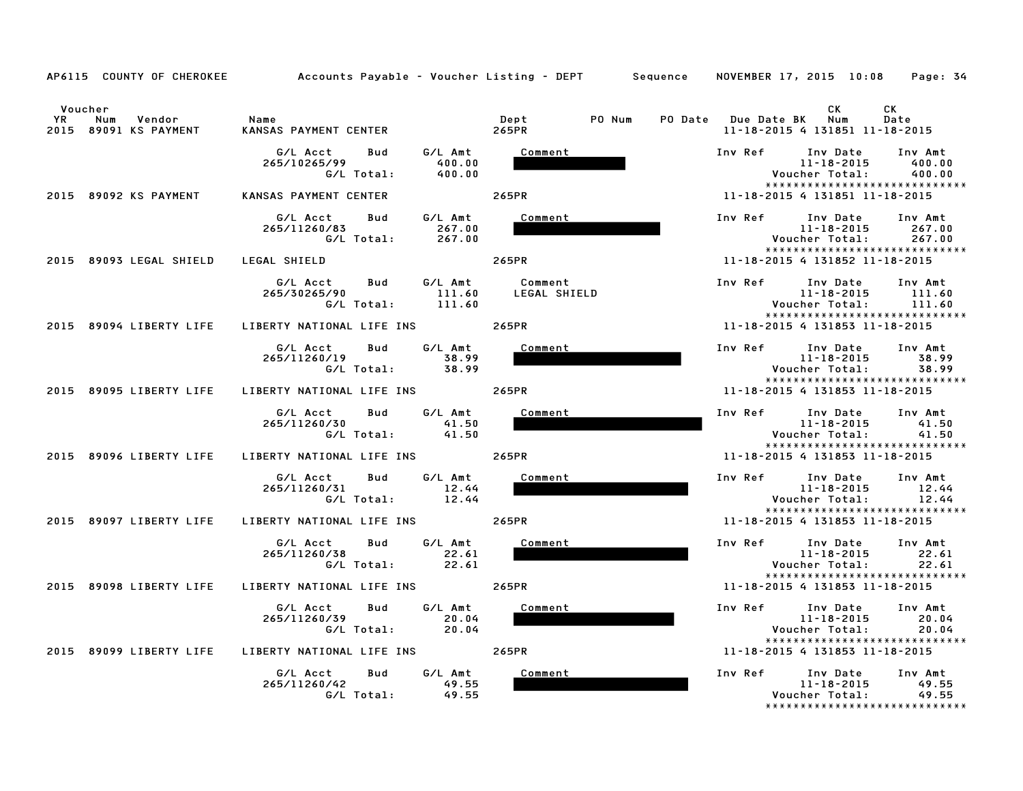|           | AP6115 COUNTY OF CHEROKEE                         | Accounts Payable – Voucher Listing – DEPT       Sequence   NOVEMBER 17, 2015 10:08 |                         | Page: 34                                                                                                          |
|-----------|---------------------------------------------------|------------------------------------------------------------------------------------|-------------------------|-------------------------------------------------------------------------------------------------------------------|
| <b>YR</b> | Voucher<br>Vendor<br>Num<br>2015 89091 KS PAYMENT | Name<br>KANSAS PAYMENT CENTER                                                      | PO Num<br>Dept<br>265PR | CK<br>CK<br>PO Date Due Date BK Num<br>Date<br>11-18-2015 4 131851 11-18-2015                                     |
|           |                                                   | G/L Acct<br>Bud<br>G/L Amt<br>265/10265/99<br>400.00<br>G/L Total:<br>400.00       | Comment                 | Inv Ref Inv Date<br>Inv Amt<br>11-18-2015<br>400.00<br>Voucher Total:<br>400.00<br>*****************************  |
|           | 2015 89092 KS PAYMENT                             | KANSAS PAYMENT CENTER                                                              | 265PR                   | 11-18-2015 4 131851 11-18-2015                                                                                    |
|           |                                                   | G/L Acct<br>Bud<br>G/L Amt<br>267.00<br>265/11260/83<br>G/L Total: 267.00          | Comment                 | Inv Ref Inv Date<br>Inv Amt<br>11-18-2015<br>267.00<br>Voucher Total:<br>267.00<br>*****************************  |
|           | 2015 89093 LEGAL SHIELD                           | LEGAL SHIELD                                                                       | 265PR                   | 11-18-2015 4 131852 11-18-2015                                                                                    |
|           |                                                   | G/L Acct Bud G/L Amt Comment<br>265/30265/90<br>111.60<br>G/L Total:<br>111.60     | LEGAL SHIELD            | Inv Ref Inv Date<br>Inv Amt<br>11-18-2015<br>111.60<br>Voucher Total:<br>111.60<br>****************************** |
|           | 2015 89094 LIBERTY LIFE                           | LIBERTY NATIONAL LIFE INS 265PR                                                    |                         | 11-18-2015 4 131853 11-18-2015                                                                                    |
|           |                                                   | G/L Amt<br>G/L Acct<br>Bud<br>265/11260/19<br>38.99<br>G/L Total:<br>38.99         | Comment                 | Inv Ref Inv Date Inv Amt<br>38.99<br>11-18-2015<br>38.99<br>Voucher Total:<br>*****************************       |
|           |                                                   | 2015 89095 LIBERTY LIFE LIBERTY NATIONAL LIFE INS 265PR                            |                         | 11-18-2015 4 131853 11-18-2015                                                                                    |
|           |                                                   | G/L Amt<br>G/L Acct<br>Bud<br>265/11260/30<br>41.50<br>G/L Total:<br>41.50         | Comment                 | Inv Ref Inv Date Inv Amt<br>11-18-2015<br>41.50<br>41.50<br>Voucher Total:<br>*****************************       |
|           | 2015 89096 LIBERTY LIFE                           | LIBERTY NATIONAL LIFE INS                                                          | 265PR                   | 11-18-2015 4 131853 11-18-2015                                                                                    |
|           |                                                   | G/L Acct<br>G/L Amt<br>Bud<br>12.44<br>265/11260/31<br>G/L Total: 12.44            | Comment                 | Inv Ref Inv Date Inv Amt<br>11-18-2015<br>12.44<br>Voucher Total:<br>12.44<br>*****************************       |
|           | 2015 89097 LIBERTY LIFE                           | LIBERTY NATIONAL LIFE INS                                                          | 265PR                   | 11-18-2015 4 131853 11-18-2015                                                                                    |
|           |                                                   | G/L Amt<br>G/L Acct<br>Bud<br>265/11260/38<br>22.61<br>G/L Total:<br>22.61         | Comment                 | Inv Ref Inv Date<br>11-18-2015<br>Inv Amt<br>22.61<br>Voucher Total:<br>22.61<br>*****************************    |
|           | 2015 89098 LIBERTY LIFE                           | LIBERTY NATIONAL LIFE INS                                                          | 265PR                   | 11-18-2015 4 131853 11-18-2015                                                                                    |
|           |                                                   | G/L Acct<br>Bud<br>G/L Amt<br>265/11260/39<br>20.04<br>G/L Total:<br>20.04         | Comment                 | Inv Ref Inv Date<br>Inv Amt<br>11-18-2015<br>20.04<br>Voucher Total:<br>20.04                                     |
|           |                                                   | 2015 89099 LIBERTY LIFE LIBERTY NATIONAL LIFE INS 265PR                            |                         | *****************************<br>11-18-2015 4 131853 11-18-2015                                                   |
|           |                                                   | G/L Amt<br>G/L Acct<br><b>Bud</b><br>265/11260/42<br>49.55<br>G/L Total:<br>49.55  | Comment                 | Inv Ref Inv Date<br>Inv Amt<br>49.55<br>11-18-2015<br>49.55<br>Voucher Total:<br>*****************************    |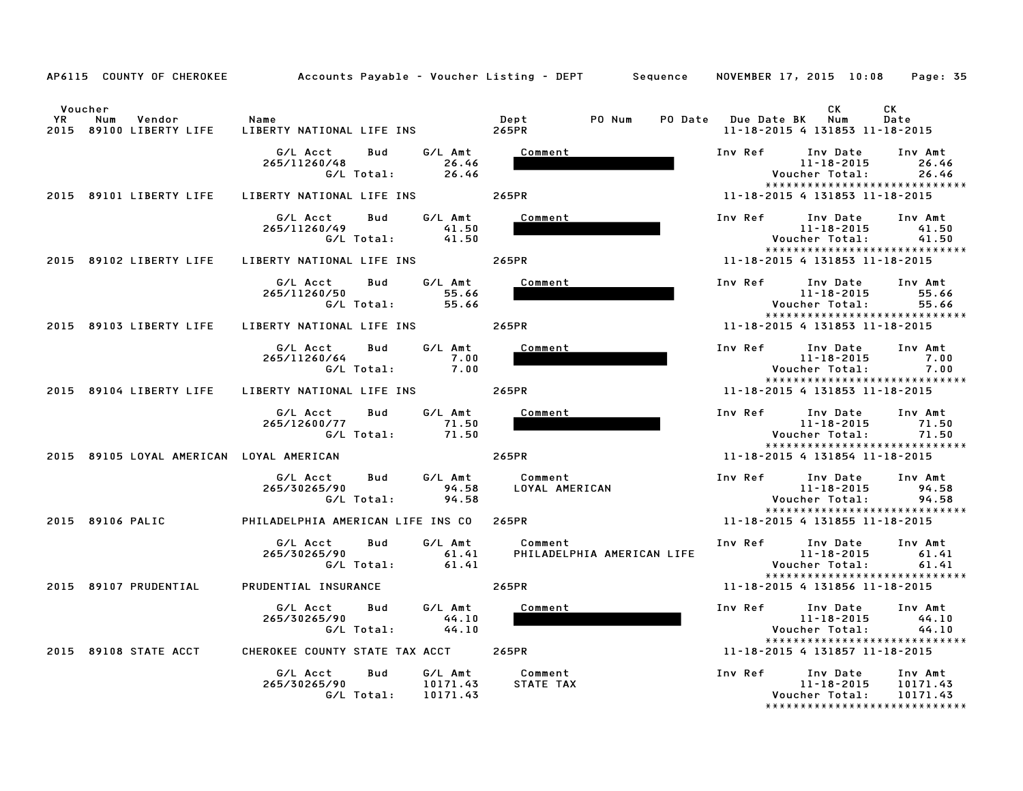|                                                           | AP6115 COUNTY OF CHEROKEE         Accounts Payable – Voucher Listing – DEPT     Sequence   NOVEMBER 17, 2015 10:08 |                                       | Page: 35                                                                                                                |
|-----------------------------------------------------------|--------------------------------------------------------------------------------------------------------------------|---------------------------------------|-------------------------------------------------------------------------------------------------------------------------|
| Voucher<br>YR<br>Num<br>Vendor<br>2015 89100 LIBERTY LIFE | Name<br>LIBERTY NATIONAL LIFE INS                                                                                  | Dept<br>PO Num<br>265PR               | СK<br>CK<br>PO Date Due Date BK Num<br>Date<br>11-18-2015 4 131853 11-18-2015                                           |
|                                                           | G/L Acct<br>Bud<br>G/L Amt<br>26.46<br>265/11260/48<br>G/L Total:<br>26.46                                         | Comment                               | Inv Ref<br>Inv Date<br>Inv Amt<br>$11 - 18 - 2015$<br>26.46<br>26.46<br>Voucher Total:                                  |
| 2015 89101 LIBERTY LIFE                                   | LIBERTY NATIONAL LIFE INS                                                                                          | 265PR                                 | *****************************<br>11-18-2015 4 131853 11-18-2015                                                         |
|                                                           | G/L Acct<br>Bud<br>G/L Amt<br>265/11260/49<br>41.50<br>G/L Total:<br>41.50                                         | Comment                               | Inv Ref<br>Inv Date<br>Inv Amt<br>$11 - 18 - 2015$<br>41.50<br>Voucher Total:<br>41.50<br>***************************** |
| 2015 89102 LIBERTY LIFE                                   | LIBERTY NATIONAL LIFE INS                                                                                          | 265PR                                 | 11-18-2015 4 131853 11-18-2015                                                                                          |
|                                                           | G/L Acct<br>G/L Amt<br>Bud<br>265/11260/50<br>55.66<br>G/L Total:<br>55.66                                         | Comment                               | Inv Ref<br>Inv Date<br>Inv Amt<br>$11 - 18 - 2015$<br>55.66<br>Voucher Total:<br>55.66<br>***************************** |
| 2015 89103 LIBERTY LIFE                                   | LIBERTY NATIONAL LIFE INS                                                                                          | 265PR                                 | 11-18-2015 4 131853 11-18-2015                                                                                          |
|                                                           | G/L Acct<br><b>Bud</b><br>G/L Amt<br>265/11260/64<br>7.00<br>G/L Total:<br>7.00                                    | Comment                               | Inv Ref<br>Inv Date<br>Inv Amt<br>$11 - 18 - 2015$<br>7.00<br>7.00<br>Voucher Total:<br>******************************  |
| 2015 89104 LIBERTY LIFE                                   | LIBERTY NATIONAL LIFE INS                                                                                          | 265PR                                 | 11-18-2015 4 131853 11-18-2015                                                                                          |
|                                                           | G/L Acct<br>G/L Amt<br><b>Bud</b><br>71.50<br>265/12600/77<br>G/L Total:<br>71.50                                  | Comment                               | Inv Ref<br>Inv Date<br>Inv Amt<br>$11 - 18 - 2015$<br>71.50<br>Voucher Total:<br>71.50<br>***************************** |
| 2015 89105 LOYAL AMERICAN LOYAL AMERICAN                  |                                                                                                                    | 265PR                                 | 11-18-2015 4 131854 11-18-2015                                                                                          |
|                                                           | G/L Acct<br>G/L Amt<br>Bud<br>265/30265/90<br>94.58<br>94.58<br>G/L Total:                                         | Comment<br>LOYAL AMERICAN             | Inv Ref<br>Inv Date<br>Inv Amt<br>11-18-2015<br>94.58<br>Voucher Total:<br>94.58                                        |
| 2015 89106 PALIC                                          | PHILADELPHIA AMERICAN LIFE INS CO 265PR                                                                            |                                       | *****************************<br>11-18-2015 4 131855 11-18-2015                                                         |
|                                                           | G/L Acct<br>Bud<br>G/L Amt<br>265/30265/90<br>61.41<br>G/L Total:<br>61.41                                         | Comment<br>PHILADELPHIA AMERICAN LIFE | Inv Ref<br>Inv Date<br>Inv Amt<br>11-18-2015<br>61.41<br>61.41<br>Voucher Total:<br>*****************************       |
| 2015 89107 PRUDENTIAL                                     | PRUDENTIAL INSURANCE                                                                                               | 265PR                                 | 11-18-2015 4 131856 11-18-2015                                                                                          |
|                                                           | G/L Acct<br>Bud<br>G/L Amt<br>265/30265/90<br>44.10<br>G/L Total:<br>44.10                                         | Comment                               | Inv Ref<br>Inv Amt<br>Inv Date<br>11-18-2015<br>44.10<br>44.10<br>Voucher Total:<br>******************************      |
| 2015 89108 STATE ACCT                                     | CHEROKEE COUNTY STATE TAX ACCT                                                                                     | 265PR                                 | 11-18-2015 4 131857 11-18-2015                                                                                          |
|                                                           | G/L Acct<br>Bud<br>G/L Amt<br>265/30265/90<br>10171.43<br>G/I Total: 10171.43                                      | Comment<br>STATE TAX                  | Inv Ref<br>Inv Date<br>Inv Amt<br>11-18-2015<br>10171.43<br>Voucher Total: 10171.43                                     |

\*\*\*\*\*\*\*\*\*\*\*\*\*\*\*\*\*\*\*\*\*\*\*\*\*\*\*\*\*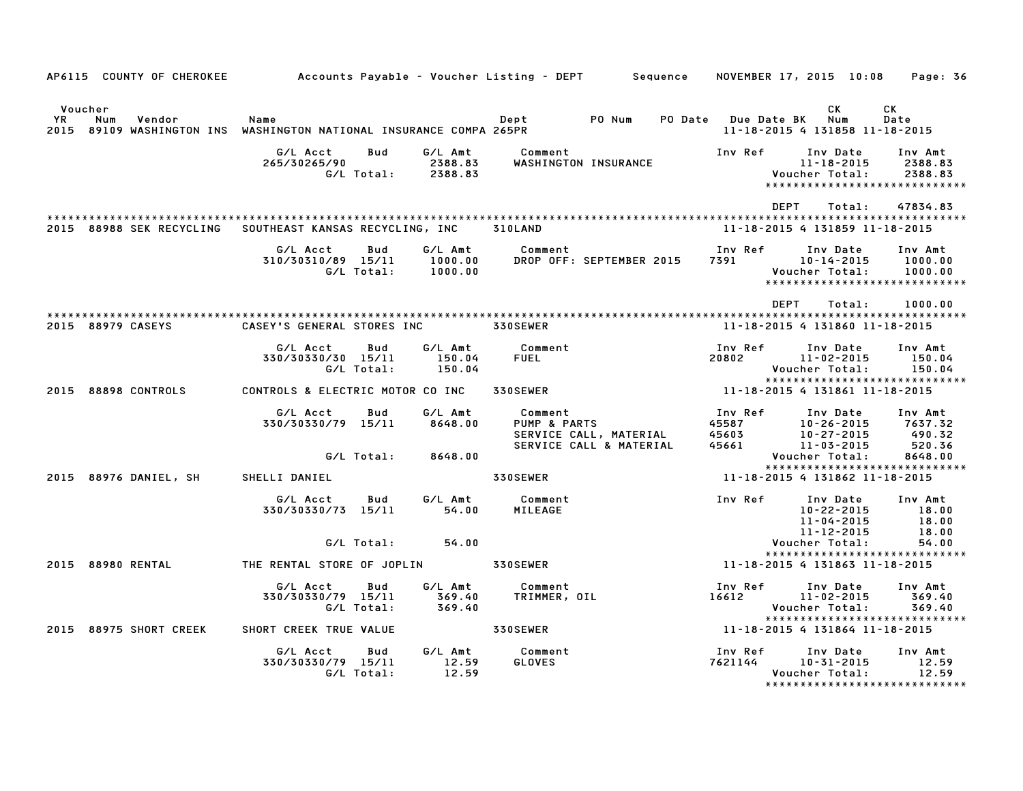|                                                                                                       |                                              |                                    | AP6115 COUNTY OF CHEROKEE 66 Accounts Payable - Voucher Listing - DEPT 5 Sequence NOVEMBER 17, 2015 10:08 Page: 36                                                                                                                                          |                                                        |                                                                                                                                                                          |                                                                |
|-------------------------------------------------------------------------------------------------------|----------------------------------------------|------------------------------------|-------------------------------------------------------------------------------------------------------------------------------------------------------------------------------------------------------------------------------------------------------------|--------------------------------------------------------|--------------------------------------------------------------------------------------------------------------------------------------------------------------------------|----------------------------------------------------------------|
|                                                                                                       |                                              |                                    |                                                                                                                                                                                                                                                             |                                                        |                                                                                                                                                                          |                                                                |
| Voucher<br>YR<br>Num<br>Vendor<br>2015 89109 WASHINGTON INS WASHINGTON NATIONAL INSURANCE COMPA 265PR | Name                                         |                                    | <b>PO</b> Num<br>Dept                                                                                                                                                                                                                                       | PO Date Due Date BK                                    | CK.<br>Num<br>11-18-2015 4 131858 11-18-2015                                                                                                                             | CK<br>Date                                                     |
|                                                                                                       | G/L Acct<br>265/30265/90                     | Bud<br>G/L Amt                     | Comment<br>WASHINGTON INSURANCE                                                                                                                                                                                                                             | Inv Ref                                                | Inv Date<br>11-18-2015<br>Voucher Total:                                                                                                                                 | Inv Amt<br>2388.83<br>2388.83                                  |
|                                                                                                       |                                              |                                    |                                                                                                                                                                                                                                                             | DEPT                                                   | Total:                                                                                                                                                                   | 47834.83                                                       |
| 2015 88988 SEK RECYCLING                                                                              | SOUTHEAST KANSAS RECYCLING, INC 310LAND      |                                    |                                                                                                                                                                                                                                                             |                                                        | 11-18-2015 4 131859 11-18-2015                                                                                                                                           |                                                                |
|                                                                                                       | G/L Acct<br>310/30310/89 15/11<br>G/L Total: | Bud<br>1000.00                     | DROP OFF: SEPTEMBER 2015 7391                                                                                                                                                                                                                               | Inv Ref                                                | Inv Date<br>10-14-2015<br>Voucher Total:                                                                                                                                 | Inv Amt<br>1000.00<br>1000.00<br>***************************** |
|                                                                                                       |                                              |                                    |                                                                                                                                                                                                                                                             | DEPT                                                   | Total:                                                                                                                                                                   | 1000.00                                                        |
| 2015 88979 CASEYS                                                                                     | CASEY'S GENERAL STORES INC                   |                                    | <b>330SEWER</b>                                                                                                                                                                                                                                             |                                                        | 11-18-2015 4 131860 11-18-2015                                                                                                                                           |                                                                |
|                                                                                                       | G/L Acct<br>330/30330/30 15/11<br>G/L Total: | Bud<br>150.04<br>150.04            | G/L Amt Comment<br><b>FUEL</b>                                                                                                                                                                                                                              | Inv Ref<br>20802 11-02-2015                            | Inv Date<br>Voucher Total:                                                                                                                                               | Inv Amt<br>150.04<br>150.04                                    |
|                                                                                                       |                                              |                                    | 2015 88898 CONTROLS CONTROLS & ELECTRIC MOTOR CO INC 330SEWER                                                                                                                                                                                               | 11-18-2015 4 131861 11-18-2015                         |                                                                                                                                                                          | *****************************                                  |
|                                                                                                       | G/L Acct<br>330/30330/79 15/11               | G/L Amt<br>Bud<br>8648.00          | Comment                         Inv Ref<br>PUMP & PARTS                       45587<br>SERVICE CALL & MATERIAL       45603<br>SERVICE CALL & MATERIAL       45661<br>Comment                                                                                | 45587<br>45603<br>45661 10-27-2015<br>45661 11-03-2015 | Inv Date<br>10-26-2015                                                                                                                                                   | Inv Amt<br>7637.32<br>490.32<br>520.36                         |
|                                                                                                       |                                              | G/L Total: 8648.00                 |                                                                                                                                                                                                                                                             |                                                        | Voucher Total:                                                                                                                                                           | 8648.00<br>*****************************                       |
| 2015 88976 DANIEL, SH                                                                                 | SHELLI DANIEL                                |                                    | <b>330SEWER</b>                                                                                                                                                                                                                                             | 11-18-2015 4 131862 11-18-2015                         |                                                                                                                                                                          |                                                                |
|                                                                                                       | G/L Acct                                     | G/L Amt<br>Bud                     | Inv Ref Inv Date Inv Amt<br>Comment<br>330/30330/73 15/11 54.00 MILEAGE 10-22-2015 18.<br>-4.00 MILEAGE 10-22-2015 18.<br>-4.8 11-04-2015 18.<br>-4.8 11-12-2015 18.<br>-4.8 Voucher Total: 54.00<br>-4.8 Voucher Total: 54.00<br>-4.8 Voucher Total: 54.00 |                                                        | $\begin{array}{llll} 10\,\texttt{-}22\,\texttt{-}2015 & & 18.00 \\ 11\,\texttt{-}04\,\texttt{-}2015 & & 18.00 \\ 11\,\texttt{-}12\,\texttt{-}2015 & & 18.00 \end{array}$ |                                                                |
|                                                                                                       |                                              |                                    |                                                                                                                                                                                                                                                             |                                                        |                                                                                                                                                                          | 54.00<br>*****************************                         |
| 2015 88980 RENTAL                                                                                     |                                              |                                    |                                                                                                                                                                                                                                                             |                                                        |                                                                                                                                                                          |                                                                |
|                                                                                                       | G/L Acct<br>330/30330/79 15/11<br>G/L Total: | G/L Amt<br>Bud<br>369.40<br>369.40 | Comment<br>TRIMMER, OIL                                                                                                                                                                                                                                     | Inv Ref<br>$16612$ $11-02-2015$                        | Inv Date<br>Voucher Total:                                                                                                                                               | Inv Amt<br>369.40<br>369.40<br>*****************************   |
| 2015 88975 SHORT CREEK                                                                                | SHORT CREEK TRUE VALUE                       | <b>330SEWER</b>                    |                                                                                                                                                                                                                                                             |                                                        |                                                                                                                                                                          |                                                                |
|                                                                                                       | G/L Acct<br>330/30330/79 15/11<br>G/L Total: | Bud<br>12.59<br>12.59              | G/L Amt Comment<br>GLOVES                                                                                                                                                                                                                                   | Inv Ref Inv Date<br>7621144 10–31–2015                 | Voucher Total:                                                                                                                                                           | Inv Amt<br>12.59<br>12.59                                      |